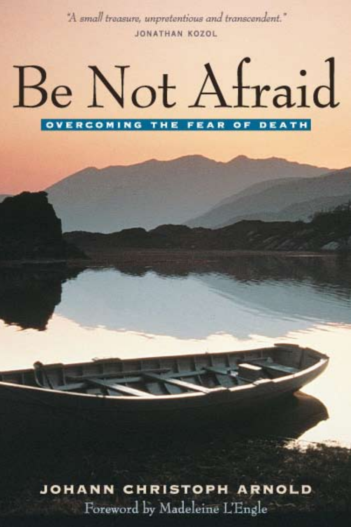"A small treasure, unpretentious and transcendent." JONATHAN KOZOL

# Be Not Afraid **OVERCOMING THE** FEAR OF DEATH

JOHANN CHRISTOPH ARNOLD Foreword by Madeleine L'Engle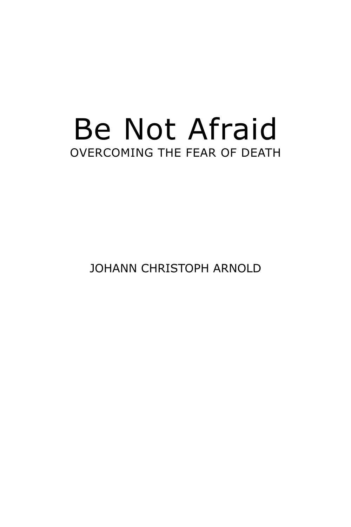# Be Not Afraid OVERCOMING THE FEAR OF DEATH

johann Christoph Arnold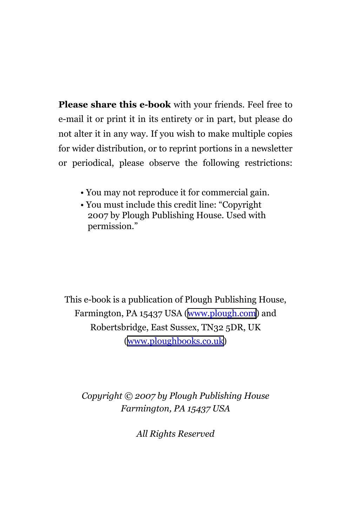**Please share this e-book** with your friends. Feel free to e-mail it or print it in its entirety or in part, but please do not alter it in any way. If you wish to make multiple copies for wider distribution, or to reprint portions in a newsletter or periodical, please observe the following restrictions:

- You may not reproduce it for commercial gain.
- You must include this credit line: "Copyright 2007 by Plough Publishing House. Used with permission."

This e-book is a publication of Plough Publishing House, Farmington, PA 15437 USA [\(www.plough.com](http://www.plough.com)) and Robertsbridge, East Sussex, TN32 5DR, UK ([www.ploughbooks.co.uk](http://www.ploughbooks.co.uk/ebooklink.php))

*Copyright © 2007 by Plough Publishing House Farmington, PA 15437 USA*

*All Rights Reserved*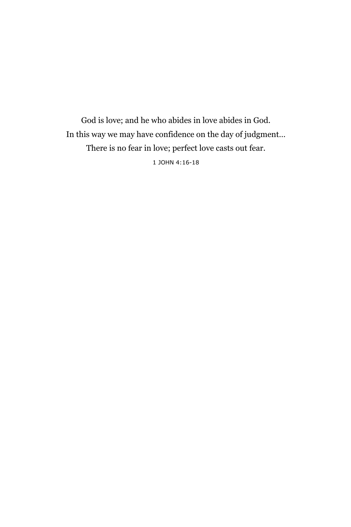God is love; and he who abides in love abides in God. In this way we may have confidence on the day of judgment… There is no fear in love; perfect love casts out fear. 1 John 4:16-18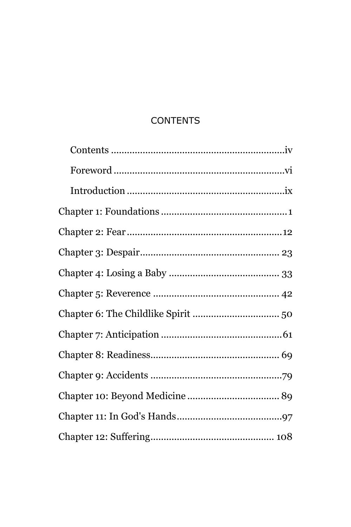### **CONTENTS**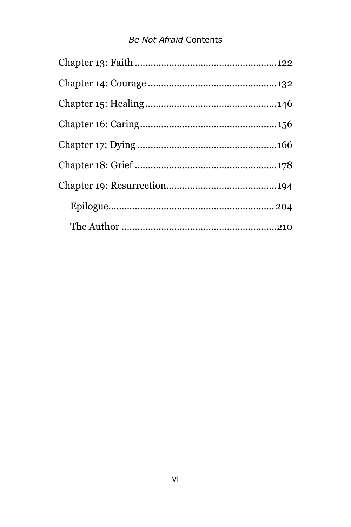### Be Not Afraid Contents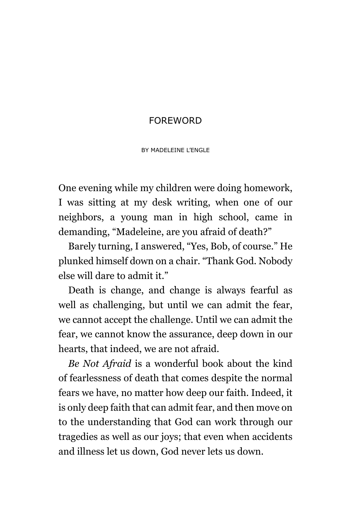#### **FOREWORD**

BY MADELEINE L'ENGLE

One evening while my children were doing homework, I was sitting at my desk writing, when one of our neighbors, a young man in high school, came in demanding, "Madeleine, are you afraid of death?"

Barely turning, I answered, "Yes, Bob, of course." He plunked himself down on a chair. "Thank God. Nobody else will dare to admit it."

Death is change, and change is always fearful as well as challenging, but until we can admit the fear, we cannot accept the challenge. Until we can admit the fear, we cannot know the assurance, deep down in our hearts, that indeed, we are not afraid.

*Be Not Afraid* is a wonderful book about the kind of fearlessness of death that comes despite the normal fears we have, no matter how deep our faith. Indeed, it is only deep faith that can admit fear, and then move on to the understanding that God can work through our tragedies as well as our joys; that even when accidents and illness let us down, God never lets us down.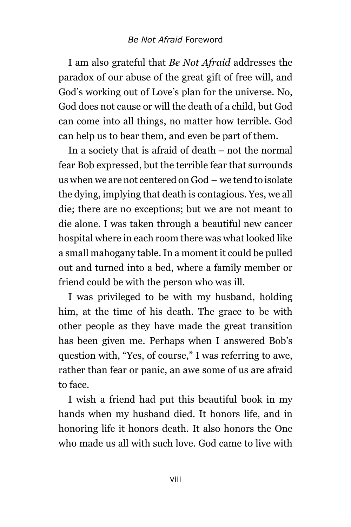I am also grateful that *Be Not Afraid* addresses the paradox of our abuse of the great gift of free will, and God's working out of Love's plan for the universe. No, God does not cause or will the death of a child, but God can come into all things, no matter how terrible. God can help us to bear them, and even be part of them.

In a society that is afraid of death – not the normal fear Bob expressed, but the terrible fear that surrounds us when we are not centered on God – we tend to isolate the dying, implying that death is contagious. Yes, we all die; there are no exceptions; but we are not meant to die alone. I was taken through a beautiful new cancer hospital where in each room there was what looked like a small mahogany table. In a moment it could be pulled out and turned into a bed, where a family member or friend could be with the person who was ill.

I was privileged to be with my husband, holding him, at the time of his death. The grace to be with other people as they have made the great transition has been given me. Perhaps when I answered Bob's question with, "Yes, of course," I was referring to awe, rather than fear or panic, an awe some of us are afraid to face.

I wish a friend had put this beautiful book in my hands when my husband died. It honors life, and in honoring life it honors death. It also honors the One who made us all with such love. God came to live with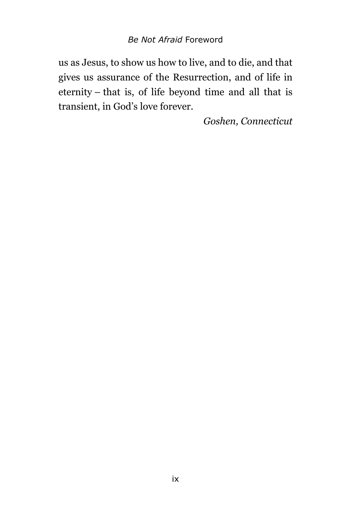us as Jesus, to show us how to live, and to die, and that gives us assurance of the Resurrection, and of life in eternity – that is, of life beyond time and all that is transient, in God's love forever.

*Goshen, Connecticut*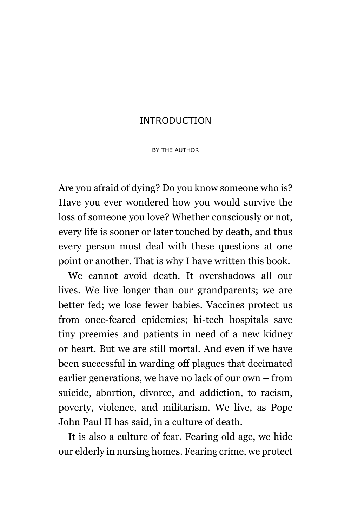#### **INTRODUCTION**

by the Author

Are you afraid of dying? Do you know someone who is? Have you ever wondered how you would survive the loss of someone you love? Whether consciously or not, every life is sooner or later touched by death, and thus every person must deal with these questions at one point or another. That is why I have written this book.

We cannot avoid death. It overshadows all our lives. We live longer than our grandparents; we are better fed; we lose fewer babies. Vaccines protect us from once-feared epidemics; hi-tech hospitals save tiny preemies and patients in need of a new kidney or heart. But we are still mortal. And even if we have been successful in warding off plagues that decimated earlier generations, we have no lack of our own – from suicide, abortion, divorce, and addiction, to racism, poverty, violence, and militarism. We live, as Pope John Paul II has said, in a culture of death.

It is also a culture of fear. Fearing old age, we hide our elderly in nursing homes. Fearing crime, we protect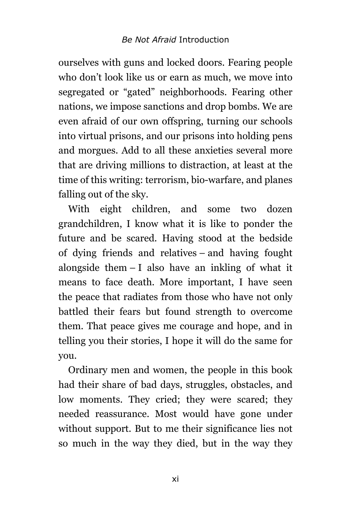ourselves with guns and locked doors. Fearing people who don't look like us or earn as much, we move into segregated or "gated" neighborhoods. Fearing other nations, we impose sanctions and drop bombs. We are even afraid of our own offspring, turning our schools into virtual prisons, and our prisons into holding pens and morgues. Add to all these anxieties several more that are driving millions to distraction, at least at the time of this writing: terrorism, bio-warfare, and planes falling out of the sky.

With eight children, and some two dozen grandchildren, I know what it is like to ponder the future and be scared. Having stood at the bedside of dying friends and relatives – and having fought alongside them  $-1$  also have an inkling of what it means to face death. More important, I have seen the peace that radiates from those who have not only battled their fears but found strength to overcome them. That peace gives me courage and hope, and in telling you their stories, I hope it will do the same for you.

Ordinary men and women, the people in this book had their share of bad days, struggles, obstacles, and low moments. They cried; they were scared; they needed reassurance. Most would have gone under without support. But to me their significance lies not so much in the way they died, but in the way they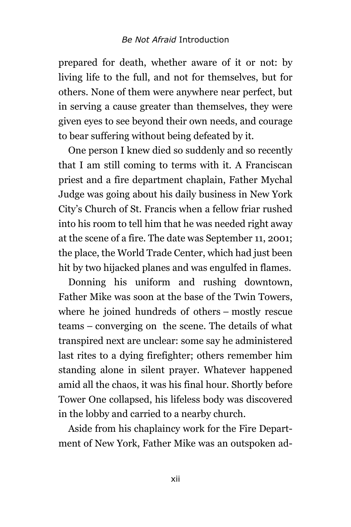prepared for death, whether aware of it or not: by living life to the full, and not for themselves, but for others. None of them were anywhere near perfect, but in serving a cause greater than themselves, they were given eyes to see beyond their own needs, and courage to bear suffering without being defeated by it.

One person I knew died so suddenly and so recently that I am still coming to terms with it. A Franciscan priest and a fire department chaplain, Father Mychal Judge was going about his daily business in New York City's Church of St. Francis when a fellow friar rushed into his room to tell him that he was needed right away at the scene of a fire. The date was September 11, 2001; the place, the World Trade Center, which had just been hit by two hijacked planes and was engulfed in flames.

Donning his uniform and rushing downtown, Father Mike was soon at the base of the Twin Towers, where he joined hundreds of others – mostly rescue teams – converging on the scene. The details of what transpired next are unclear: some say he administered last rites to a dying firefighter; others remember him standing alone in silent prayer. Whatever happened amid all the chaos, it was his final hour. Shortly before Tower One collapsed, his lifeless body was discovered in the lobby and carried to a nearby church.

Aside from his chaplaincy work for the Fire Department of New York, Father Mike was an outspoken ad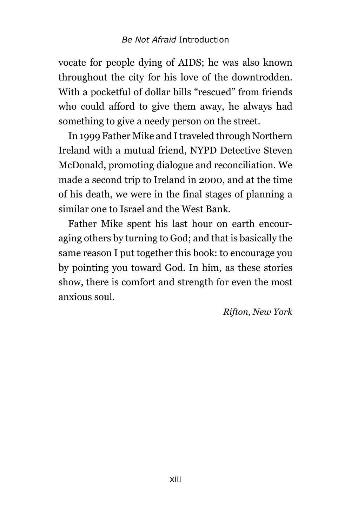vocate for people dying of AIDS; he was also known throughout the city for his love of the downtrodden. With a pocketful of dollar bills "rescued" from friends who could afford to give them away, he always had something to give a needy person on the street.

In 1999 Father Mike and I traveled through Northern Ireland with a mutual friend, NYPD Detective Steven McDonald, promoting dialogue and reconciliation. We made a second trip to Ireland in 2000, and at the time of his death, we were in the final stages of planning a similar one to Israel and the West Bank.

Father Mike spent his last hour on earth encouraging others by turning to God; and that is basically the same reason I put together this book: to encourage you by pointing you toward God. In him, as these stories show, there is comfort and strength for even the most anxious soul.

*Rifton, New York*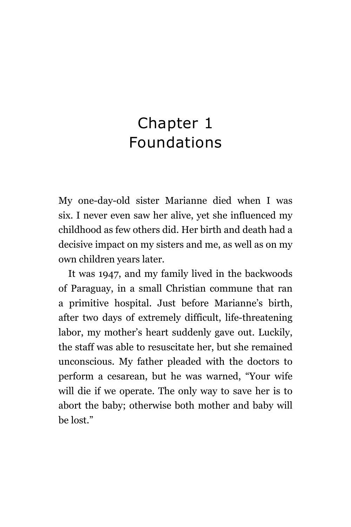# <span id="page-13-0"></span>Chapter 1 Foundations

My one-day-old sister Marianne died when I was six. I never even saw her alive, yet she influenced my childhood as few others did. Her birth and death had a decisive impact on my sisters and me, as well as on my own children years later.

It was 1947, and my family lived in the backwoods of Paraguay, in a small Christian commune that ran a primitive hospital. Just before Marianne's birth, after two days of extremely difficult, life-threatening labor, my mother's heart suddenly gave out. Luckily, the staff was able to resuscitate her, but she remained unconscious. My father pleaded with the doctors to perform a cesarean, but he was warned, "Your wife will die if we operate. The only way to save her is to abort the baby; otherwise both mother and baby will be lost."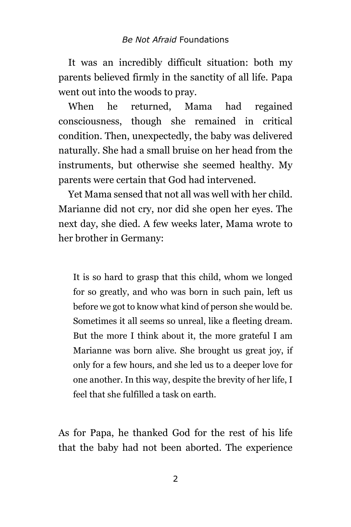It was an incredibly difficult situation: both my parents believed firmly in the sanctity of all life. Papa went out into the woods to pray.

When he returned, Mama had regained consciousness, though she remained in critical condition. Then, unexpectedly, the baby was delivered naturally. She had a small bruise on her head from the instruments, but otherwise she seemed healthy. My parents were certain that God had intervened.

Yet Mama sensed that not all was well with her child. Marianne did not cry, nor did she open her eyes. The next day, she died. A few weeks later, Mama wrote to her brother in Germany:

It is so hard to grasp that this child, whom we longed for so greatly, and who was born in such pain, left us before we got to know what kind of person she would be. Sometimes it all seems so unreal, like a fleeting dream. But the more I think about it, the more grateful I am Marianne was born alive. She brought us great joy, if only for a few hours, and she led us to a deeper love for one another. In this way, despite the brevity of her life, I feel that she fulfilled a task on earth.

As for Papa, he thanked God for the rest of his life that the baby had not been aborted. The experience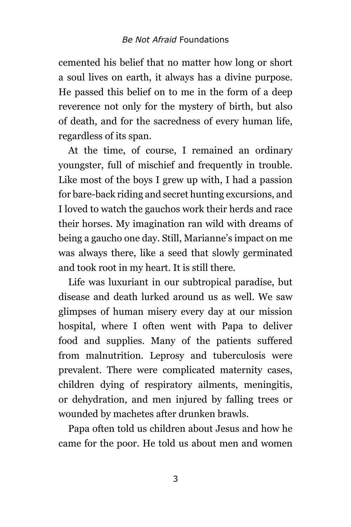cemented his belief that no matter how long or short a soul lives on earth, it always has a divine purpose. He passed this belief on to me in the form of a deep reverence not only for the mystery of birth, but also of death, and for the sacredness of every human life, regardless of its span.

At the time, of course, I remained an ordinary youngster, full of mischief and frequently in trouble. Like most of the boys I grew up with, I had a passion for bare-back riding and secret hunting excursions, and I loved to watch the gauchos work their herds and race their horses. My imagination ran wild with dreams of being a gaucho one day. Still, Marianne's impact on me was always there, like a seed that slowly germinated and took root in my heart. It is still there.

Life was luxuriant in our subtropical paradise, but disease and death lurked around us as well. We saw glimpses of human misery every day at our mission hospital, where I often went with Papa to deliver food and supplies. Many of the patients suffered from malnutrition. Leprosy and tuberculosis were prevalent. There were complicated maternity cases, children dying of respiratory ailments, meningitis, or dehydration, and men injured by falling trees or wounded by machetes after drunken brawls.

Papa often told us children about Jesus and how he came for the poor. He told us about men and women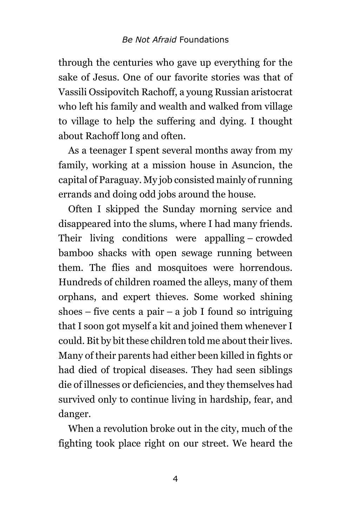through the centuries who gave up everything for the sake of Jesus. One of our favorite stories was that of Vassili Ossipovitch Rachoff, a young Russian aristocrat who left his family and wealth and walked from village to village to help the suffering and dying. I thought about Rachoff long and often.

As a teenager I spent several months away from my family, working at a mission house in Asuncion, the capital of Paraguay. My job consisted mainly of running errands and doing odd jobs around the house.

Often I skipped the Sunday morning service and disappeared into the slums, where I had many friends. Their living conditions were appalling – crowded bamboo shacks with open sewage running between them. The flies and mosquitoes were horrendous. Hundreds of children roamed the alleys, many of them orphans, and expert thieves. Some worked shining shoes – five cents a pair – a job I found so intriguing that I soon got myself a kit and joined them whenever I could. Bit by bit these children told me about their lives. Many of their parents had either been killed in fights or had died of tropical diseases. They had seen siblings die of illnesses or deficiencies, and they themselves had survived only to continue living in hardship, fear, and danger.

When a revolution broke out in the city, much of the fighting took place right on our street. We heard the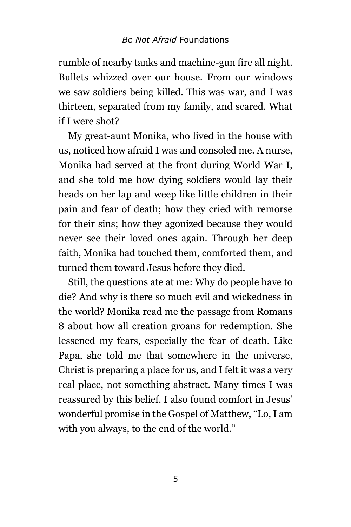rumble of nearby tanks and machine-gun fire all night. Bullets whizzed over our house. From our windows we saw soldiers being killed. This was war, and I was thirteen, separated from my family, and scared. What if I were shot?

My great-aunt Monika, who lived in the house with us, noticed how afraid I was and consoled me. A nurse, Monika had served at the front during World War I, and she told me how dying soldiers would lay their heads on her lap and weep like little children in their pain and fear of death; how they cried with remorse for their sins; how they agonized because they would never see their loved ones again. Through her deep faith, Monika had touched them, comforted them, and turned them toward Jesus before they died.

Still, the questions ate at me: Why do people have to die? And why is there so much evil and wickedness in the world? Monika read me the passage from Romans 8 about how all creation groans for redemption. She lessened my fears, especially the fear of death. Like Papa, she told me that somewhere in the universe, Christ is preparing a place for us, and I felt it was a very real place, not something abstract. Many times I was reassured by this belief. I also found comfort in Jesus' wonderful promise in the Gospel of Matthew, "Lo, I am with you always, to the end of the world."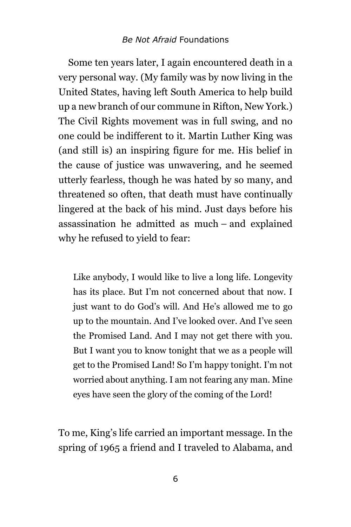#### *Be Not Afraid* Foundations

Some ten years later, I again encountered death in a very personal way. (My family was by now living in the United States, having left South America to help build up a new branch of our commune in Rifton, New York.) The Civil Rights movement was in full swing, and no one could be indifferent to it. Martin Luther King was (and still is) an inspiring figure for me. His belief in the cause of justice was unwavering, and he seemed utterly fearless, though he was hated by so many, and threatened so often, that death must have continually lingered at the back of his mind. Just days before his assassination he admitted as much – and explained why he refused to yield to fear:

Like anybody, I would like to live a long life. Longevity has its place. But I'm not concerned about that now. I just want to do God's will. And He's allowed me to go up to the mountain. And I've looked over. And I've seen the Promised Land. And I may not get there with you. But I want you to know tonight that we as a people will get to the Promised Land! So I'm happy tonight. I'm not worried about anything. I am not fearing any man. Mine eyes have seen the glory of the coming of the Lord!

To me, King's life carried an important message. In the spring of 1965 a friend and I traveled to Alabama, and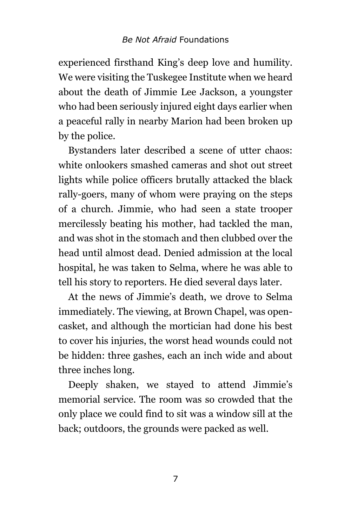experienced firsthand King's deep love and humility. We were visiting the Tuskegee Institute when we heard about the death of Jimmie Lee Jackson, a youngster who had been seriously injured eight days earlier when a peaceful rally in nearby Marion had been broken up by the police.

Bystanders later described a scene of utter chaos: white onlookers smashed cameras and shot out street lights while police officers brutally attacked the black rally-goers, many of whom were praying on the steps of a church. Jimmie, who had seen a state trooper mercilessly beating his mother, had tackled the man, and was shot in the stomach and then clubbed over the head until almost dead. Denied admission at the local hospital, he was taken to Selma, where he was able to tell his story to reporters. He died several days later.

At the news of Jimmie's death, we drove to Selma immediately. The viewing, at Brown Chapel, was opencasket, and although the mortician had done his best to cover his injuries, the worst head wounds could not be hidden: three gashes, each an inch wide and about three inches long.

Deeply shaken, we stayed to attend Jimmie's memorial service. The room was so crowded that the only place we could find to sit was a window sill at the back; outdoors, the grounds were packed as well.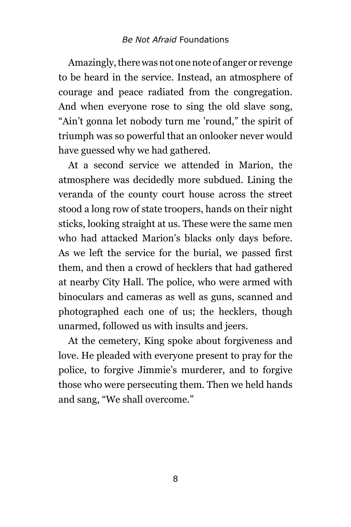Amazingly, there was not one note of anger or revenge to be heard in the service. Instead, an atmosphere of courage and peace radiated from the congregation. And when everyone rose to sing the old slave song, "Ain't gonna let nobody turn me 'round," the spirit of triumph was so powerful that an onlooker never would have guessed why we had gathered.

At a second service we attended in Marion, the atmosphere was decidedly more subdued. Lining the veranda of the county court house across the street stood a long row of state troopers, hands on their night sticks, looking straight at us. These were the same men who had attacked Marion's blacks only days before. As we left the service for the burial, we passed first them, and then a crowd of hecklers that had gathered at nearby City Hall. The police, who were armed with binoculars and cameras as well as guns, scanned and photographed each one of us; the hecklers, though unarmed, followed us with insults and jeers.

At the cemetery, King spoke about forgiveness and love. He pleaded with everyone present to pray for the police, to forgive Jimmie's murderer, and to forgive those who were persecuting them. Then we held hands and sang, "We shall overcome."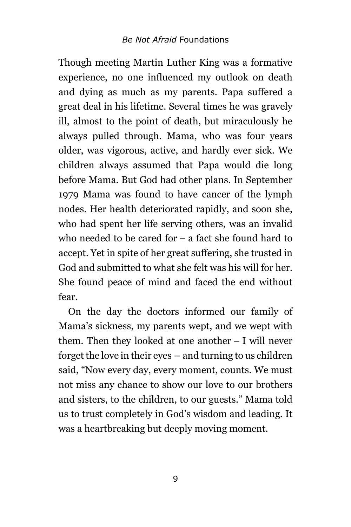Though meeting Martin Luther King was a formative experience, no one influenced my outlook on death and dying as much as my parents. Papa suffered a great deal in his lifetime. Several times he was gravely ill, almost to the point of death, but miraculously he always pulled through. Mama, who was four years older, was vigorous, active, and hardly ever sick. We children always assumed that Papa would die long before Mama. But God had other plans. In September 1979 Mama was found to have cancer of the lymph nodes. Her health deteriorated rapidly, and soon she, who had spent her life serving others, was an invalid who needed to be cared for – a fact she found hard to accept. Yet in spite of her great suffering, she trusted in God and submitted to what she felt was his will for her. She found peace of mind and faced the end without fear.

On the day the doctors informed our family of Mama's sickness, my parents wept, and we wept with them. Then they looked at one another – I will never forget the love in their eyes – and turning to us children said, "Now every day, every moment, counts. We must not miss any chance to show our love to our brothers and sisters, to the children, to our guests." Mama told us to trust completely in God's wisdom and leading. It was a heartbreaking but deeply moving moment.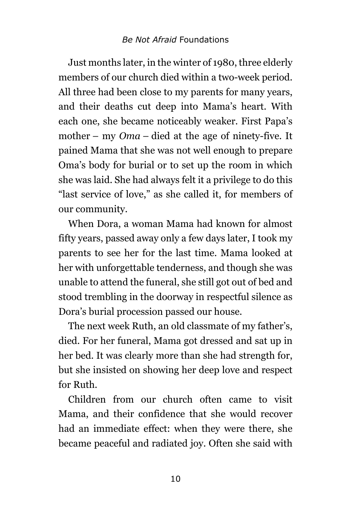Just months later, in the winter of 1980, three elderly members of our church died within a two-week period. All three had been close to my parents for many years, and their deaths cut deep into Mama's heart. With each one, she became noticeably weaker. First Papa's mother – my *Oma* – died at the age of ninety-five. It pained Mama that she was not well enough to prepare Oma's body for burial or to set up the room in which she was laid. She had always felt it a privilege to do this "last service of love," as she called it, for members of our community.

When Dora, a woman Mama had known for almost fifty years, passed away only a few days later, I took my parents to see her for the last time. Mama looked at her with unforgettable tenderness, and though she was unable to attend the funeral, she still got out of bed and stood trembling in the doorway in respectful silence as Dora's burial procession passed our house.

The next week Ruth, an old classmate of my father's, died. For her funeral, Mama got dressed and sat up in her bed. It was clearly more than she had strength for, but she insisted on showing her deep love and respect for Ruth.

Children from our church often came to visit Mama, and their confidence that she would recover had an immediate effect: when they were there, she became peaceful and radiated joy. Often she said with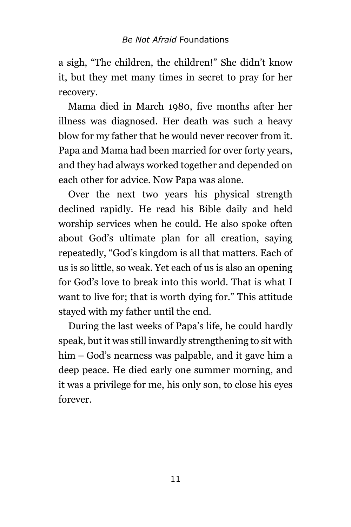a sigh, "The children, the children!" She didn't know it, but they met many times in secret to pray for her recovery.

Mama died in March 1980, five months after her illness was diagnosed. Her death was such a heavy blow for my father that he would never recover from it. Papa and Mama had been married for over forty years, and they had always worked together and depended on each other for advice. Now Papa was alone.

Over the next two years his physical strength declined rapidly. He read his Bible daily and held worship services when he could. He also spoke often about God's ultimate plan for all creation, saying repeatedly, "God's kingdom is all that matters. Each of us is so little, so weak. Yet each of us is also an opening for God's love to break into this world. That is what I want to live for; that is worth dying for." This attitude stayed with my father until the end.

During the last weeks of Papa's life, he could hardly speak, but it was still inwardly strengthening to sit with him – God's nearness was palpable, and it gave him a deep peace. He died early one summer morning, and it was a privilege for me, his only son, to close his eyes forever.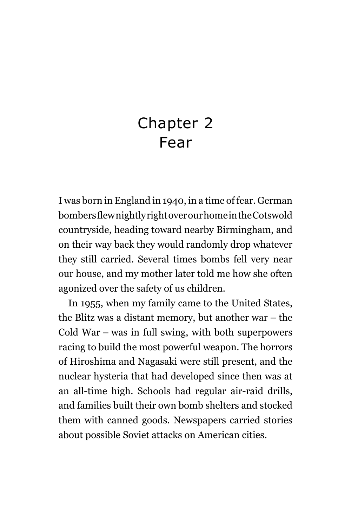## <span id="page-24-0"></span>Chapter 2 Fear

I was born in England in 1940, in a time of fear. German bombers flew nightly right over our home in the Cotswold countryside, heading toward nearby Birmingham, and on their way back they would randomly drop whatever they still carried. Several times bombs fell very near our house, and my mother later told me how she often agonized over the safety of us children.

In 1955, when my family came to the United States, the Blitz was a distant memory, but another war – the Cold War – was in full swing, with both superpowers racing to build the most powerful weapon. The horrors of Hiroshima and Nagasaki were still present, and the nuclear hysteria that had developed since then was at an all-time high. Schools had regular air-raid drills, and families built their own bomb shelters and stocked them with canned goods. Newspapers carried stories about possible Soviet attacks on American cities.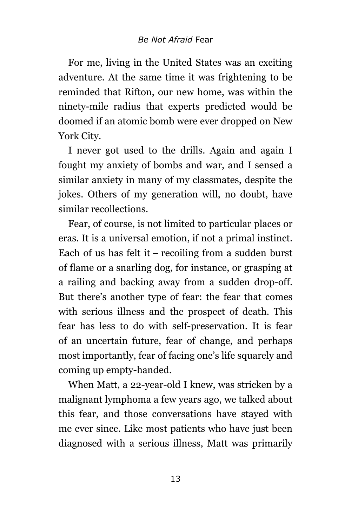For me, living in the United States was an exciting adventure. At the same time it was frightening to be reminded that Rifton, our new home, was within the ninety-mile radius that experts predicted would be doomed if an atomic bomb were ever dropped on New York City.

I never got used to the drills. Again and again I fought my anxiety of bombs and war, and I sensed a similar anxiety in many of my classmates, despite the jokes. Others of my generation will, no doubt, have similar recollections.

Fear, of course, is not limited to particular places or eras. It is a universal emotion, if not a primal instinct. Each of us has felt it – recoiling from a sudden burst of flame or a snarling dog, for instance, or grasping at a railing and backing away from a sudden drop-off. But there's another type of fear: the fear that comes with serious illness and the prospect of death. This fear has less to do with self-preservation. It is fear of an uncertain future, fear of change, and perhaps most importantly, fear of facing one's life squarely and coming up empty-handed.

When Matt, a 22-year-old I knew, was stricken by a malignant lymphoma a few years ago, we talked about this fear, and those conversations have stayed with me ever since. Like most patients who have just been diagnosed with a serious illness, Matt was primarily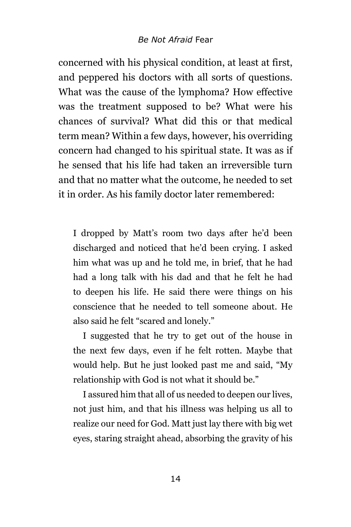#### *Be Not Afraid* Fear

concerned with his physical condition, at least at first, and peppered his doctors with all sorts of questions. What was the cause of the lymphoma? How effective was the treatment supposed to be? What were his chances of survival? What did this or that medical term mean? Within a few days, however, his overriding concern had changed to his spiritual state. It was as if he sensed that his life had taken an irreversible turn and that no matter what the outcome, he needed to set it in order. As his family doctor later remembered:

I dropped by Matt's room two days after he'd been discharged and noticed that he'd been crying. I asked him what was up and he told me, in brief, that he had had a long talk with his dad and that he felt he had to deepen his life. He said there were things on his conscience that he needed to tell someone about. He also said he felt "scared and lonely."

I suggested that he try to get out of the house in the next few days, even if he felt rotten. Maybe that would help. But he just looked past me and said, "My relationship with God is not what it should be."

I assured him that all of us needed to deepen our lives, not just him, and that his illness was helping us all to realize our need for God. Matt just lay there with big wet eyes, staring straight ahead, absorbing the gravity of his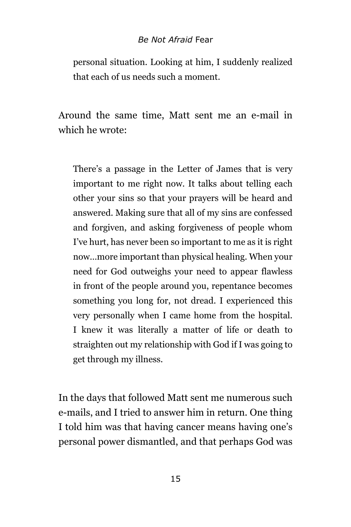#### *Be Not Afraid* Fear

personal situation. Looking at him, I suddenly realized that each of us needs such a moment.

Around the same time, Matt sent me an e-mail in which he wrote:

There's a passage in the Letter of James that is very important to me right now. It talks about telling each other your sins so that your prayers will be heard and answered. Making sure that all of my sins are confessed and forgiven, and asking forgiveness of people whom I've hurt, has never been so important to me as it is right now…more important than physical healing. When your need for God outweighs your need to appear flawless in front of the people around you, repentance becomes something you long for, not dread. I experienced this very personally when I came home from the hospital. I knew it was literally a matter of life or death to straighten out my relationship with God if I was going to get through my illness.

In the days that followed Matt sent me numerous such e-mails, and I tried to answer him in return. One thing I told him was that having cancer means having one's personal power dismantled, and that perhaps God was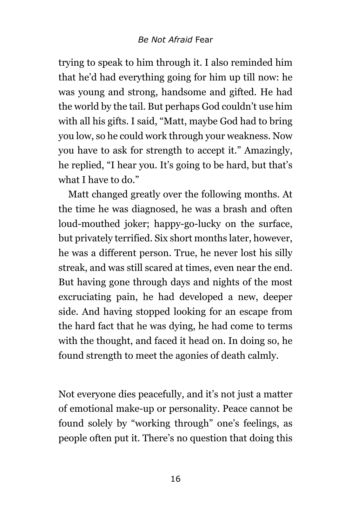trying to speak to him through it. I also reminded him that he'd had everything going for him up till now: he was young and strong, handsome and gifted. He had the world by the tail. But perhaps God couldn't use him with all his gifts. I said, "Matt, maybe God had to bring you low, so he could work through your weakness. Now you have to ask for strength to accept it." Amazingly, he replied, "I hear you. It's going to be hard, but that's what I have to do."

Matt changed greatly over the following months. At the time he was diagnosed, he was a brash and often loud-mouthed joker; happy-go-lucky on the surface, but privately terrified. Six short months later, however, he was a different person. True, he never lost his silly streak, and was still scared at times, even near the end. But having gone through days and nights of the most excruciating pain, he had developed a new, deeper side. And having stopped looking for an escape from the hard fact that he was dying, he had come to terms with the thought, and faced it head on. In doing so, he found strength to meet the agonies of death calmly.

Not everyone dies peacefully, and it's not just a matter of emotional make-up or personality. Peace cannot be found solely by "working through" one's feelings, as people often put it. There's no question that doing this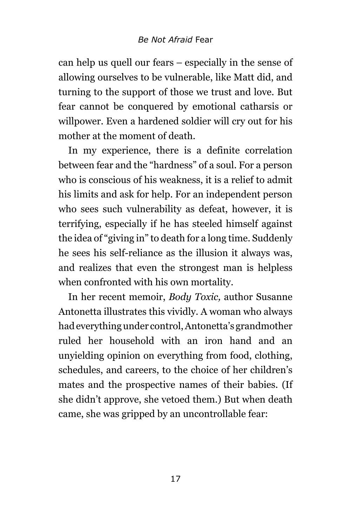can help us quell our fears – especially in the sense of allowing ourselves to be vulnerable, like Matt did, and turning to the support of those we trust and love. But fear cannot be conquered by emotional catharsis or willpower. Even a hardened soldier will cry out for his mother at the moment of death.

In my experience, there is a definite correlation between fear and the "hardness" of a soul. For a person who is conscious of his weakness, it is a relief to admit his limits and ask for help. For an independent person who sees such vulnerability as defeat, however, it is terrifying, especially if he has steeled himself against the idea of "giving in" to death for a long time. Suddenly he sees his self-reliance as the illusion it always was, and realizes that even the strongest man is helpless when confronted with his own mortality.

In her recent memoir, *Body Toxic,* author Susanne Antonetta illustrates this vividly. A woman who always had everything under control, Antonetta's grandmother ruled her household with an iron hand and an unyielding opinion on everything from food, clothing, schedules, and careers, to the choice of her children's mates and the prospective names of their babies. (If she didn't approve, she vetoed them.) But when death came, she was gripped by an uncontrollable fear: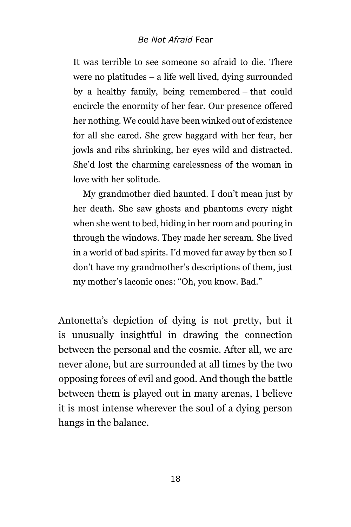#### *Be Not Afraid* Fear

It was terrible to see someone so afraid to die. There were no platitudes – a life well lived, dying surrounded by a healthy family, being remembered – that could encircle the enormity of her fear. Our presence offered her nothing. We could have been winked out of existence for all she cared. She grew haggard with her fear, her jowls and ribs shrinking, her eyes wild and distracted. She'd lost the charming carelessness of the woman in love with her solitude.

My grandmother died haunted. I don't mean just by her death. She saw ghosts and phantoms every night when she went to bed, hiding in her room and pouring in through the windows. They made her scream. She lived in a world of bad spirits. I'd moved far away by then so I don't have my grandmother's descriptions of them, just my mother's laconic ones: "Oh, you know. Bad."

Antonetta's depiction of dying is not pretty, but it is unusually insightful in drawing the connection between the personal and the cosmic. After all, we are never alone, but are surrounded at all times by the two opposing forces of evil and good. And though the battle between them is played out in many arenas, I believe it is most intense wherever the soul of a dying person hangs in the balance.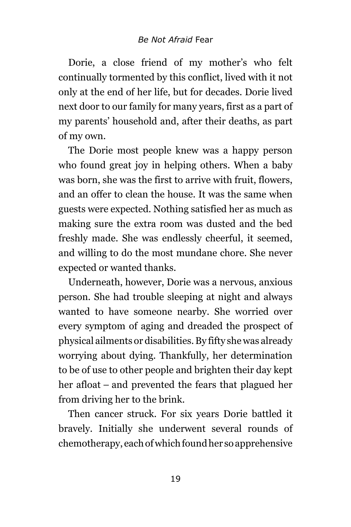Dorie, a close friend of my mother's who felt continually tormented by this conflict, lived with it not only at the end of her life, but for decades. Dorie lived next door to our family for many years, first as a part of my parents' household and, after their deaths, as part of my own.

The Dorie most people knew was a happy person who found great joy in helping others. When a baby was born, she was the first to arrive with fruit, flowers, and an offer to clean the house. It was the same when guests were expected. Nothing satisfied her as much as making sure the extra room was dusted and the bed freshly made. She was endlessly cheerful, it seemed, and willing to do the most mundane chore. She never expected or wanted thanks.

Underneath, however, Dorie was a nervous, anxious person. She had trouble sleeping at night and always wanted to have someone nearby. She worried over every symptom of aging and dreaded the prospect of physical ailments or disabilities. By fifty she was already worrying about dying. Thankfully, her determination to be of use to other people and brighten their day kept her afloat – and prevented the fears that plagued her from driving her to the brink.

Then cancer struck. For six years Dorie battled it bravely. Initially she underwent several rounds of chemotherapy, each of which found her so apprehensive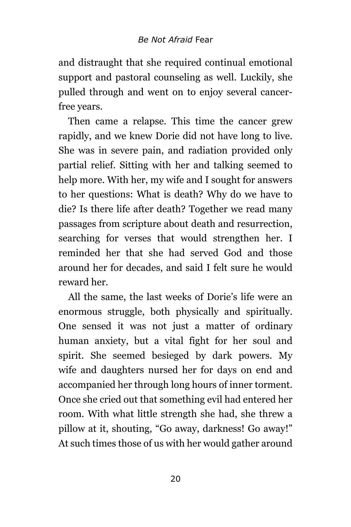and distraught that she required continual emotional support and pastoral counseling as well. Luckily, she pulled through and went on to enjoy several cancerfree years.

Then came a relapse. This time the cancer grew rapidly, and we knew Dorie did not have long to live. She was in severe pain, and radiation provided only partial relief. Sitting with her and talking seemed to help more. With her, my wife and I sought for answers to her questions: What is death? Why do we have to die? Is there life after death? Together we read many passages from scripture about death and resurrection, searching for verses that would strengthen her. I reminded her that she had served God and those around her for decades, and said I felt sure he would reward her.

All the same, the last weeks of Dorie's life were an enormous struggle, both physically and spiritually. One sensed it was not just a matter of ordinary human anxiety, but a vital fight for her soul and spirit. She seemed besieged by dark powers. My wife and daughters nursed her for days on end and accompanied her through long hours of inner torment. Once she cried out that something evil had entered her room. With what little strength she had, she threw a pillow at it, shouting, "Go away, darkness! Go away!" At such times those of us with her would gather around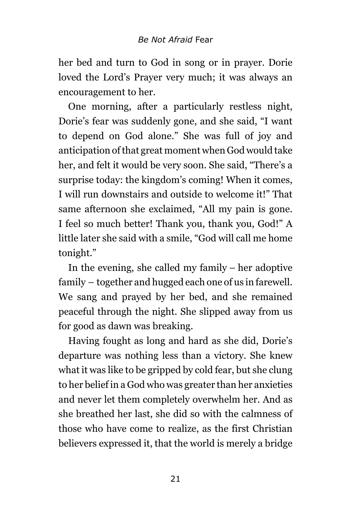her bed and turn to God in song or in prayer. Dorie loved the Lord's Prayer very much; it was always an encouragement to her.

One morning, after a particularly restless night, Dorie's fear was suddenly gone, and she said, "I want to depend on God alone." She was full of joy and anticipation of that great moment when God would take her, and felt it would be very soon. She said, "There's a surprise today: the kingdom's coming! When it comes, I will run downstairs and outside to welcome it!" That same afternoon she exclaimed, "All my pain is gone. I feel so much better! Thank you, thank you, God!" A little later she said with a smile, "God will call me home tonight."

In the evening, she called my family – her adoptive family – together and hugged each one of us in farewell. We sang and prayed by her bed, and she remained peaceful through the night. She slipped away from us for good as dawn was breaking.

Having fought as long and hard as she did, Dorie's departure was nothing less than a victory. She knew what it was like to be gripped by cold fear, but she clung to her belief in a God who was greater than her anxieties and never let them completely overwhelm her. And as she breathed her last, she did so with the calmness of those who have come to realize, as the first Christian believers expressed it, that the world is merely a bridge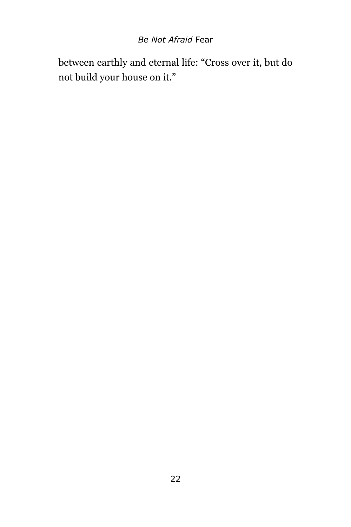### *Be Not Afraid* Fear

between earthly and eternal life: "Cross over it, but do not build your house on it."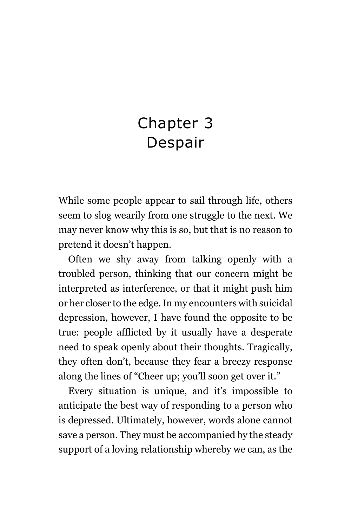# <span id="page-35-0"></span>Chapter 3 Despair

While some people appear to sail through life, others seem to slog wearily from one struggle to the next. We may never know why this is so, but that is no reason to pretend it doesn't happen.

Often we shy away from talking openly with a troubled person, thinking that our concern might be interpreted as interference, or that it might push him or her closer to the edge. In my encounters with suicidal depression, however, I have found the opposite to be true: people afflicted by it usually have a desperate need to speak openly about their thoughts. Tragically, they often don't, because they fear a breezy response along the lines of "Cheer up; you'll soon get over it."

Every situation is unique, and it's impossible to anticipate the best way of responding to a person who is depressed. Ultimately, however, words alone cannot save a person. They must be accompanied by the steady support of a loving relationship whereby we can, as the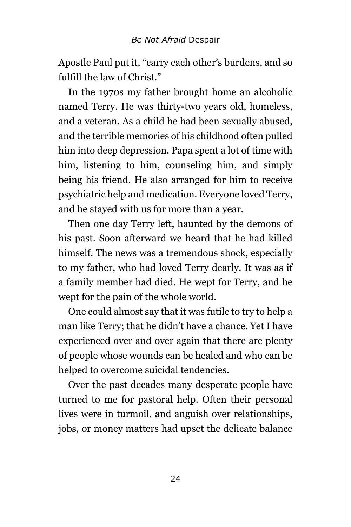Apostle Paul put it, "carry each other's burdens, and so fulfill the law of Christ."

In the 1970s my father brought home an alcoholic named Terry. He was thirty-two years old, homeless, and a veteran. As a child he had been sexually abused, and the terrible memories of his childhood often pulled him into deep depression. Papa spent a lot of time with him, listening to him, counseling him, and simply being his friend. He also arranged for him to receive psychiatric help and medication. Everyone loved Terry, and he stayed with us for more than a year.

Then one day Terry left, haunted by the demons of his past. Soon afterward we heard that he had killed himself. The news was a tremendous shock, especially to my father, who had loved Terry dearly. It was as if a family member had died. He wept for Terry, and he wept for the pain of the whole world.

One could almost say that it was futile to try to help a man like Terry; that he didn't have a chance. Yet I have experienced over and over again that there are plenty of people whose wounds can be healed and who can be helped to overcome suicidal tendencies.

Over the past decades many desperate people have turned to me for pastoral help. Often their personal lives were in turmoil, and anguish over relationships, jobs, or money matters had upset the delicate balance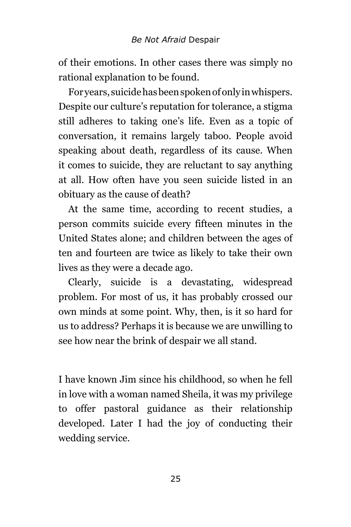of their emotions. In other cases there was simply no rational explanation to be found.

For years, suicide has been spoken of only in whispers. Despite our culture's reputation for tolerance, a stigma still adheres to taking one's life. Even as a topic of conversation, it remains largely taboo. People avoid speaking about death, regardless of its cause. When it comes to suicide, they are reluctant to say anything at all. How often have you seen suicide listed in an obituary as the cause of death?

At the same time, according to recent studies, a person commits suicide every fifteen minutes in the United States alone; and children between the ages of ten and fourteen are twice as likely to take their own lives as they were a decade ago.

Clearly, suicide is a devastating, widespread problem. For most of us, it has probably crossed our own minds at some point. Why, then, is it so hard for us to address? Perhaps it is because we are unwilling to see how near the brink of despair we all stand.

I have known Jim since his childhood, so when he fell in love with a woman named Sheila, it was my privilege to offer pastoral guidance as their relationship developed. Later I had the joy of conducting their wedding service.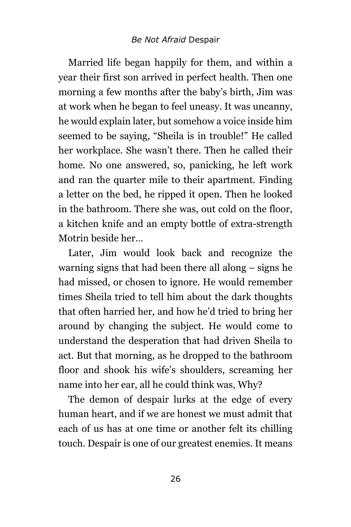## *Be Not Afraid* Despair

Married life began happily for them, and within a year their first son arrived in perfect health. Then one morning a few months after the baby's birth, Jim was at work when he began to feel uneasy. It was uncanny, he would explain later, but somehow a voice inside him seemed to be saying, "Sheila is in trouble!" He called her workplace. She wasn't there. Then he called their home. No one answered, so, panicking, he left work and ran the quarter mile to their apartment. Finding a letter on the bed, he ripped it open. Then he looked in the bathroom. There she was, out cold on the floor, a kitchen knife and an empty bottle of extra-strength Motrin beside her…

Later, Jim would look back and recognize the warning signs that had been there all along – signs he had missed, or chosen to ignore. He would remember times Sheila tried to tell him about the dark thoughts that often harried her, and how he'd tried to bring her around by changing the subject. He would come to understand the desperation that had driven Sheila to act. But that morning, as he dropped to the bathroom floor and shook his wife's shoulders, screaming her name into her ear, all he could think was, Why?

The demon of despair lurks at the edge of every human heart, and if we are honest we must admit that each of us has at one time or another felt its chilling touch. Despair is one of our greatest enemies. It means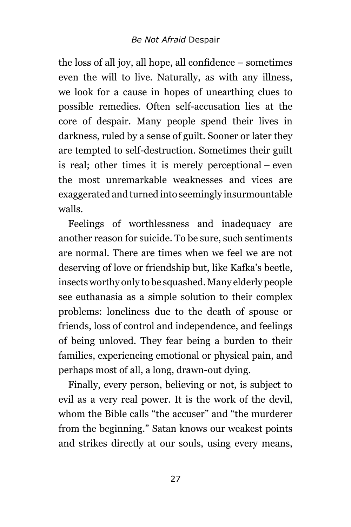the loss of all joy, all hope, all confidence – sometimes even the will to live. Naturally, as with any illness, we look for a cause in hopes of unearthing clues to possible remedies. Often self-accusation lies at the core of despair. Many people spend their lives in darkness, ruled by a sense of guilt. Sooner or later they are tempted to self-destruction. Sometimes their guilt is real; other times it is merely perceptional – even the most unremarkable weaknesses and vices are exaggerated and turned into seemingly insurmountable walls.

Feelings of worthlessness and inadequacy are another reason for suicide. To be sure, such sentiments are normal. There are times when we feel we are not deserving of love or friendship but, like Kafka's beetle, insects worthy only to be squashed. Many elderly people see euthanasia as a simple solution to their complex problems: loneliness due to the death of spouse or friends, loss of control and independence, and feelings of being unloved. They fear being a burden to their families, experiencing emotional or physical pain, and perhaps most of all, a long, drawn-out dying.

Finally, every person, believing or not, is subject to evil as a very real power. It is the work of the devil, whom the Bible calls "the accuser" and "the murderer from the beginning." Satan knows our weakest points and strikes directly at our souls, using every means,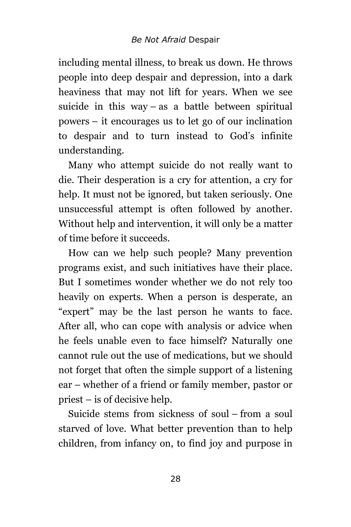including mental illness, to break us down. He throws people into deep despair and depression, into a dark heaviness that may not lift for years. When we see suicide in this way – as a battle between spiritual powers – it encourages us to let go of our inclination to despair and to turn instead to God's infinite understanding.

Many who attempt suicide do not really want to die. Their desperation is a cry for attention, a cry for help. It must not be ignored, but taken seriously. One unsuccessful attempt is often followed by another. Without help and intervention, it will only be a matter of time before it succeeds.

How can we help such people? Many prevention programs exist, and such initiatives have their place. But I sometimes wonder whether we do not rely too heavily on experts. When a person is desperate, an "expert" may be the last person he wants to face. After all, who can cope with analysis or advice when he feels unable even to face himself? Naturally one cannot rule out the use of medications, but we should not forget that often the simple support of a listening ear – whether of a friend or family member, pastor or priest – is of decisive help.

Suicide stems from sickness of soul – from a soul starved of love. What better prevention than to help children, from infancy on, to find joy and purpose in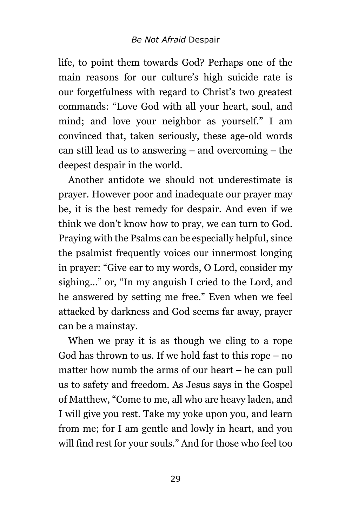life, to point them towards God? Perhaps one of the main reasons for our culture's high suicide rate is our forgetfulness with regard to Christ's two greatest commands: "Love God with all your heart, soul, and mind; and love your neighbor as yourself." I am convinced that, taken seriously, these age-old words can still lead us to answering – and overcoming – the deepest despair in the world.

Another antidote we should not underestimate is prayer. However poor and inadequate our prayer may be, it is the best remedy for despair. And even if we think we don't know how to pray, we can turn to God. Praying with the Psalms can be especially helpful, since the psalmist frequently voices our innermost longing in prayer: "Give ear to my words, O Lord, consider my sighing…" or, "In my anguish I cried to the Lord, and he answered by setting me free." Even when we feel attacked by darkness and God seems far away, prayer can be a mainstay.

When we pray it is as though we cling to a rope God has thrown to us. If we hold fast to this rope – no matter how numb the arms of our heart – he can pull us to safety and freedom. As Jesus says in the Gospel of Matthew, "Come to me, all who are heavy laden, and I will give you rest. Take my yoke upon you, and learn from me; for I am gentle and lowly in heart, and you will find rest for your souls." And for those who feel too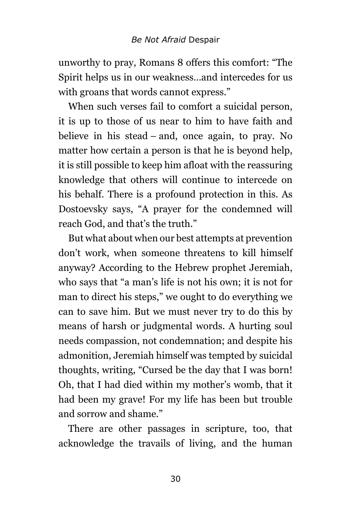unworthy to pray, Romans 8 offers this comfort: "The Spirit helps us in our weakness…and intercedes for us with groans that words cannot express."

When such verses fail to comfort a suicidal person, it is up to those of us near to him to have faith and believe in his stead – and, once again, to pray. No matter how certain a person is that he is beyond help, it is still possible to keep him afloat with the reassuring knowledge that others will continue to intercede on his behalf. There is a profound protection in this. As Dostoevsky says, "A prayer for the condemned will reach God, and that's the truth."

But what about when our best attempts at prevention don't work, when someone threatens to kill himself anyway? According to the Hebrew prophet Jeremiah, who says that "a man's life is not his own; it is not for man to direct his steps," we ought to do everything we can to save him. But we must never try to do this by means of harsh or judgmental words. A hurting soul needs compassion, not condemnation; and despite his admonition, Jeremiah himself was tempted by suicidal thoughts, writing, "Cursed be the day that I was born! Oh, that I had died within my mother's womb, that it had been my grave! For my life has been but trouble and sorrow and shame."

There are other passages in scripture, too, that acknowledge the travails of living, and the human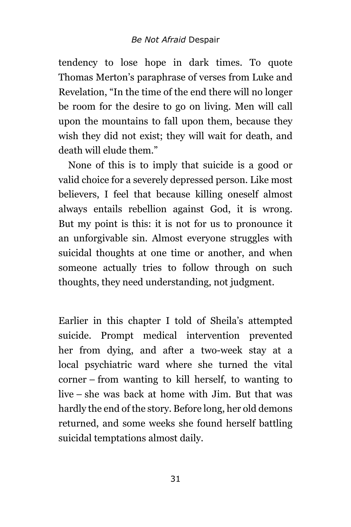tendency to lose hope in dark times. To quote Thomas Merton's paraphrase of verses from Luke and Revelation, "In the time of the end there will no longer be room for the desire to go on living. Men will call upon the mountains to fall upon them, because they wish they did not exist; they will wait for death, and death will elude them."

None of this is to imply that suicide is a good or valid choice for a severely depressed person. Like most believers, I feel that because killing oneself almost always entails rebellion against God, it is wrong. But my point is this: it is not for us to pronounce it an unforgivable sin. Almost everyone struggles with suicidal thoughts at one time or another, and when someone actually tries to follow through on such thoughts, they need understanding, not judgment.

Earlier in this chapter I told of Sheila's attempted suicide. Prompt medical intervention prevented her from dying, and after a two-week stay at a local psychiatric ward where she turned the vital corner – from wanting to kill herself, to wanting to live – she was back at home with Jim. But that was hardly the end of the story. Before long, her old demons returned, and some weeks she found herself battling suicidal temptations almost daily.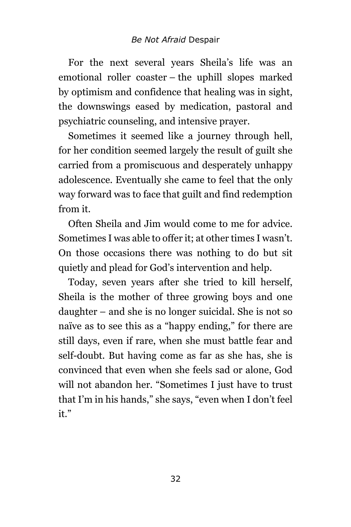For the next several years Sheila's life was an emotional roller coaster – the uphill slopes marked by optimism and confidence that healing was in sight, the downswings eased by medication, pastoral and psychiatric counseling, and intensive prayer.

Sometimes it seemed like a journey through hell, for her condition seemed largely the result of guilt she carried from a promiscuous and desperately unhappy adolescence. Eventually she came to feel that the only way forward was to face that guilt and find redemption from it.

Often Sheila and Jim would come to me for advice. Sometimes I was able to offer it; at other times I wasn't. On those occasions there was nothing to do but sit quietly and plead for God's intervention and help.

Today, seven years after she tried to kill herself, Sheila is the mother of three growing boys and one daughter – and she is no longer suicidal. She is not so naïve as to see this as a "happy ending," for there are still days, even if rare, when she must battle fear and self-doubt. But having come as far as she has, she is convinced that even when she feels sad or alone, God will not abandon her. "Sometimes I just have to trust that I'm in his hands," she says, "even when I don't feel it."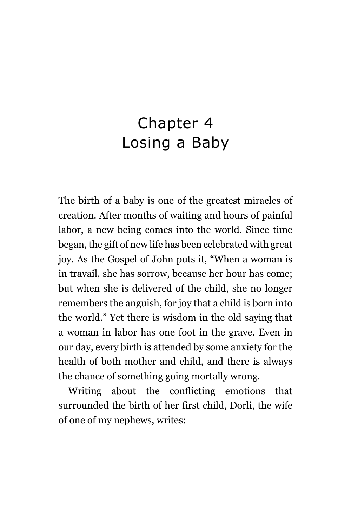# Chapter 4 Losing a Baby

The birth of a baby is one of the greatest miracles of creation. After months of waiting and hours of painful labor, a new being comes into the world. Since time began, the gift of new life has been celebrated with great joy. As the Gospel of John puts it, "When a woman is in travail, she has sorrow, because her hour has come; but when she is delivered of the child, she no longer remembers the anguish, for joy that a child is born into the world." Yet there is wisdom in the old saying that a woman in labor has one foot in the grave. Even in our day, every birth is attended by some anxiety for the health of both mother and child, and there is always the chance of something going mortally wrong.

Writing about the conflicting emotions that surrounded the birth of her first child, Dorli, the wife of one of my nephews, writes: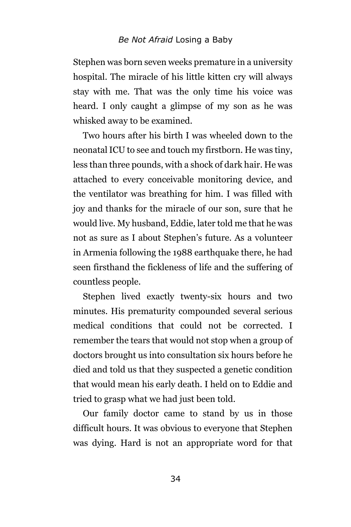Stephen was born seven weeks premature in a university hospital. The miracle of his little kitten cry will always stay with me. That was the only time his voice was heard. I only caught a glimpse of my son as he was whisked away to be examined.

Two hours after his birth I was wheeled down to the neonatal ICU to see and touch my firstborn. He was tiny, less than three pounds, with a shock of dark hair. He was attached to every conceivable monitoring device, and the ventilator was breathing for him. I was filled with joy and thanks for the miracle of our son, sure that he would live. My husband, Eddie, later told me that he was not as sure as I about Stephen's future. As a volunteer in Armenia following the 1988 earthquake there, he had seen firsthand the fickleness of life and the suffering of countless people.

Stephen lived exactly twenty-six hours and two minutes. His prematurity compounded several serious medical conditions that could not be corrected. I remember the tears that would not stop when a group of doctors brought us into consultation six hours before he died and told us that they suspected a genetic condition that would mean his early death. I held on to Eddie and tried to grasp what we had just been told.

Our family doctor came to stand by us in those difficult hours. It was obvious to everyone that Stephen was dying. Hard is not an appropriate word for that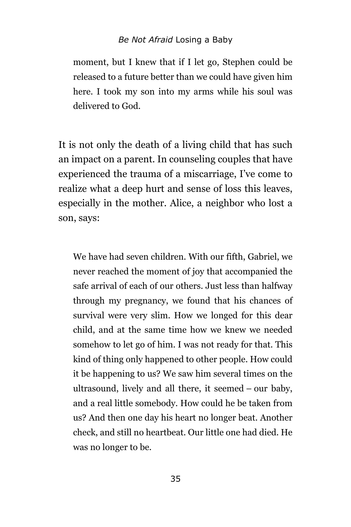moment, but I knew that if I let go, Stephen could be released to a future better than we could have given him here. I took my son into my arms while his soul was delivered to God.

It is not only the death of a living child that has such an impact on a parent. In counseling couples that have experienced the trauma of a miscarriage, I've come to realize what a deep hurt and sense of loss this leaves, especially in the mother. Alice, a neighbor who lost a son, says:

We have had seven children. With our fifth, Gabriel, we never reached the moment of joy that accompanied the safe arrival of each of our others. Just less than halfway through my pregnancy, we found that his chances of survival were very slim. How we longed for this dear child, and at the same time how we knew we needed somehow to let go of him. I was not ready for that. This kind of thing only happened to other people. How could it be happening to us? We saw him several times on the ultrasound, lively and all there, it seemed – our baby, and a real little somebody. How could he be taken from us? And then one day his heart no longer beat. Another check, and still no heartbeat. Our little one had died. He was no longer to be.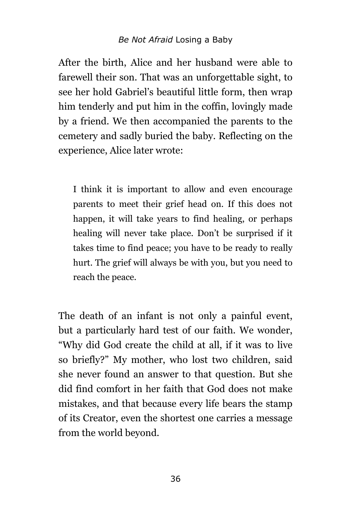After the birth, Alice and her husband were able to farewell their son. That was an unforgettable sight, to see her hold Gabriel's beautiful little form, then wrap him tenderly and put him in the coffin, lovingly made by a friend. We then accompanied the parents to the cemetery and sadly buried the baby. Reflecting on the experience, Alice later wrote:

I think it is important to allow and even encourage parents to meet their grief head on. If this does not happen, it will take years to find healing, or perhaps healing will never take place. Don't be surprised if it takes time to find peace; you have to be ready to really hurt. The grief will always be with you, but you need to reach the peace.

The death of an infant is not only a painful event, but a particularly hard test of our faith. We wonder, "Why did God create the child at all, if it was to live so briefly?" My mother, who lost two children, said she never found an answer to that question. But she did find comfort in her faith that God does not make mistakes, and that because every life bears the stamp of its Creator, even the shortest one carries a message from the world beyond.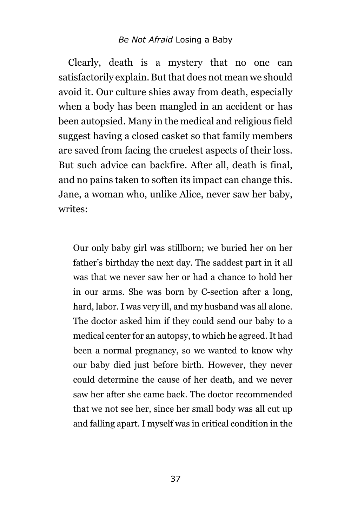Clearly, death is a mystery that no one can satisfactorily explain. But that does not mean we should avoid it. Our culture shies away from death, especially when a body has been mangled in an accident or has been autopsied. Many in the medical and religious field suggest having a closed casket so that family members are saved from facing the cruelest aspects of their loss. But such advice can backfire. After all, death is final, and no pains taken to soften its impact can change this. Jane, a woman who, unlike Alice, never saw her baby, writes:

Our only baby girl was stillborn; we buried her on her father's birthday the next day. The saddest part in it all was that we never saw her or had a chance to hold her in our arms. She was born by C-section after a long, hard, labor. I was very ill, and my husband was all alone. The doctor asked him if they could send our baby to a medical center for an autopsy, to which he agreed. It had been a normal pregnancy, so we wanted to know why our baby died just before birth. However, they never could determine the cause of her death, and we never saw her after she came back. The doctor recommended that we not see her, since her small body was all cut up and falling apart. I myself was in critical condition in the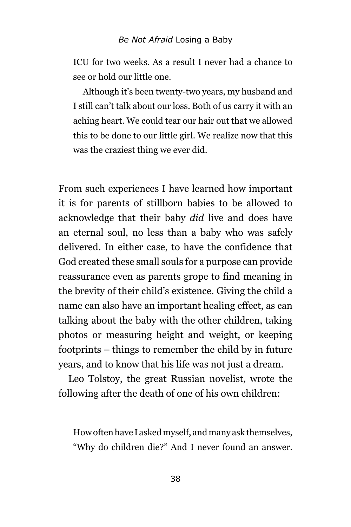ICU for two weeks. As a result I never had a chance to see or hold our little one.

Although it's been twenty-two years, my husband and I still can't talk about our loss. Both of us carry it with an aching heart. We could tear our hair out that we allowed this to be done to our little girl. We realize now that this was the craziest thing we ever did.

From such experiences I have learned how important it is for parents of stillborn babies to be allowed to acknowledge that their baby *did* live and does have an eternal soul, no less than a baby who was safely delivered. In either case, to have the confidence that God created these small souls for a purpose can provide reassurance even as parents grope to find meaning in the brevity of their child's existence. Giving the child a name can also have an important healing effect, as can talking about the baby with the other children, taking photos or measuring height and weight, or keeping footprints – things to remember the child by in future years, and to know that his life was not just a dream.

Leo Tolstoy, the great Russian novelist, wrote the following after the death of one of his own children:

How often have I asked myself, and many ask themselves, "Why do children die?" And I never found an answer.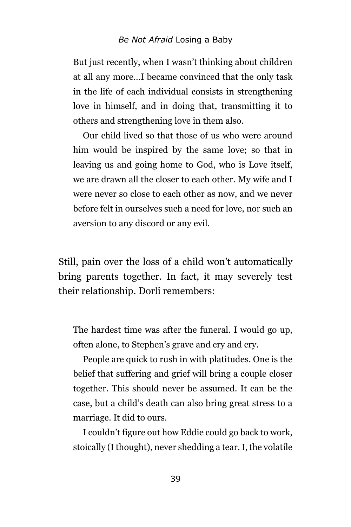But just recently, when I wasn't thinking about children at all any more…I became convinced that the only task in the life of each individual consists in strengthening love in himself, and in doing that, transmitting it to others and strengthening love in them also.

Our child lived so that those of us who were around him would be inspired by the same love; so that in leaving us and going home to God, who is Love itself, we are drawn all the closer to each other. My wife and I were never so close to each other as now, and we never before felt in ourselves such a need for love, nor such an aversion to any discord or any evil.

Still, pain over the loss of a child won't automatically bring parents together. In fact, it may severely test their relationship. Dorli remembers:

The hardest time was after the funeral. I would go up, often alone, to Stephen's grave and cry and cry.

People are quick to rush in with platitudes. One is the belief that suffering and grief will bring a couple closer together. This should never be assumed. It can be the case, but a child's death can also bring great stress to a marriage. It did to ours.

I couldn't figure out how Eddie could go back to work, stoically (I thought), never shedding a tear. I, the volatile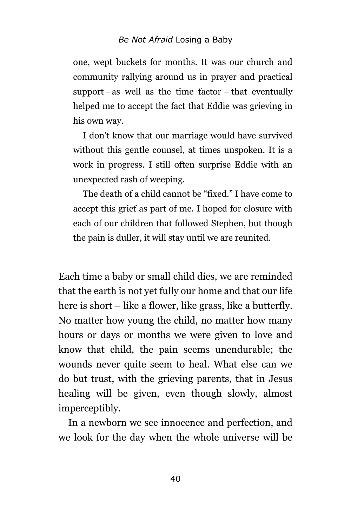one, wept buckets for months. It was our church and community rallying around us in prayer and practical support –as well as the time factor – that eventually helped me to accept the fact that Eddie was grieving in his own way.

I don't know that our marriage would have survived without this gentle counsel, at times unspoken. It is a work in progress. I still often surprise Eddie with an unexpected rash of weeping.

The death of a child cannot be "fixed." I have come to accept this grief as part of me. I hoped for closure with each of our children that followed Stephen, but though the pain is duller, it will stay until we are reunited.

Each time a baby or small child dies, we are reminded that the earth is not yet fully our home and that our life here is short – like a flower, like grass, like a butterfly. No matter how young the child, no matter how many hours or days or months we were given to love and know that child, the pain seems unendurable; the wounds never quite seem to heal. What else can we do but trust, with the grieving parents, that in Jesus healing will be given, even though slowly, almost imperceptibly.

In a newborn we see innocence and perfection, and we look for the day when the whole universe will be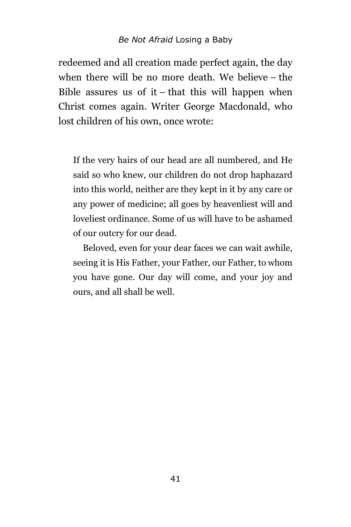redeemed and all creation made perfect again, the day when there will be no more death. We believe – the Bible assures us of  $it$  – that this will happen when Christ comes again. Writer George Macdonald, who lost children of his own, once wrote:

If the very hairs of our head are all numbered, and He said so who knew, our children do not drop haphazard into this world, neither are they kept in it by any care or any power of medicine; all goes by heavenliest will and loveliest ordinance. Some of us will have to be ashamed of our outcry for our dead.

Beloved, even for your dear faces we can wait awhile, seeing it is His Father, your Father, our Father, to whom you have gone. Our day will come, and your joy and ours, and all shall be well.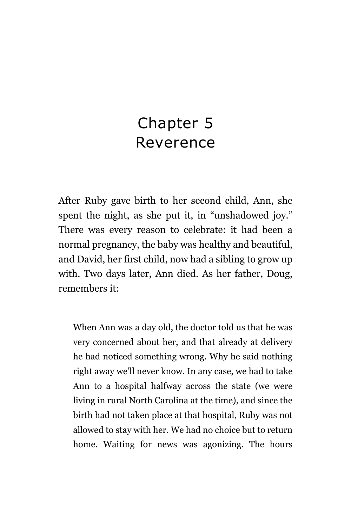# Chapter 5 Reverence

After Ruby gave birth to her second child, Ann, she spent the night, as she put it, in "unshadowed joy." There was every reason to celebrate: it had been a normal pregnancy, the baby was healthy and beautiful, and David, her first child, now had a sibling to grow up with. Two days later, Ann died. As her father, Doug, remembers it:

When Ann was a day old, the doctor told us that he was very concerned about her, and that already at delivery he had noticed something wrong. Why he said nothing right away we'll never know. In any case, we had to take Ann to a hospital halfway across the state (we were living in rural North Carolina at the time), and since the birth had not taken place at that hospital, Ruby was not allowed to stay with her. We had no choice but to return home. Waiting for news was agonizing. The hours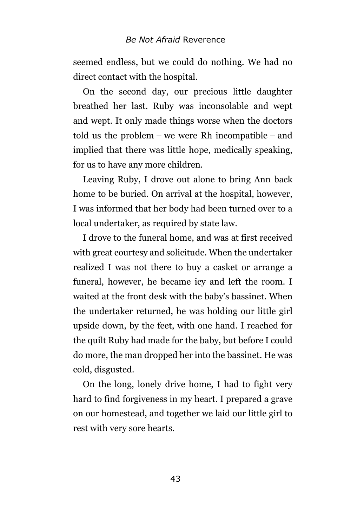seemed endless, but we could do nothing. We had no direct contact with the hospital.

On the second day, our precious little daughter breathed her last. Ruby was inconsolable and wept and wept. It only made things worse when the doctors told us the problem – we were Rh incompatible – and implied that there was little hope, medically speaking, for us to have any more children.

Leaving Ruby, I drove out alone to bring Ann back home to be buried. On arrival at the hospital, however, I was informed that her body had been turned over to a local undertaker, as required by state law.

I drove to the funeral home, and was at first received with great courtesy and solicitude. When the undertaker realized I was not there to buy a casket or arrange a funeral, however, he became icy and left the room. I waited at the front desk with the baby's bassinet. When the undertaker returned, he was holding our little girl upside down, by the feet, with one hand. I reached for the quilt Ruby had made for the baby, but before I could do more, the man dropped her into the bassinet. He was cold, disgusted.

On the long, lonely drive home, I had to fight very hard to find forgiveness in my heart. I prepared a grave on our homestead, and together we laid our little girl to rest with very sore hearts.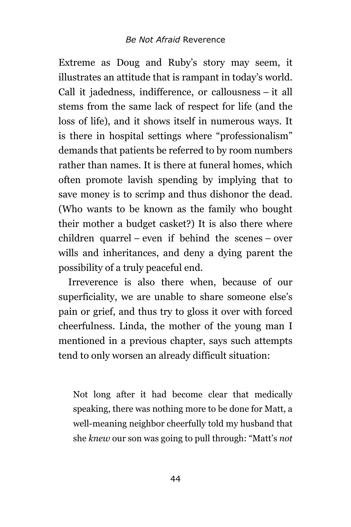## *Be Not Afraid* Reverence

Extreme as Doug and Ruby's story may seem, it illustrates an attitude that is rampant in today's world. Call it jadedness, indifference, or callousness – it all stems from the same lack of respect for life (and the loss of life), and it shows itself in numerous ways. It is there in hospital settings where "professionalism" demands that patients be referred to by room numbers rather than names. It is there at funeral homes, which often promote lavish spending by implying that to save money is to scrimp and thus dishonor the dead. (Who wants to be known as the family who bought their mother a budget casket?) It is also there where children quarrel – even if behind the scenes – over wills and inheritances, and deny a dying parent the possibility of a truly peaceful end.

Irreverence is also there when, because of our superficiality, we are unable to share someone else's pain or grief, and thus try to gloss it over with forced cheerfulness. Linda, the mother of the young man I mentioned in a previous chapter, says such attempts tend to only worsen an already difficult situation:

Not long after it had become clear that medically speaking, there was nothing more to be done for Matt, a well-meaning neighbor cheerfully told my husband that she *knew* our son was going to pull through: "Matt's *not*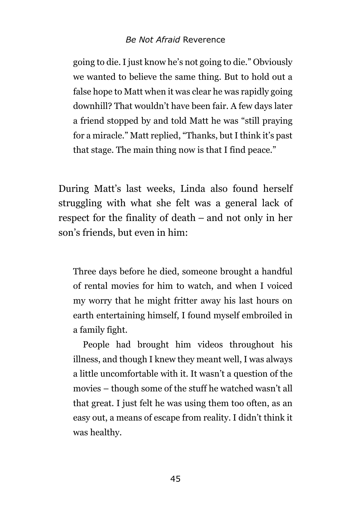## *Be Not Afraid* Reverence

going to die. I just know he's not going to die." Obviously we wanted to believe the same thing. But to hold out a false hope to Matt when it was clear he was rapidly going downhill? That wouldn't have been fair. A few days later a friend stopped by and told Matt he was "still praying for a miracle." Matt replied, "Thanks, but I think it's past that stage. The main thing now is that I find peace."

During Matt's last weeks, Linda also found herself struggling with what she felt was a general lack of respect for the finality of death – and not only in her son's friends, but even in him:

Three days before he died, someone brought a handful of rental movies for him to watch, and when I voiced my worry that he might fritter away his last hours on earth entertaining himself, I found myself embroiled in a family fight.

People had brought him videos throughout his illness, and though I knew they meant well, I was always a little uncomfortable with it. It wasn't a question of the movies – though some of the stuff he watched wasn't all that great. I just felt he was using them too often, as an easy out, a means of escape from reality. I didn't think it was healthy.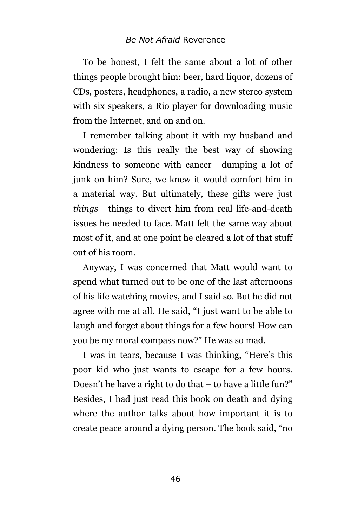To be honest, I felt the same about a lot of other things people brought him: beer, hard liquor, dozens of CDs, posters, headphones, a radio, a new stereo system with six speakers, a Rio player for downloading music from the Internet, and on and on.

I remember talking about it with my husband and wondering: Is this really the best way of showing kindness to someone with cancer – dumping a lot of junk on him? Sure, we knew it would comfort him in a material way. But ultimately, these gifts were just *things* – things to divert him from real life-and-death issues he needed to face. Matt felt the same way about most of it, and at one point he cleared a lot of that stuff out of his room.

Anyway, I was concerned that Matt would want to spend what turned out to be one of the last afternoons of his life watching movies, and I said so. But he did not agree with me at all. He said, "I just want to be able to laugh and forget about things for a few hours! How can you be my moral compass now?" He was so mad.

I was in tears, because I was thinking, "Here's this poor kid who just wants to escape for a few hours. Doesn't he have a right to do that – to have a little fun?" Besides, I had just read this book on death and dying where the author talks about how important it is to create peace around a dying person. The book said, "no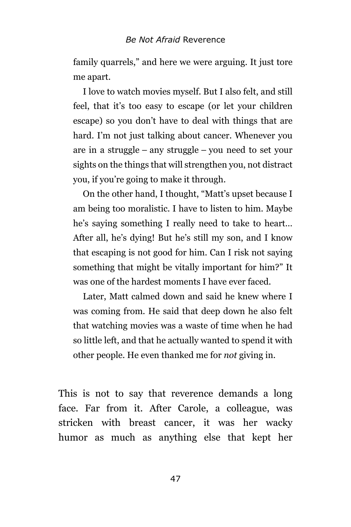family quarrels," and here we were arguing. It just tore me apart.

I love to watch movies myself. But I also felt, and still feel, that it's too easy to escape (or let your children escape) so you don't have to deal with things that are hard. I'm not just talking about cancer. Whenever you are in a struggle – any struggle – you need to set your sights on the things that will strengthen you, not distract you, if you're going to make it through.

On the other hand, I thought, "Matt's upset because I am being too moralistic. I have to listen to him. Maybe he's saying something I really need to take to heart… After all, he's dying! But he's still my son, and I know that escaping is not good for him. Can I risk not saying something that might be vitally important for him?" It was one of the hardest moments I have ever faced.

Later, Matt calmed down and said he knew where I was coming from. He said that deep down he also felt that watching movies was a waste of time when he had so little left, and that he actually wanted to spend it with other people. He even thanked me for *not* giving in.

This is not to say that reverence demands a long face. Far from it. After Carole, a colleague, was stricken with breast cancer, it was her wacky humor as much as anything else that kept her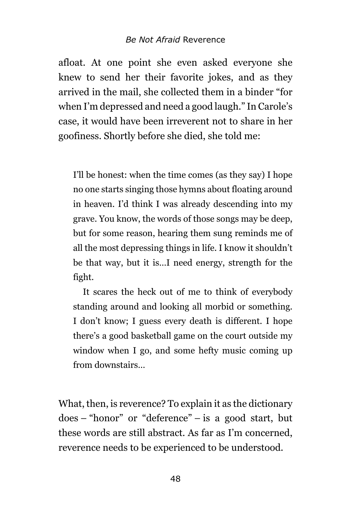### *Be Not Afraid* Reverence

afloat. At one point she even asked everyone she knew to send her their favorite jokes, and as they arrived in the mail, she collected them in a binder "for when I'm depressed and need a good laugh." In Carole's case, it would have been irreverent not to share in her goofiness. Shortly before she died, she told me:

I'll be honest: when the time comes (as they say) I hope no one starts singing those hymns about floating around in heaven. I'd think I was already descending into my grave. You know, the words of those songs may be deep, but for some reason, hearing them sung reminds me of all the most depressing things in life. I know it shouldn't be that way, but it is…I need energy, strength for the fight.

It scares the heck out of me to think of everybody standing around and looking all morbid or something. I don't know; I guess every death is different. I hope there's a good basketball game on the court outside my window when I go, and some hefty music coming up from downstairs…

What, then, is reverence? To explain it as the dictionary does – "honor" or "deference" – is a good start, but these words are still abstract. As far as I'm concerned, reverence needs to be experienced to be understood.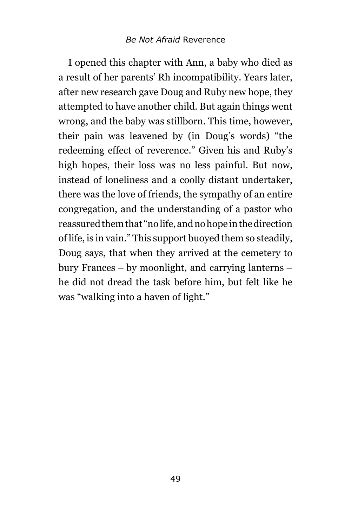## *Be Not Afraid* Reverence

I opened this chapter with Ann, a baby who died as a result of her parents' Rh incompatibility. Years later, after new research gave Doug and Ruby new hope, they attempted to have another child. But again things went wrong, and the baby was stillborn. This time, however, their pain was leavened by (in Doug's words) "the redeeming effect of reverence." Given his and Ruby's high hopes, their loss was no less painful. But now, instead of loneliness and a coolly distant undertaker, there was the love of friends, the sympathy of an entire congregation, and the understanding of a pastor who reassured them that "no life, and no hope in the direction of life, is in vain." This support buoyed them so steadily, Doug says, that when they arrived at the cemetery to bury Frances – by moonlight, and carrying lanterns – he did not dread the task before him, but felt like he was "walking into a haven of light."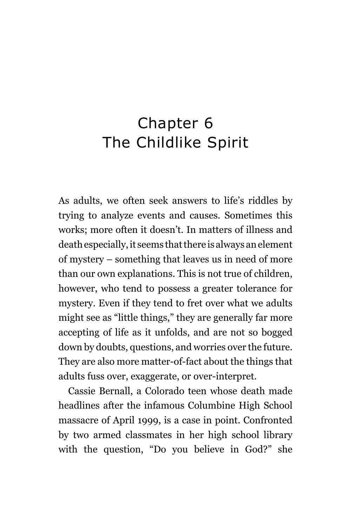## Chapter 6 The Childlike Spirit

As adults, we often seek answers to life's riddles by trying to analyze events and causes. Sometimes this works; more often it doesn't. In matters of illness and death especially, it seems that there is always an element of mystery – something that leaves us in need of more than our own explanations. This is not true of children, however, who tend to possess a greater tolerance for mystery. Even if they tend to fret over what we adults might see as "little things," they are generally far more accepting of life as it unfolds, and are not so bogged down by doubts, questions, and worries over the future. They are also more matter-of-fact about the things that adults fuss over, exaggerate, or over-interpret.

Cassie Bernall, a Colorado teen whose death made headlines after the infamous Columbine High School massacre of April 1999, is a case in point. Confronted by two armed classmates in her high school library with the question, "Do you believe in God?" she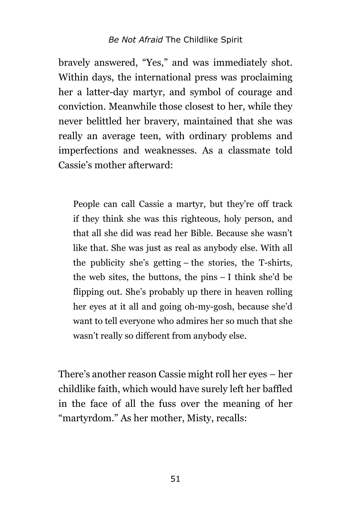## *Be Not Afraid* The Childlike Spirit

bravely answered, "Yes," and was immediately shot. Within days, the international press was proclaiming her a latter-day martyr, and symbol of courage and conviction. Meanwhile those closest to her, while they never belittled her bravery, maintained that she was really an average teen, with ordinary problems and imperfections and weaknesses. As a classmate told Cassie's mother afterward:

People can call Cassie a martyr, but they're off track if they think she was this righteous, holy person, and that all she did was read her Bible. Because she wasn't like that. She was just as real as anybody else. With all the publicity she's getting – the stories, the T-shirts, the web sites, the buttons, the pins – I think she'd be flipping out. She's probably up there in heaven rolling her eyes at it all and going oh-my-gosh, because she'd want to tell everyone who admires her so much that she wasn't really so different from anybody else.

There's another reason Cassie might roll her eyes – her childlike faith, which would have surely left her baffled in the face of all the fuss over the meaning of her "martyrdom." As her mother, Misty, recalls: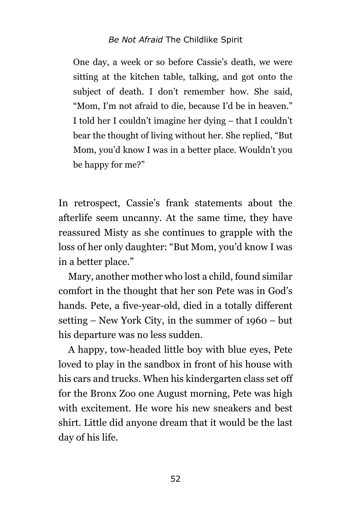## *Be Not Afraid* The Childlike Spirit

One day, a week or so before Cassie's death, we were sitting at the kitchen table, talking, and got onto the subject of death. I don't remember how. She said, "Mom, I'm not afraid to die, because I'd be in heaven." I told her I couldn't imagine her dying – that I couldn't bear the thought of living without her. She replied, "But Mom, you'd know I was in a better place. Wouldn't you be happy for me?"

In retrospect, Cassie's frank statements about the afterlife seem uncanny. At the same time, they have reassured Misty as she continues to grapple with the loss of her only daughter: "But Mom, you'd know I was in a better place."

Mary, another mother who lost a child, found similar comfort in the thought that her son Pete was in God's hands. Pete, a five-year-old, died in a totally different setting – New York City, in the summer of 1960 – but his departure was no less sudden.

A happy, tow-headed little boy with blue eyes, Pete loved to play in the sandbox in front of his house with his cars and trucks. When his kindergarten class set off for the Bronx Zoo one August morning, Pete was high with excitement. He wore his new sneakers and best shirt. Little did anyone dream that it would be the last day of his life.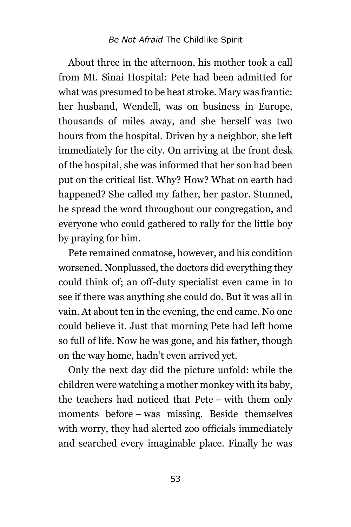About three in the afternoon, his mother took a call from Mt. Sinai Hospital: Pete had been admitted for what was presumed to be heat stroke. Mary was frantic: her husband, Wendell, was on business in Europe, thousands of miles away, and she herself was two hours from the hospital. Driven by a neighbor, she left immediately for the city. On arriving at the front desk of the hospital, she was informed that her son had been put on the critical list. Why? How? What on earth had happened? She called my father, her pastor. Stunned, he spread the word throughout our congregation, and everyone who could gathered to rally for the little boy by praying for him.

Pete remained comatose, however, and his condition worsened. Nonplussed, the doctors did everything they could think of; an off-duty specialist even came in to see if there was anything she could do. But it was all in vain. At about ten in the evening, the end came. No one could believe it. Just that morning Pete had left home so full of life. Now he was gone, and his father, though on the way home, hadn't even arrived yet.

Only the next day did the picture unfold: while the children were watching a mother monkey with its baby, the teachers had noticed that Pete – with them only moments before – was missing. Beside themselves with worry, they had alerted zoo officials immediately and searched every imaginable place. Finally he was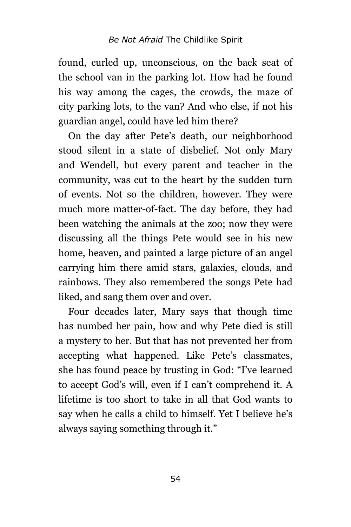found, curled up, unconscious, on the back seat of the school van in the parking lot. How had he found his way among the cages, the crowds, the maze of city parking lots, to the van? And who else, if not his guardian angel, could have led him there?

On the day after Pete's death, our neighborhood stood silent in a state of disbelief. Not only Mary and Wendell, but every parent and teacher in the community, was cut to the heart by the sudden turn of events. Not so the children, however. They were much more matter-of-fact. The day before, they had been watching the animals at the zoo; now they were discussing all the things Pete would see in his new home, heaven, and painted a large picture of an angel carrying him there amid stars, galaxies, clouds, and rainbows. They also remembered the songs Pete had liked, and sang them over and over.

Four decades later, Mary says that though time has numbed her pain, how and why Pete died is still a mystery to her. But that has not prevented her from accepting what happened. Like Pete's classmates, she has found peace by trusting in God: "I've learned to accept God's will, even if I can't comprehend it. A lifetime is too short to take in all that God wants to say when he calls a child to himself. Yet I believe he's always saying something through it."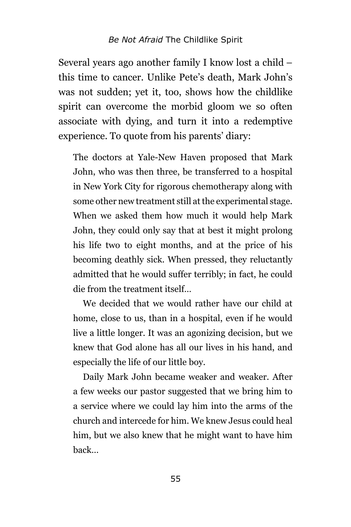Several years ago another family I know lost a child – this time to cancer. Unlike Pete's death, Mark John's was not sudden; yet it, too, shows how the childlike spirit can overcome the morbid gloom we so often associate with dying, and turn it into a redemptive experience. To quote from his parents' diary:

The doctors at Yale-New Haven proposed that Mark John, who was then three, be transferred to a hospital in New York City for rigorous chemotherapy along with some other new treatment still at the experimental stage. When we asked them how much it would help Mark John, they could only say that at best it might prolong his life two to eight months, and at the price of his becoming deathly sick. When pressed, they reluctantly admitted that he would suffer terribly; in fact, he could die from the treatment itself…

We decided that we would rather have our child at home, close to us, than in a hospital, even if he would live a little longer. It was an agonizing decision, but we knew that God alone has all our lives in his hand, and especially the life of our little boy.

Daily Mark John became weaker and weaker. After a few weeks our pastor suggested that we bring him to a service where we could lay him into the arms of the church and intercede for him. We knew Jesus could heal him, but we also knew that he might want to have him back…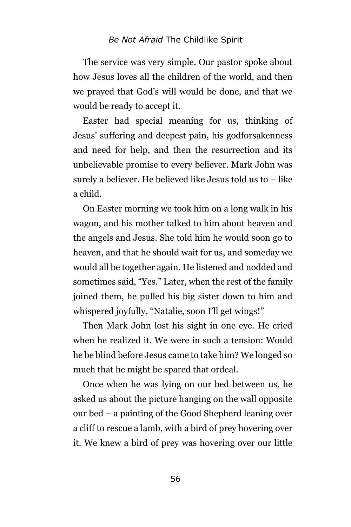The service was very simple. Our pastor spoke about how Jesus loves all the children of the world, and then we prayed that God's will would be done, and that we would be ready to accept it.

Easter had special meaning for us, thinking of Jesus' suffering and deepest pain, his godforsakenness and need for help, and then the resurrection and its unbelievable promise to every believer. Mark John was surely a believer. He believed like Jesus told us to – like a child.

On Easter morning we took him on a long walk in his wagon, and his mother talked to him about heaven and the angels and Jesus. She told him he would soon go to heaven, and that he should wait for us, and someday we would all be together again. He listened and nodded and sometimes said, "Yes." Later, when the rest of the family joined them, he pulled his big sister down to him and whispered joyfully, "Natalie, soon I'll get wings!"

Then Mark John lost his sight in one eye. He cried when he realized it. We were in such a tension: Would he be blind before Jesus came to take him? We longed so much that he might be spared that ordeal.

Once when he was lying on our bed between us, he asked us about the picture hanging on the wall opposite our bed – a painting of the Good Shepherd leaning over a cliff to rescue a lamb, with a bird of prey hovering over it. We knew a bird of prey was hovering over our little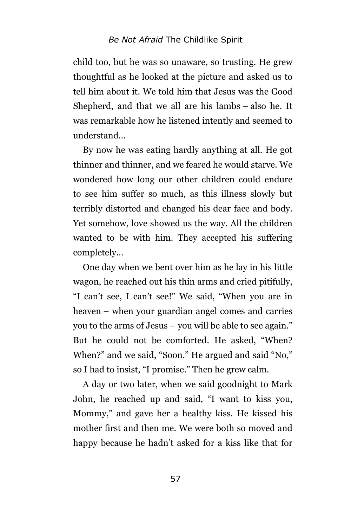child too, but he was so unaware, so trusting. He grew thoughtful as he looked at the picture and asked us to tell him about it. We told him that Jesus was the Good Shepherd, and that we all are his lambs – also he. It was remarkable how he listened intently and seemed to understand…

By now he was eating hardly anything at all. He got thinner and thinner, and we feared he would starve. We wondered how long our other children could endure to see him suffer so much, as this illness slowly but terribly distorted and changed his dear face and body. Yet somehow, love showed us the way. All the children wanted to be with him. They accepted his suffering completely…

One day when we bent over him as he lay in his little wagon, he reached out his thin arms and cried pitifully, "I can't see, I can't see!" We said, "When you are in heaven – when your guardian angel comes and carries you to the arms of Jesus – you will be able to see again." But he could not be comforted. He asked, "When? When?" and we said, "Soon." He argued and said "No," so I had to insist, "I promise." Then he grew calm.

A day or two later, when we said goodnight to Mark John, he reached up and said, "I want to kiss you, Mommy," and gave her a healthy kiss. He kissed his mother first and then me. We were both so moved and happy because he hadn't asked for a kiss like that for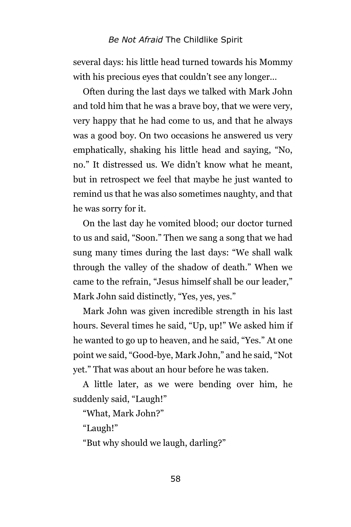#### *Be Not Afraid* The Childlike Spirit

several days: his little head turned towards his Mommy with his precious eyes that couldn't see any longer…

Often during the last days we talked with Mark John and told him that he was a brave boy, that we were very, very happy that he had come to us, and that he always was a good boy. On two occasions he answered us very emphatically, shaking his little head and saying, "No, no." It distressed us. We didn't know what he meant, but in retrospect we feel that maybe he just wanted to remind us that he was also sometimes naughty, and that he was sorry for it.

On the last day he vomited blood; our doctor turned to us and said, "Soon." Then we sang a song that we had sung many times during the last days: "We shall walk through the valley of the shadow of death." When we came to the refrain, "Jesus himself shall be our leader," Mark John said distinctly, "Yes, yes, yes."

Mark John was given incredible strength in his last hours. Several times he said, "Up, up!" We asked him if he wanted to go up to heaven, and he said, "Yes." At one point we said, "Good-bye, Mark John," and he said, "Not yet." That was about an hour before he was taken.

A little later, as we were bending over him, he suddenly said, "Laugh!"

"What, Mark John?"

"Laugh!"

"But why should we laugh, darling?"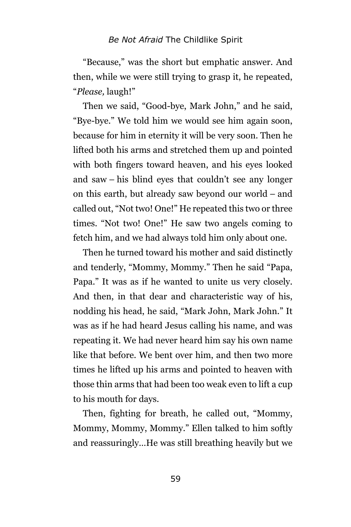#### *Be Not Afraid* The Childlike Spirit

"Because," was the short but emphatic answer. And then, while we were still trying to grasp it, he repeated, "*Please,* laugh!"

Then we said, "Good-bye, Mark John," and he said, "Bye-bye." We told him we would see him again soon, because for him in eternity it will be very soon. Then he lifted both his arms and stretched them up and pointed with both fingers toward heaven, and his eyes looked and saw – his blind eyes that couldn't see any longer on this earth, but already saw beyond our world – and called out, "Not two! One!" He repeated this two or three times. "Not two! One!" He saw two angels coming to fetch him, and we had always told him only about one.

Then he turned toward his mother and said distinctly and tenderly, "Mommy, Mommy." Then he said "Papa, Papa." It was as if he wanted to unite us very closely. And then, in that dear and characteristic way of his, nodding his head, he said, "Mark John, Mark John." It was as if he had heard Jesus calling his name, and was repeating it. We had never heard him say his own name like that before. We bent over him, and then two more times he lifted up his arms and pointed to heaven with those thin arms that had been too weak even to lift a cup to his mouth for days.

Then, fighting for breath, he called out, "Mommy, Mommy, Mommy, Mommy." Ellen talked to him softly and reassuringly…He was still breathing heavily but we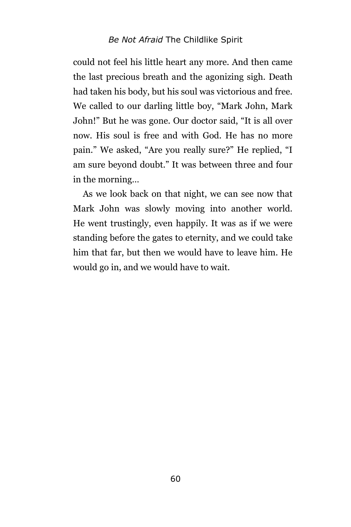#### *Be Not Afraid* The Childlike Spirit

could not feel his little heart any more. And then came the last precious breath and the agonizing sigh. Death had taken his body, but his soul was victorious and free. We called to our darling little boy, "Mark John, Mark John!" But he was gone. Our doctor said, "It is all over now. His soul is free and with God. He has no more pain." We asked, "Are you really sure?" He replied, "I am sure beyond doubt." It was between three and four in the morning…

As we look back on that night, we can see now that Mark John was slowly moving into another world. He went trustingly, even happily. It was as if we were standing before the gates to eternity, and we could take him that far, but then we would have to leave him. He would go in, and we would have to wait.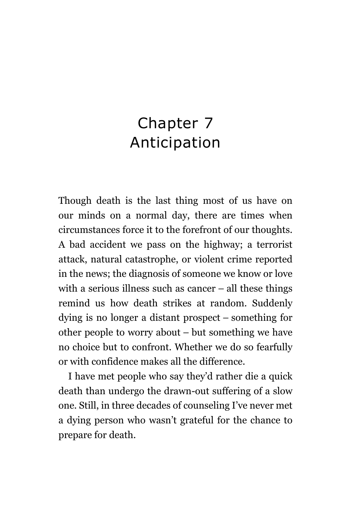# Chapter 7 Anticipation

Though death is the last thing most of us have on our minds on a normal day, there are times when circumstances force it to the forefront of our thoughts. A bad accident we pass on the highway; a terrorist attack, natural catastrophe, or violent crime reported in the news; the diagnosis of someone we know or love with a serious illness such as cancer – all these things remind us how death strikes at random. Suddenly dying is no longer a distant prospect – something for other people to worry about – but something we have no choice but to confront. Whether we do so fearfully or with confidence makes all the difference.

I have met people who say they'd rather die a quick death than undergo the drawn-out suffering of a slow one. Still, in three decades of counseling I've never met a dying person who wasn't grateful for the chance to prepare for death.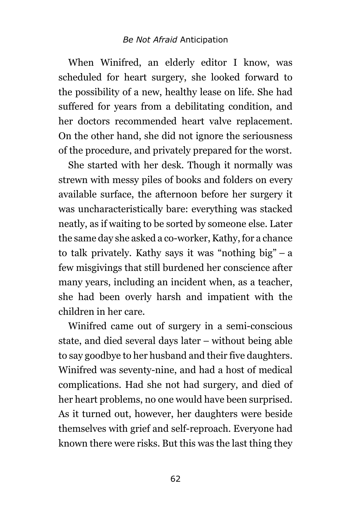### *Be Not Afraid* Anticipation

When Winifred, an elderly editor I know, was scheduled for heart surgery, she looked forward to the possibility of a new, healthy lease on life. She had suffered for years from a debilitating condition, and her doctors recommended heart valve replacement. On the other hand, she did not ignore the seriousness of the procedure, and privately prepared for the worst.

She started with her desk. Though it normally was strewn with messy piles of books and folders on every available surface, the afternoon before her surgery it was uncharacteristically bare: everything was stacked neatly, as if waiting to be sorted by someone else. Later the same day she asked a co-worker, Kathy, for a chance to talk privately. Kathy says it was "nothing big" – a few misgivings that still burdened her conscience after many years, including an incident when, as a teacher, she had been overly harsh and impatient with the children in her care.

Winifred came out of surgery in a semi-conscious state, and died several days later – without being able to say goodbye to her husband and their five daughters. Winifred was seventy-nine, and had a host of medical complications. Had she not had surgery, and died of her heart problems, no one would have been surprised. As it turned out, however, her daughters were beside themselves with grief and self-reproach. Everyone had known there were risks. But this was the last thing they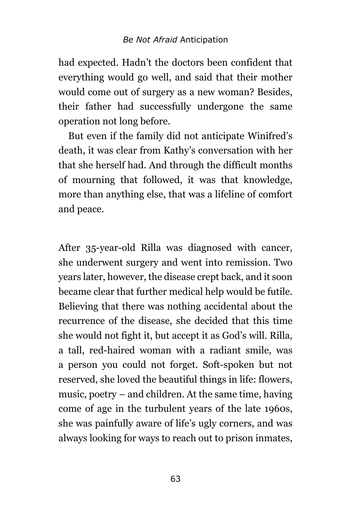had expected. Hadn't the doctors been confident that everything would go well, and said that their mother would come out of surgery as a new woman? Besides, their father had successfully undergone the same operation not long before.

But even if the family did not anticipate Winifred's death, it was clear from Kathy's conversation with her that she herself had. And through the difficult months of mourning that followed, it was that knowledge, more than anything else, that was a lifeline of comfort and peace.

After 35-year-old Rilla was diagnosed with cancer, she underwent surgery and went into remission. Two years later, however, the disease crept back, and it soon became clear that further medical help would be futile. Believing that there was nothing accidental about the recurrence of the disease, she decided that this time she would not fight it, but accept it as God's will. Rilla, a tall, red-haired woman with a radiant smile, was a person you could not forget. Soft-spoken but not reserved, she loved the beautiful things in life: flowers, music, poetry – and children. At the same time, having come of age in the turbulent years of the late 1960s, she was painfully aware of life's ugly corners, and was always looking for ways to reach out to prison inmates,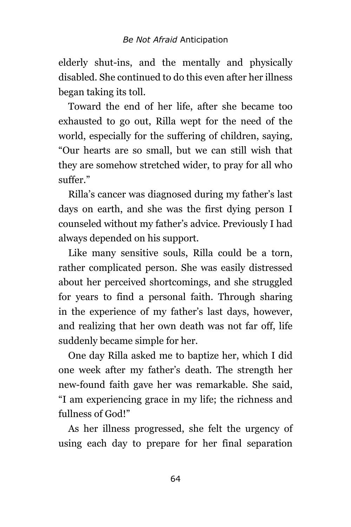elderly shut-ins, and the mentally and physically disabled. She continued to do this even after her illness began taking its toll.

Toward the end of her life, after she became too exhausted to go out, Rilla wept for the need of the world, especially for the suffering of children, saying, "Our hearts are so small, but we can still wish that they are somehow stretched wider, to pray for all who suffer."

Rilla's cancer was diagnosed during my father's last days on earth, and she was the first dying person I counseled without my father's advice. Previously I had always depended on his support.

Like many sensitive souls, Rilla could be a torn, rather complicated person. She was easily distressed about her perceived shortcomings, and she struggled for years to find a personal faith. Through sharing in the experience of my father's last days, however, and realizing that her own death was not far off, life suddenly became simple for her.

One day Rilla asked me to baptize her, which I did one week after my father's death. The strength her new-found faith gave her was remarkable. She said, "I am experiencing grace in my life; the richness and fullness of God!"

As her illness progressed, she felt the urgency of using each day to prepare for her final separation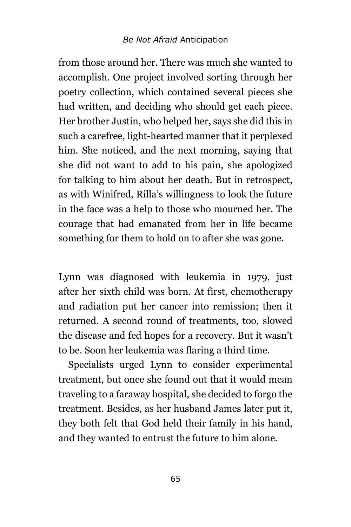## *Be Not Afraid* Anticipation

from those around her. There was much she wanted to accomplish. One project involved sorting through her poetry collection, which contained several pieces she had written, and deciding who should get each piece. Her brother Justin, who helped her, says she did this in such a carefree, light-hearted manner that it perplexed him. She noticed, and the next morning, saying that she did not want to add to his pain, she apologized for talking to him about her death. But in retrospect, as with Winifred, Rilla's willingness to look the future in the face was a help to those who mourned her. The courage that had emanated from her in life became something for them to hold on to after she was gone.

Lynn was diagnosed with leukemia in 1979, just after her sixth child was born. At first, chemotherapy and radiation put her cancer into remission; then it returned. A second round of treatments, too, slowed the disease and fed hopes for a recovery. But it wasn't to be. Soon her leukemia was flaring a third time.

Specialists urged Lynn to consider experimental treatment, but once she found out that it would mean traveling to a faraway hospital, she decided to forgo the treatment. Besides, as her husband James later put it, they both felt that God held their family in his hand, and they wanted to entrust the future to him alone.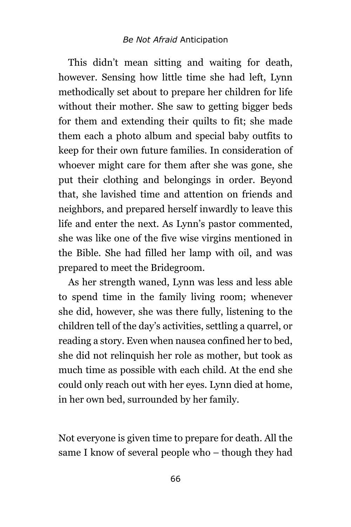This didn't mean sitting and waiting for death, however. Sensing how little time she had left, Lynn methodically set about to prepare her children for life without their mother. She saw to getting bigger beds for them and extending their quilts to fit; she made them each a photo album and special baby outfits to keep for their own future families. In consideration of whoever might care for them after she was gone, she put their clothing and belongings in order. Beyond that, she lavished time and attention on friends and neighbors, and prepared herself inwardly to leave this life and enter the next. As Lynn's pastor commented, she was like one of the five wise virgins mentioned in the Bible. She had filled her lamp with oil, and was prepared to meet the Bridegroom.

As her strength waned, Lynn was less and less able to spend time in the family living room; whenever she did, however, she was there fully, listening to the children tell of the day's activities, settling a quarrel, or reading a story. Even when nausea confined her to bed, she did not relinquish her role as mother, but took as much time as possible with each child. At the end she could only reach out with her eyes. Lynn died at home, in her own bed, surrounded by her family.

Not everyone is given time to prepare for death. All the same I know of several people who – though they had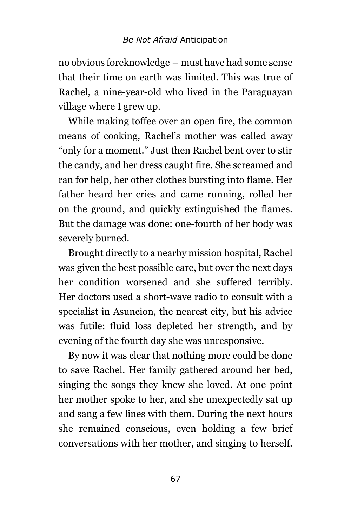no obvious foreknowledge – must have had some sense that their time on earth was limited. This was true of Rachel, a nine-year-old who lived in the Paraguayan village where I grew up.

While making toffee over an open fire, the common means of cooking, Rachel's mother was called away "only for a moment." Just then Rachel bent over to stir the candy, and her dress caught fire. She screamed and ran for help, her other clothes bursting into flame. Her father heard her cries and came running, rolled her on the ground, and quickly extinguished the flames. But the damage was done: one-fourth of her body was severely burned.

Brought directly to a nearby mission hospital, Rachel was given the best possible care, but over the next days her condition worsened and she suffered terribly. Her doctors used a short-wave radio to consult with a specialist in Asuncion, the nearest city, but his advice was futile: fluid loss depleted her strength, and by evening of the fourth day she was unresponsive.

By now it was clear that nothing more could be done to save Rachel. Her family gathered around her bed, singing the songs they knew she loved. At one point her mother spoke to her, and she unexpectedly sat up and sang a few lines with them. During the next hours she remained conscious, even holding a few brief conversations with her mother, and singing to herself.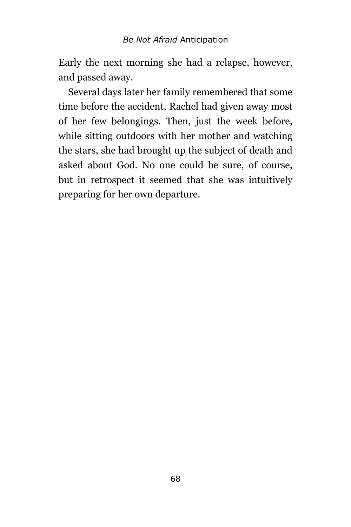Early the next morning she had a relapse, however, and passed away.

Several days later her family remembered that some time before the accident, Rachel had given away most of her few belongings. Then, just the week before, while sitting outdoors with her mother and watching the stars, she had brought up the subject of death and asked about God. No one could be sure, of course, but in retrospect it seemed that she was intuitively preparing for her own departure.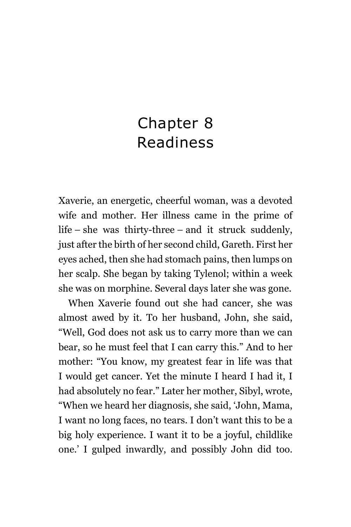# Chapter 8 Readiness

Xaverie, an energetic, cheerful woman, was a devoted wife and mother. Her illness came in the prime of life – she was thirty-three – and it struck suddenly, just after the birth of her second child, Gareth. First her eyes ached, then she had stomach pains, then lumps on her scalp. She began by taking Tylenol; within a week she was on morphine. Several days later she was gone.

When Xaverie found out she had cancer, she was almost awed by it. To her husband, John, she said, "Well, God does not ask us to carry more than we can bear, so he must feel that I can carry this." And to her mother: "You know, my greatest fear in life was that I would get cancer. Yet the minute I heard I had it, I had absolutely no fear." Later her mother, Sibyl, wrote, "When we heard her diagnosis, she said, 'John, Mama, I want no long faces, no tears. I don't want this to be a big holy experience. I want it to be a joyful, childlike one.' I gulped inwardly, and possibly John did too.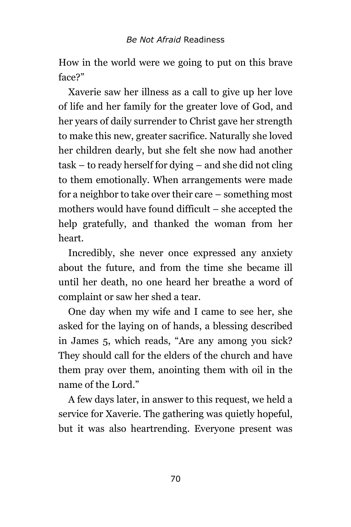How in the world were we going to put on this brave face?"

Xaverie saw her illness as a call to give up her love of life and her family for the greater love of God, and her years of daily surrender to Christ gave her strength to make this new, greater sacrifice. Naturally she loved her children dearly, but she felt she now had another task – to ready herself for dying – and she did not cling to them emotionally. When arrangements were made for a neighbor to take over their care – something most mothers would have found difficult – she accepted the help gratefully, and thanked the woman from her heart.

Incredibly, she never once expressed any anxiety about the future, and from the time she became ill until her death, no one heard her breathe a word of complaint or saw her shed a tear.

One day when my wife and I came to see her, she asked for the laying on of hands, a blessing described in James 5, which reads, "Are any among you sick? They should call for the elders of the church and have them pray over them, anointing them with oil in the name of the Lord."

A few days later, in answer to this request, we held a service for Xaverie. The gathering was quietly hopeful, but it was also heartrending. Everyone present was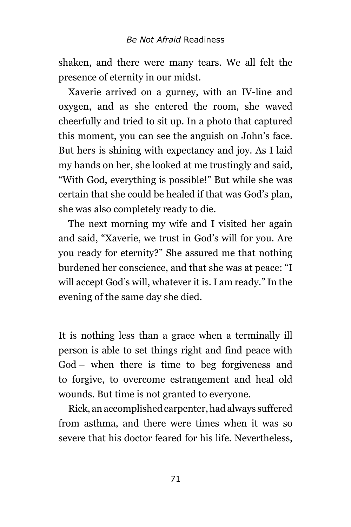shaken, and there were many tears. We all felt the presence of eternity in our midst.

Xaverie arrived on a gurney, with an IV-line and oxygen, and as she entered the room, she waved cheerfully and tried to sit up. In a photo that captured this moment, you can see the anguish on John's face. But hers is shining with expectancy and joy. As I laid my hands on her, she looked at me trustingly and said, "With God, everything is possible!" But while she was certain that she could be healed if that was God's plan, she was also completely ready to die.

The next morning my wife and I visited her again and said, "Xaverie, we trust in God's will for you. Are you ready for eternity?" She assured me that nothing burdened her conscience, and that she was at peace: "I will accept God's will, whatever it is. I am ready." In the evening of the same day she died.

It is nothing less than a grace when a terminally ill person is able to set things right and find peace with God – when there is time to beg forgiveness and to forgive, to overcome estrangement and heal old wounds. But time is not granted to everyone.

Rick, an accomplished carpenter, had always suffered from asthma, and there were times when it was so severe that his doctor feared for his life. Nevertheless,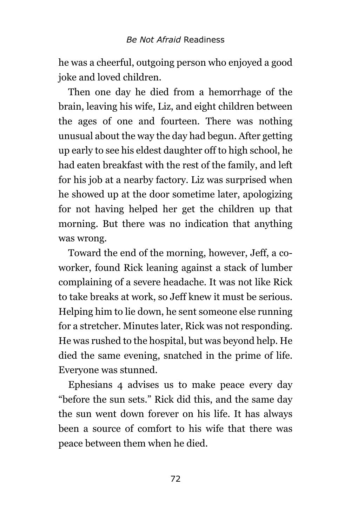he was a cheerful, outgoing person who enjoyed a good joke and loved children.

Then one day he died from a hemorrhage of the brain, leaving his wife, Liz, and eight children between the ages of one and fourteen. There was nothing unusual about the way the day had begun. After getting up early to see his eldest daughter off to high school, he had eaten breakfast with the rest of the family, and left for his job at a nearby factory. Liz was surprised when he showed up at the door sometime later, apologizing for not having helped her get the children up that morning. But there was no indication that anything was wrong.

Toward the end of the morning, however, Jeff, a coworker, found Rick leaning against a stack of lumber complaining of a severe headache. It was not like Rick to take breaks at work, so Jeff knew it must be serious. Helping him to lie down, he sent someone else running for a stretcher. Minutes later, Rick was not responding. He was rushed to the hospital, but was beyond help. He died the same evening, snatched in the prime of life. Everyone was stunned.

Ephesians 4 advises us to make peace every day "before the sun sets." Rick did this, and the same day the sun went down forever on his life. It has always been a source of comfort to his wife that there was peace between them when he died.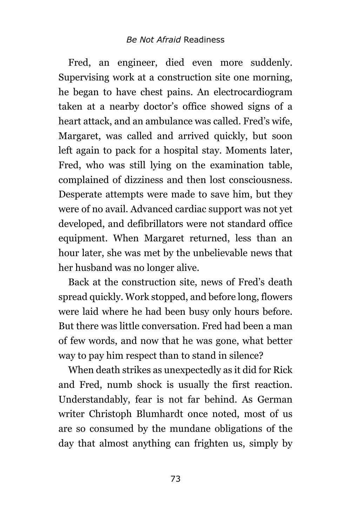Fred, an engineer, died even more suddenly. Supervising work at a construction site one morning, he began to have chest pains. An electrocardiogram taken at a nearby doctor's office showed signs of a heart attack, and an ambulance was called. Fred's wife, Margaret, was called and arrived quickly, but soon left again to pack for a hospital stay. Moments later, Fred, who was still lying on the examination table, complained of dizziness and then lost consciousness. Desperate attempts were made to save him, but they were of no avail. Advanced cardiac support was not yet developed, and defibrillators were not standard office equipment. When Margaret returned, less than an hour later, she was met by the unbelievable news that her husband was no longer alive.

Back at the construction site, news of Fred's death spread quickly. Work stopped, and before long, flowers were laid where he had been busy only hours before. But there was little conversation. Fred had been a man of few words, and now that he was gone, what better way to pay him respect than to stand in silence?

When death strikes as unexpectedly as it did for Rick and Fred, numb shock is usually the first reaction. Understandably, fear is not far behind. As German writer Christoph Blumhardt once noted, most of us are so consumed by the mundane obligations of the day that almost anything can frighten us, simply by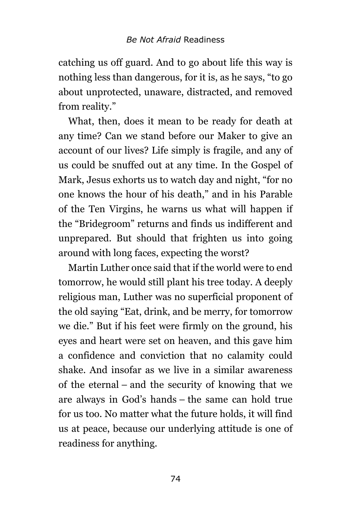catching us off guard. And to go about life this way is nothing less than dangerous, for it is, as he says, "to go about unprotected, unaware, distracted, and removed from reality."

What, then, does it mean to be ready for death at any time? Can we stand before our Maker to give an account of our lives? Life simply is fragile, and any of us could be snuffed out at any time. In the Gospel of Mark, Jesus exhorts us to watch day and night, "for no one knows the hour of his death," and in his Parable of the Ten Virgins, he warns us what will happen if the "Bridegroom" returns and finds us indifferent and unprepared. But should that frighten us into going around with long faces, expecting the worst?

Martin Luther once said that if the world were to end tomorrow, he would still plant his tree today. A deeply religious man, Luther was no superficial proponent of the old saying "Eat, drink, and be merry, for tomorrow we die." But if his feet were firmly on the ground, his eyes and heart were set on heaven, and this gave him a confidence and conviction that no calamity could shake. And insofar as we live in a similar awareness of the eternal – and the security of knowing that we are always in God's hands – the same can hold true for us too. No matter what the future holds, it will find us at peace, because our underlying attitude is one of readiness for anything.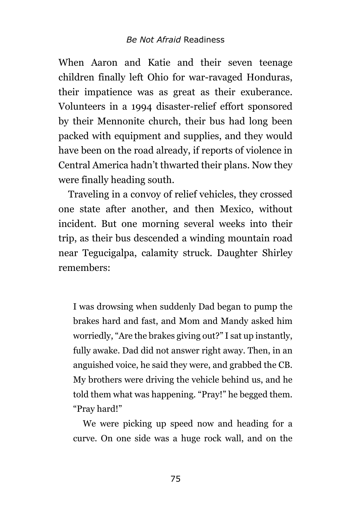When Aaron and Katie and their seven teenage children finally left Ohio for war-ravaged Honduras, their impatience was as great as their exuberance. Volunteers in a 1994 disaster-relief effort sponsored by their Mennonite church, their bus had long been packed with equipment and supplies, and they would have been on the road already, if reports of violence in Central America hadn't thwarted their plans. Now they were finally heading south.

Traveling in a convoy of relief vehicles, they crossed one state after another, and then Mexico, without incident. But one morning several weeks into their trip, as their bus descended a winding mountain road near Tegucigalpa, calamity struck. Daughter Shirley remembers:

I was drowsing when suddenly Dad began to pump the brakes hard and fast, and Mom and Mandy asked him worriedly, "Are the brakes giving out?" I sat up instantly, fully awake. Dad did not answer right away. Then, in an anguished voice, he said they were, and grabbed the CB. My brothers were driving the vehicle behind us, and he told them what was happening. "Pray!" he begged them. "Pray hard!"

We were picking up speed now and heading for a curve. On one side was a huge rock wall, and on the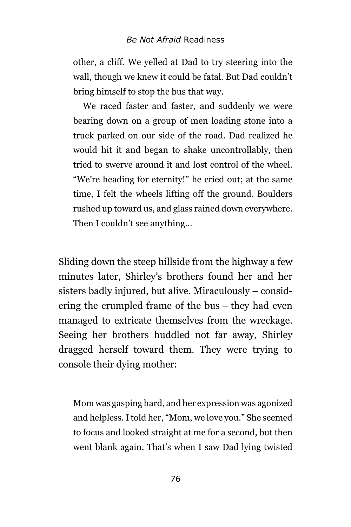other, a cliff. We yelled at Dad to try steering into the wall, though we knew it could be fatal. But Dad couldn't bring himself to stop the bus that way.

We raced faster and faster, and suddenly we were bearing down on a group of men loading stone into a truck parked on our side of the road. Dad realized he would hit it and began to shake uncontrollably, then tried to swerve around it and lost control of the wheel. "We're heading for eternity!" he cried out; at the same time, I felt the wheels lifting off the ground. Boulders rushed up toward us, and glass rained down everywhere. Then I couldn't see anything…

Sliding down the steep hillside from the highway a few minutes later, Shirley's brothers found her and her sisters badly injured, but alive. Miraculously – considering the crumpled frame of the bus – they had even managed to extricate themselves from the wreckage. Seeing her brothers huddled not far away, Shirley dragged herself toward them. They were trying to console their dying mother:

Mom was gasping hard, and her expression was agonized and helpless. I told her, "Mom, we love you." She seemed to focus and looked straight at me for a second, but then went blank again. That's when I saw Dad lying twisted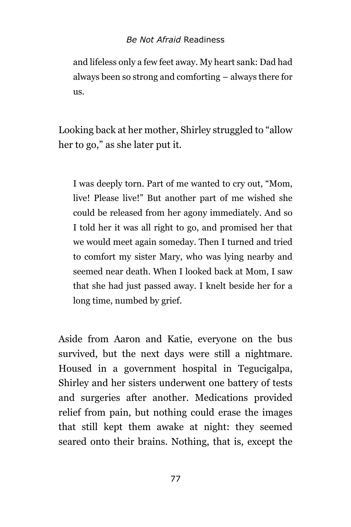## *Be Not Afraid* Readiness

and lifeless only a few feet away. My heart sank: Dad had always been so strong and comforting – always there for us.

Looking back at her mother, Shirley struggled to "allow her to go," as she later put it.

I was deeply torn. Part of me wanted to cry out, "Mom, live! Please live!" But another part of me wished she could be released from her agony immediately. And so I told her it was all right to go, and promised her that we would meet again someday. Then I turned and tried to comfort my sister Mary, who was lying nearby and seemed near death. When I looked back at Mom, I saw that she had just passed away. I knelt beside her for a long time, numbed by grief.

Aside from Aaron and Katie, everyone on the bus survived, but the next days were still a nightmare. Housed in a government hospital in Tegucigalpa, Shirley and her sisters underwent one battery of tests and surgeries after another. Medications provided relief from pain, but nothing could erase the images that still kept them awake at night: they seemed seared onto their brains. Nothing, that is, except the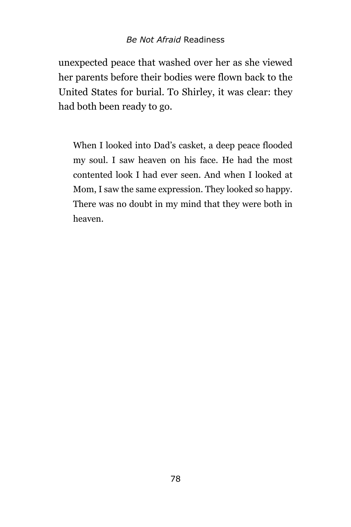# *Be Not Afraid* Readiness

unexpected peace that washed over her as she viewed her parents before their bodies were flown back to the United States for burial. To Shirley, it was clear: they had both been ready to go.

When I looked into Dad's casket, a deep peace flooded my soul. I saw heaven on his face. He had the most contented look I had ever seen. And when I looked at Mom, I saw the same expression. They looked so happy. There was no doubt in my mind that they were both in heaven.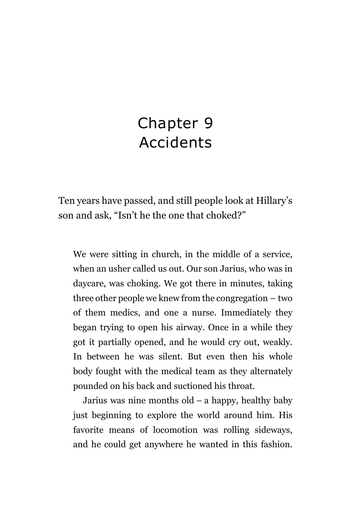# Chapter 9 Accidents

Ten years have passed, and still people look at Hillary's son and ask, "Isn't he the one that choked?"

We were sitting in church, in the middle of a service, when an usher called us out. Our son Jarius, who was in daycare, was choking. We got there in minutes, taking three other people we knew from the congregation – two of them medics, and one a nurse. Immediately they began trying to open his airway. Once in a while they got it partially opened, and he would cry out, weakly. In between he was silent. But even then his whole body fought with the medical team as they alternately pounded on his back and suctioned his throat.

Jarius was nine months old – a happy, healthy baby just beginning to explore the world around him. His favorite means of locomotion was rolling sideways, and he could get anywhere he wanted in this fashion.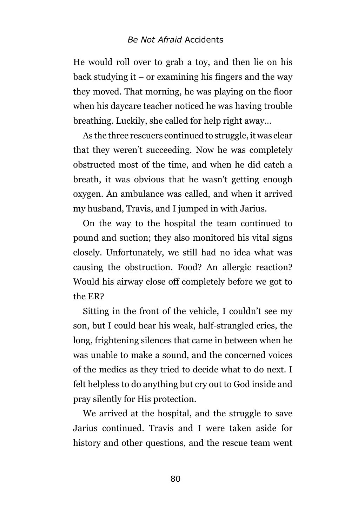He would roll over to grab a toy, and then lie on his back studying it – or examining his fingers and the way they moved. That morning, he was playing on the floor when his daycare teacher noticed he was having trouble breathing. Luckily, she called for help right away…

As the three rescuers continued to struggle, it was clear that they weren't succeeding. Now he was completely obstructed most of the time, and when he did catch a breath, it was obvious that he wasn't getting enough oxygen. An ambulance was called, and when it arrived my husband, Travis, and I jumped in with Jarius.

On the way to the hospital the team continued to pound and suction; they also monitored his vital signs closely. Unfortunately, we still had no idea what was causing the obstruction. Food? An allergic reaction? Would his airway close off completely before we got to the ER?

Sitting in the front of the vehicle, I couldn't see my son, but I could hear his weak, half-strangled cries, the long, frightening silences that came in between when he was unable to make a sound, and the concerned voices of the medics as they tried to decide what to do next. I felt helpless to do anything but cry out to God inside and pray silently for His protection.

We arrived at the hospital, and the struggle to save Jarius continued. Travis and I were taken aside for history and other questions, and the rescue team went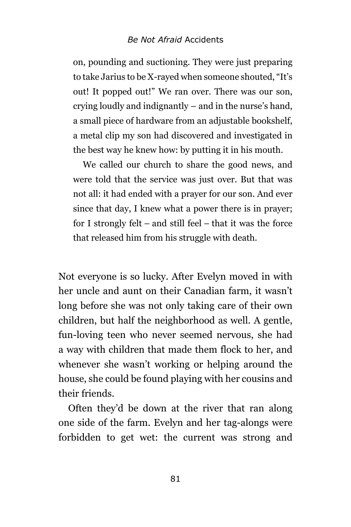### *Be Not Afraid* Accidents

on, pounding and suctioning. They were just preparing to take Jarius to be X-rayed when someone shouted, "It's out! It popped out!" We ran over. There was our son, crying loudly and indignantly – and in the nurse's hand, a small piece of hardware from an adjustable bookshelf, a metal clip my son had discovered and investigated in the best way he knew how: by putting it in his mouth.

We called our church to share the good news, and were told that the service was just over. But that was not all: it had ended with a prayer for our son. And ever since that day, I knew what a power there is in prayer; for I strongly felt – and still feel – that it was the force that released him from his struggle with death.

Not everyone is so lucky. After Evelyn moved in with her uncle and aunt on their Canadian farm, it wasn't long before she was not only taking care of their own children, but half the neighborhood as well. A gentle, fun-loving teen who never seemed nervous, she had a way with children that made them flock to her, and whenever she wasn't working or helping around the house, she could be found playing with her cousins and their friends.

Often they'd be down at the river that ran along one side of the farm. Evelyn and her tag-alongs were forbidden to get wet: the current was strong and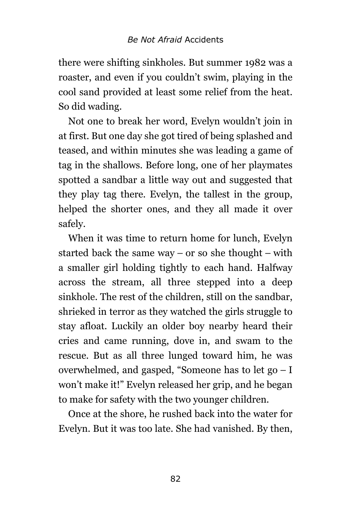there were shifting sinkholes. But summer 1982 was a roaster, and even if you couldn't swim, playing in the cool sand provided at least some relief from the heat. So did wading.

Not one to break her word, Evelyn wouldn't join in at first. But one day she got tired of being splashed and teased, and within minutes she was leading a game of tag in the shallows. Before long, one of her playmates spotted a sandbar a little way out and suggested that they play tag there. Evelyn, the tallest in the group, helped the shorter ones, and they all made it over safely.

When it was time to return home for lunch, Evelyn started back the same way – or so she thought – with a smaller girl holding tightly to each hand. Halfway across the stream, all three stepped into a deep sinkhole. The rest of the children, still on the sandbar, shrieked in terror as they watched the girls struggle to stay afloat. Luckily an older boy nearby heard their cries and came running, dove in, and swam to the rescue. But as all three lunged toward him, he was overwhelmed, and gasped, "Someone has to let go – I won't make it!" Evelyn released her grip, and he began to make for safety with the two younger children.

Once at the shore, he rushed back into the water for Evelyn. But it was too late. She had vanished. By then,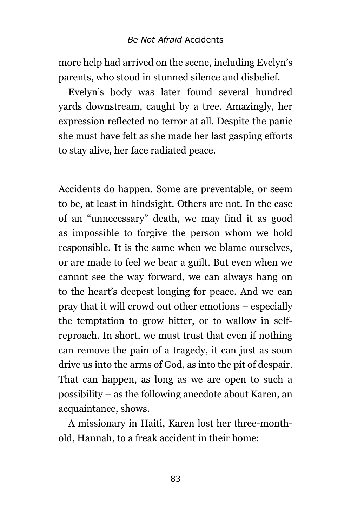more help had arrived on the scene, including Evelyn's parents, who stood in stunned silence and disbelief.

Evelyn's body was later found several hundred yards downstream, caught by a tree. Amazingly, her expression reflected no terror at all. Despite the panic she must have felt as she made her last gasping efforts to stay alive, her face radiated peace.

Accidents do happen. Some are preventable, or seem to be, at least in hindsight. Others are not. In the case of an "unnecessary" death, we may find it as good as impossible to forgive the person whom we hold responsible. It is the same when we blame ourselves, or are made to feel we bear a guilt. But even when we cannot see the way forward, we can always hang on to the heart's deepest longing for peace. And we can pray that it will crowd out other emotions – especially the temptation to grow bitter, or to wallow in selfreproach. In short, we must trust that even if nothing can remove the pain of a tragedy, it can just as soon drive us into the arms of God, as into the pit of despair. That can happen, as long as we are open to such a possibility – as the following anecdote about Karen, an acquaintance, shows.

A missionary in Haiti, Karen lost her three-monthold, Hannah, to a freak accident in their home: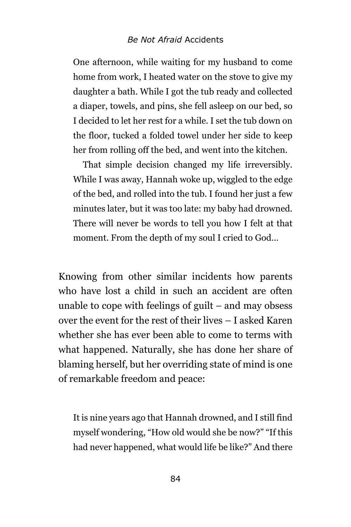### *Be Not Afraid* Accidents

One afternoon, while waiting for my husband to come home from work, I heated water on the stove to give my daughter a bath. While I got the tub ready and collected a diaper, towels, and pins, she fell asleep on our bed, so I decided to let her rest for a while. I set the tub down on the floor, tucked a folded towel under her side to keep her from rolling off the bed, and went into the kitchen.

That simple decision changed my life irreversibly. While I was away, Hannah woke up, wiggled to the edge of the bed, and rolled into the tub. I found her just a few minutes later, but it was too late: my baby had drowned. There will never be words to tell you how I felt at that moment. From the depth of my soul I cried to God…

Knowing from other similar incidents how parents who have lost a child in such an accident are often unable to cope with feelings of guilt – and may obsess over the event for the rest of their lives – I asked Karen whether she has ever been able to come to terms with what happened. Naturally, she has done her share of blaming herself, but her overriding state of mind is one of remarkable freedom and peace:

It is nine years ago that Hannah drowned, and I still find myself wondering, "How old would she be now?" "If this had never happened, what would life be like?" And there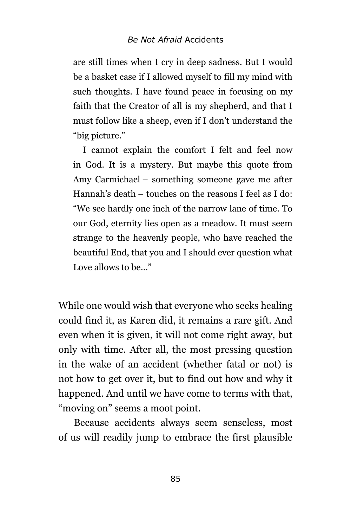are still times when I cry in deep sadness. But I would be a basket case if I allowed myself to fill my mind with such thoughts. I have found peace in focusing on my faith that the Creator of all is my shepherd, and that I must follow like a sheep, even if I don't understand the "big picture."

I cannot explain the comfort I felt and feel now in God. It is a mystery. But maybe this quote from Amy Carmichael – something someone gave me after Hannah's death – touches on the reasons I feel as I do: "We see hardly one inch of the narrow lane of time. To our God, eternity lies open as a meadow. It must seem strange to the heavenly people, who have reached the beautiful End, that you and I should ever question what Love allows to be…"

While one would wish that everyone who seeks healing could find it, as Karen did, it remains a rare gift. And even when it is given, it will not come right away, but only with time. After all, the most pressing question in the wake of an accident (whether fatal or not) is not how to get over it, but to find out how and why it happened. And until we have come to terms with that, "moving on" seems a moot point.

 Because accidents always seem senseless, most of us will readily jump to embrace the first plausible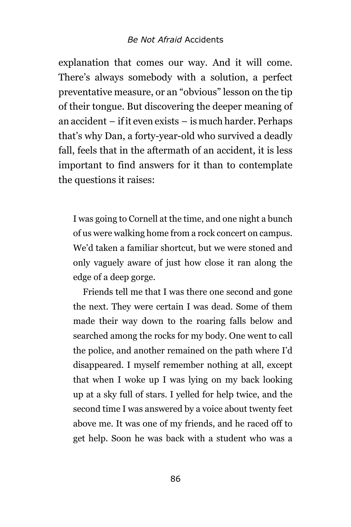#### *Be Not Afraid* Accidents

explanation that comes our way. And it will come. There's always somebody with a solution, a perfect preventative measure, or an "obvious" lesson on the tip of their tongue. But discovering the deeper meaning of an accident – if it even exists – is much harder. Perhaps that's why Dan, a forty-year-old who survived a deadly fall, feels that in the aftermath of an accident, it is less important to find answers for it than to contemplate the questions it raises:

I was going to Cornell at the time, and one night a bunch of us were walking home from a rock concert on campus. We'd taken a familiar shortcut, but we were stoned and only vaguely aware of just how close it ran along the edge of a deep gorge.

Friends tell me that I was there one second and gone the next. They were certain I was dead. Some of them made their way down to the roaring falls below and searched among the rocks for my body. One went to call the police, and another remained on the path where I'd disappeared. I myself remember nothing at all, except that when I woke up I was lying on my back looking up at a sky full of stars. I yelled for help twice, and the second time I was answered by a voice about twenty feet above me. It was one of my friends, and he raced off to get help. Soon he was back with a student who was a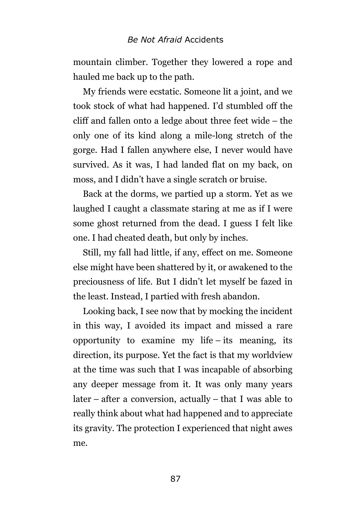mountain climber. Together they lowered a rope and hauled me back up to the path.

My friends were ecstatic. Someone lit a joint, and we took stock of what had happened. I'd stumbled off the cliff and fallen onto a ledge about three feet wide – the only one of its kind along a mile-long stretch of the gorge. Had I fallen anywhere else, I never would have survived. As it was, I had landed flat on my back, on moss, and I didn't have a single scratch or bruise.

Back at the dorms, we partied up a storm. Yet as we laughed I caught a classmate staring at me as if I were some ghost returned from the dead. I guess I felt like one. I had cheated death, but only by inches.

Still, my fall had little, if any, effect on me. Someone else might have been shattered by it, or awakened to the preciousness of life. But I didn't let myself be fazed in the least. Instead, I partied with fresh abandon.

Looking back, I see now that by mocking the incident in this way, I avoided its impact and missed a rare opportunity to examine my life – its meaning, its direction, its purpose. Yet the fact is that my worldview at the time was such that I was incapable of absorbing any deeper message from it. It was only many years later – after a conversion, actually – that I was able to really think about what had happened and to appreciate its gravity. The protection I experienced that night awes me.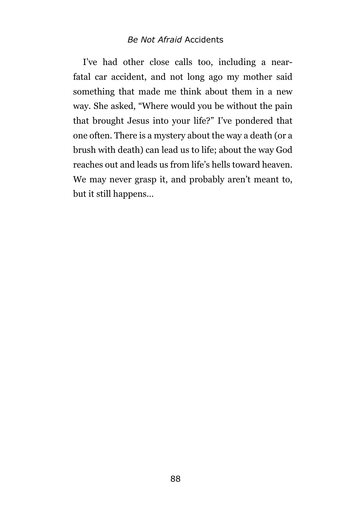#### *Be Not Afraid* Accidents

I've had other close calls too, including a nearfatal car accident, and not long ago my mother said something that made me think about them in a new way. She asked, "Where would you be without the pain that brought Jesus into your life?" I've pondered that one often. There is a mystery about the way a death (or a brush with death) can lead us to life; about the way God reaches out and leads us from life's hells toward heaven. We may never grasp it, and probably aren't meant to, but it still happens…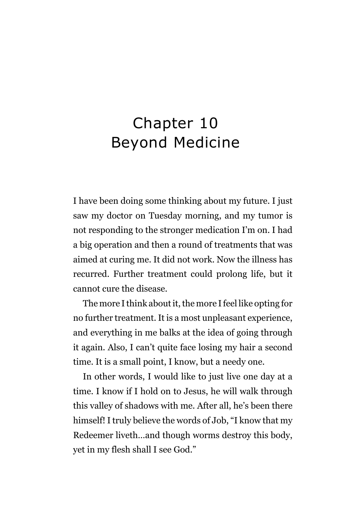# Chapter 10 Beyond Medicine

I have been doing some thinking about my future. I just saw my doctor on Tuesday morning, and my tumor is not responding to the stronger medication I'm on. I had a big operation and then a round of treatments that was aimed at curing me. It did not work. Now the illness has recurred. Further treatment could prolong life, but it cannot cure the disease.

The more I think about it, the more I feel like opting for no further treatment. It is a most unpleasant experience, and everything in me balks at the idea of going through it again. Also, I can't quite face losing my hair a second time. It is a small point, I know, but a needy one.

In other words, I would like to just live one day at a time. I know if I hold on to Jesus, he will walk through this valley of shadows with me. After all, he's been there himself! I truly believe the words of Job, "I know that my Redeemer liveth…and though worms destroy this body, yet in my flesh shall I see God."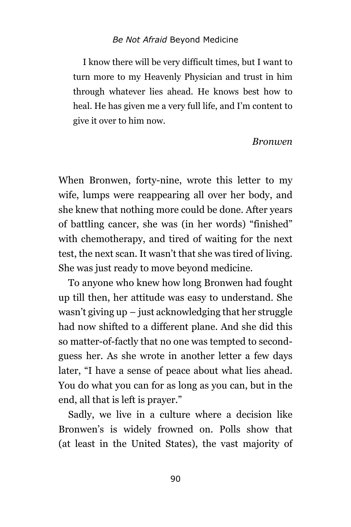#### *Be Not Afraid* Beyond Medicine

I know there will be very difficult times, but I want to turn more to my Heavenly Physician and trust in him through whatever lies ahead. He knows best how to heal. He has given me a very full life, and I'm content to give it over to him now.

#### *Bronwen*

When Bronwen, forty-nine, wrote this letter to my wife, lumps were reappearing all over her body, and she knew that nothing more could be done. After years of battling cancer, she was (in her words) "finished" with chemotherapy, and tired of waiting for the next test, the next scan. It wasn't that she was tired of living. She was just ready to move beyond medicine.

To anyone who knew how long Bronwen had fought up till then, her attitude was easy to understand. She wasn't giving up – just acknowledging that her struggle had now shifted to a different plane. And she did this so matter-of-factly that no one was tempted to secondguess her. As she wrote in another letter a few days later, "I have a sense of peace about what lies ahead. You do what you can for as long as you can, but in the end, all that is left is prayer."

Sadly, we live in a culture where a decision like Bronwen's is widely frowned on. Polls show that (at least in the United States), the vast majority of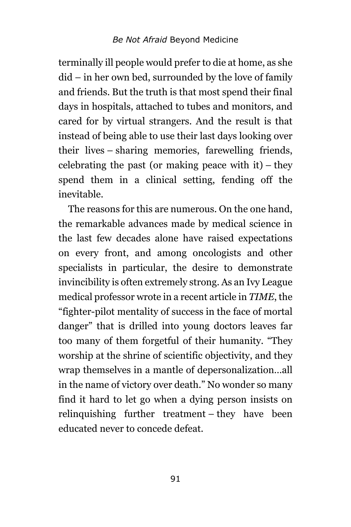terminally ill people would prefer to die at home, as she did – in her own bed, surrounded by the love of family and friends. But the truth is that most spend their final days in hospitals, attached to tubes and monitors, and cared for by virtual strangers. And the result is that instead of being able to use their last days looking over their lives – sharing memories, farewelling friends, celebrating the past (or making peace with it) – they spend them in a clinical setting, fending off the inevitable.

The reasons for this are numerous. On the one hand, the remarkable advances made by medical science in the last few decades alone have raised expectations on every front, and among oncologists and other specialists in particular, the desire to demonstrate invincibility is often extremely strong. As an Ivy League medical professor wrote in a recent article in *TIME*, the "fighter-pilot mentality of success in the face of mortal danger" that is drilled into young doctors leaves far too many of them forgetful of their humanity. "They worship at the shrine of scientific objectivity, and they wrap themselves in a mantle of depersonalization…all in the name of victory over death." No wonder so many find it hard to let go when a dying person insists on relinquishing further treatment – they have been educated never to concede defeat.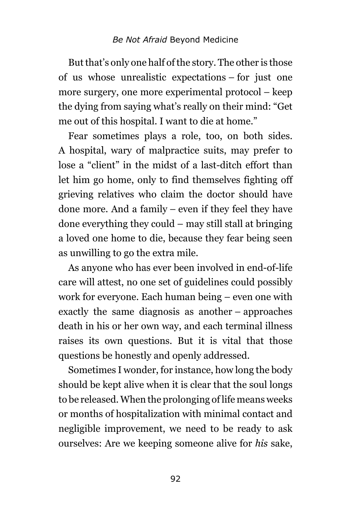But that's only one half of the story. The other is those of us whose unrealistic expectations – for just one more surgery, one more experimental protocol – keep the dying from saying what's really on their mind: "Get me out of this hospital. I want to die at home."

Fear sometimes plays a role, too, on both sides. A hospital, wary of malpractice suits, may prefer to lose a "client" in the midst of a last-ditch effort than let him go home, only to find themselves fighting off grieving relatives who claim the doctor should have done more. And a family – even if they feel they have done everything they could – may still stall at bringing a loved one home to die, because they fear being seen as unwilling to go the extra mile.

As anyone who has ever been involved in end-of-life care will attest, no one set of guidelines could possibly work for everyone. Each human being – even one with exactly the same diagnosis as another – approaches death in his or her own way, and each terminal illness raises its own questions. But it is vital that those questions be honestly and openly addressed.

Sometimes I wonder, for instance, how long the body should be kept alive when it is clear that the soul longs to be released. When the prolonging of life means weeks or months of hospitalization with minimal contact and negligible improvement, we need to be ready to ask ourselves: Are we keeping someone alive for *his* sake,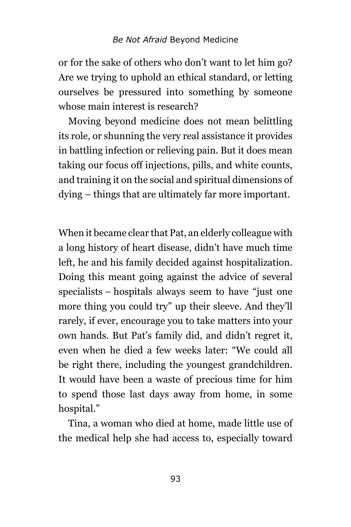or for the sake of others who don't want to let him go? Are we trying to uphold an ethical standard, or letting ourselves be pressured into something by someone whose main interest is research?

Moving beyond medicine does not mean belittling its role, or shunning the very real assistance it provides in battling infection or relieving pain. But it does mean taking our focus off injections, pills, and white counts, and training it on the social and spiritual dimensions of dying – things that are ultimately far more important.

When it became clear that Pat, an elderly colleague with a long history of heart disease, didn't have much time left, he and his family decided against hospitalization. Doing this meant going against the advice of several specialists – hospitals always seem to have "just one more thing you could try" up their sleeve. And they'll rarely, if ever, encourage you to take matters into your own hands. But Pat's family did, and didn't regret it, even when he died a few weeks later: "We could all be right there, including the youngest grandchildren. It would have been a waste of precious time for him to spend those last days away from home, in some hospital."

Tina, a woman who died at home, made little use of the medical help she had access to, especially toward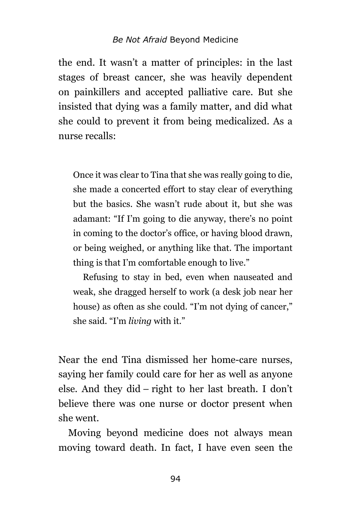### *Be Not Afraid* Beyond Medicine

the end. It wasn't a matter of principles: in the last stages of breast cancer, she was heavily dependent on painkillers and accepted palliative care. But she insisted that dying was a family matter, and did what she could to prevent it from being medicalized. As a nurse recalls:

Once it was clear to Tina that she was really going to die, she made a concerted effort to stay clear of everything but the basics. She wasn't rude about it, but she was adamant: "If I'm going to die anyway, there's no point in coming to the doctor's office, or having blood drawn, or being weighed, or anything like that. The important thing is that I'm comfortable enough to live."

Refusing to stay in bed, even when nauseated and weak, she dragged herself to work (a desk job near her house) as often as she could. "I'm not dying of cancer," she said. "I'm *living* with it."

Near the end Tina dismissed her home-care nurses, saying her family could care for her as well as anyone else. And they did – right to her last breath. I don't believe there was one nurse or doctor present when she went.

Moving beyond medicine does not always mean moving toward death. In fact, I have even seen the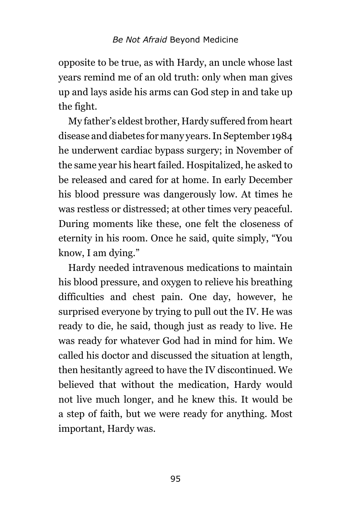opposite to be true, as with Hardy, an uncle whose last years remind me of an old truth: only when man gives up and lays aside his arms can God step in and take up the fight.

My father's eldest brother, Hardy suffered from heart disease and diabetes for many years. In September 1984 he underwent cardiac bypass surgery; in November of the same year his heart failed. Hospitalized, he asked to be released and cared for at home. In early December his blood pressure was dangerously low. At times he was restless or distressed; at other times very peaceful. During moments like these, one felt the closeness of eternity in his room. Once he said, quite simply, "You know, I am dying."

Hardy needed intravenous medications to maintain his blood pressure, and oxygen to relieve his breathing difficulties and chest pain. One day, however, he surprised everyone by trying to pull out the IV. He was ready to die, he said, though just as ready to live. He was ready for whatever God had in mind for him. We called his doctor and discussed the situation at length, then hesitantly agreed to have the IV discontinued. We believed that without the medication, Hardy would not live much longer, and he knew this. It would be a step of faith, but we were ready for anything. Most important, Hardy was.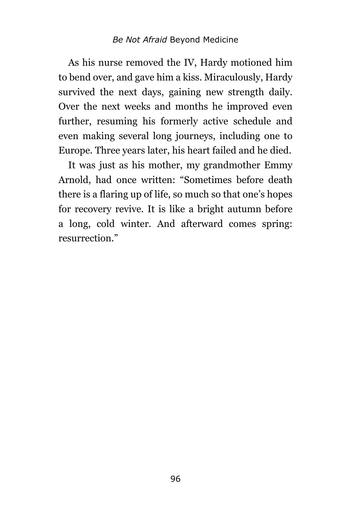#### *Be Not Afraid* Beyond Medicine

As his nurse removed the IV, Hardy motioned him to bend over, and gave him a kiss. Miraculously, Hardy survived the next days, gaining new strength daily. Over the next weeks and months he improved even further, resuming his formerly active schedule and even making several long journeys, including one to Europe. Three years later, his heart failed and he died.

It was just as his mother, my grandmother Emmy Arnold, had once written: "Sometimes before death there is a flaring up of life, so much so that one's hopes for recovery revive. It is like a bright autumn before a long, cold winter. And afterward comes spring: resurrection."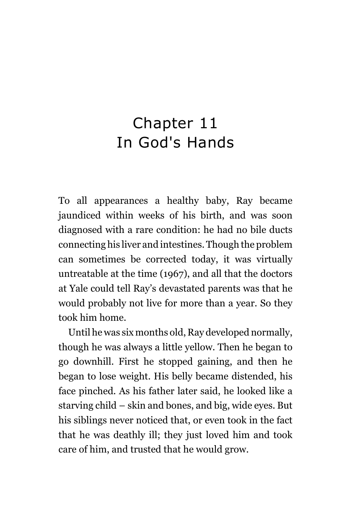# Chapter 11 In God's Hands

To all appearances a healthy baby, Ray became jaundiced within weeks of his birth, and was soon diagnosed with a rare condition: he had no bile ducts connecting his liver and intestines. Though the problem can sometimes be corrected today, it was virtually untreatable at the time (1967), and all that the doctors at Yale could tell Ray's devastated parents was that he would probably not live for more than a year. So they took him home.

Until he was six months old, Ray developed normally, though he was always a little yellow. Then he began to go downhill. First he stopped gaining, and then he began to lose weight. His belly became distended, his face pinched. As his father later said, he looked like a starving child – skin and bones, and big, wide eyes. But his siblings never noticed that, or even took in the fact that he was deathly ill; they just loved him and took care of him, and trusted that he would grow.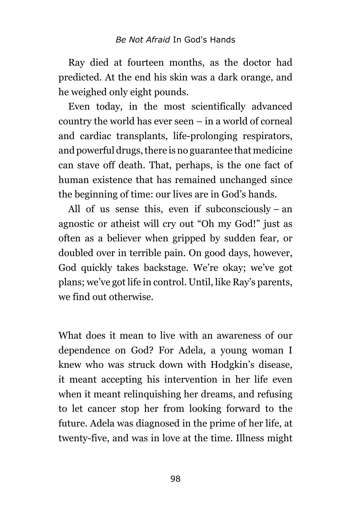Ray died at fourteen months, as the doctor had predicted. At the end his skin was a dark orange, and he weighed only eight pounds.

Even today, in the most scientifically advanced country the world has ever seen – in a world of corneal and cardiac transplants, life-prolonging respirators, and powerful drugs, there is no guarantee that medicine can stave off death. That, perhaps, is the one fact of human existence that has remained unchanged since the beginning of time: our lives are in God's hands.

All of us sense this, even if subconsciously – an agnostic or atheist will cry out "Oh my God!" just as often as a believer when gripped by sudden fear, or doubled over in terrible pain. On good days, however, God quickly takes backstage. We're okay; we've got plans; we've got life in control. Until, like Ray's parents, we find out otherwise.

What does it mean to live with an awareness of our dependence on God? For Adela, a young woman I knew who was struck down with Hodgkin's disease, it meant accepting his intervention in her life even when it meant relinquishing her dreams, and refusing to let cancer stop her from looking forward to the future. Adela was diagnosed in the prime of her life, at twenty-five, and was in love at the time. Illness might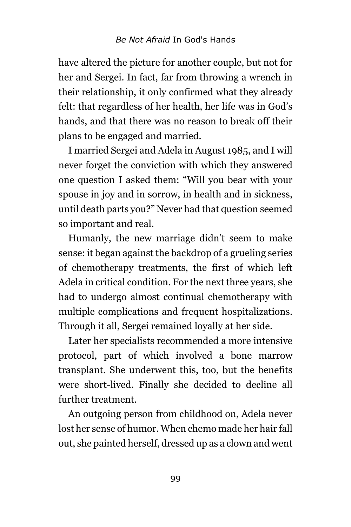have altered the picture for another couple, but not for her and Sergei. In fact, far from throwing a wrench in their relationship, it only confirmed what they already felt: that regardless of her health, her life was in God's hands, and that there was no reason to break off their plans to be engaged and married.

I married Sergei and Adela in August 1985, and I will never forget the conviction with which they answered one question I asked them: "Will you bear with your spouse in joy and in sorrow, in health and in sickness, until death parts you?" Never had that question seemed so important and real.

Humanly, the new marriage didn't seem to make sense: it began against the backdrop of a grueling series of chemotherapy treatments, the first of which left Adela in critical condition. For the next three years, she had to undergo almost continual chemotherapy with multiple complications and frequent hospitalizations. Through it all, Sergei remained loyally at her side.

Later her specialists recommended a more intensive protocol, part of which involved a bone marrow transplant. She underwent this, too, but the benefits were short-lived. Finally she decided to decline all further treatment.

An outgoing person from childhood on, Adela never lost her sense of humor. When chemo made her hair fall out, she painted herself, dressed up as a clown and went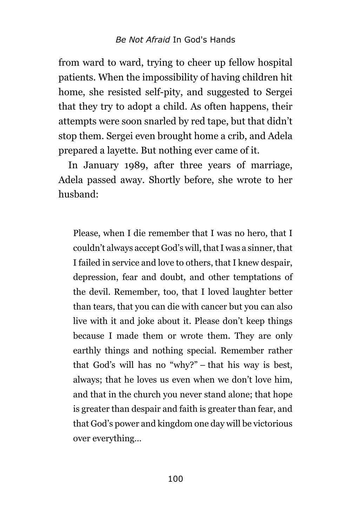from ward to ward, trying to cheer up fellow hospital patients. When the impossibility of having children hit home, she resisted self-pity, and suggested to Sergei that they try to adopt a child. As often happens, their attempts were soon snarled by red tape, but that didn't stop them. Sergei even brought home a crib, and Adela prepared a layette. But nothing ever came of it.

In January 1989, after three years of marriage, Adela passed away. Shortly before, she wrote to her husband:

Please, when I die remember that I was no hero, that I couldn't always accept God's will, that I was a sinner, that I failed in service and love to others, that I knew despair, depression, fear and doubt, and other temptations of the devil. Remember, too, that I loved laughter better than tears, that you can die with cancer but you can also live with it and joke about it. Please don't keep things because I made them or wrote them. They are only earthly things and nothing special. Remember rather that God's will has no "why?" – that his way is best, always; that he loves us even when we don't love him, and that in the church you never stand alone; that hope is greater than despair and faith is greater than fear, and that God's power and kingdom one day will be victorious over everything…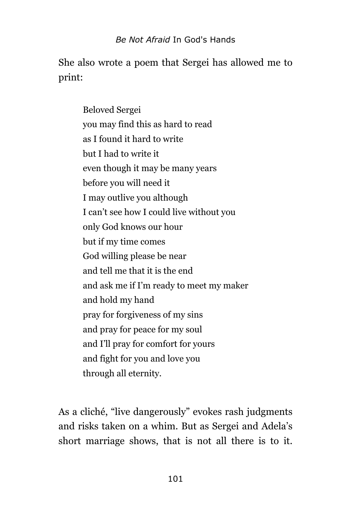She also wrote a poem that Sergei has allowed me to print:

Beloved Sergei you may find this as hard to read as I found it hard to write but I had to write it even though it may be many years before you will need it I may outlive you although I can't see how I could live without you only God knows our hour but if my time comes God willing please be near and tell me that it is the end and ask me if I'm ready to meet my maker and hold my hand pray for forgiveness of my sins and pray for peace for my soul and I'll pray for comfort for yours and fight for you and love you through all eternity.

As a cliché, "live dangerously" evokes rash judgments and risks taken on a whim. But as Sergei and Adela's short marriage shows, that is not all there is to it.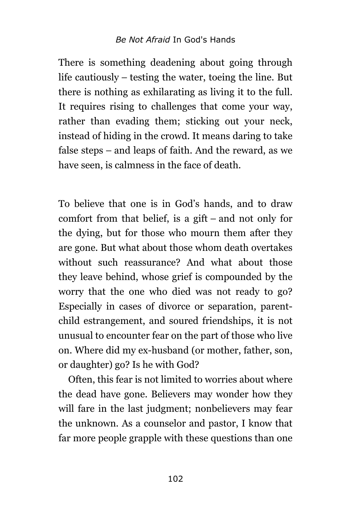There is something deadening about going through life cautiously – testing the water, toeing the line. But there is nothing as exhilarating as living it to the full. It requires rising to challenges that come your way, rather than evading them; sticking out your neck, instead of hiding in the crowd. It means daring to take false steps – and leaps of faith. And the reward, as we have seen, is calmness in the face of death.

To believe that one is in God's hands, and to draw comfort from that belief, is a gift – and not only for the dying, but for those who mourn them after they are gone. But what about those whom death overtakes without such reassurance? And what about those they leave behind, whose grief is compounded by the worry that the one who died was not ready to go? Especially in cases of divorce or separation, parentchild estrangement, and soured friendships, it is not unusual to encounter fear on the part of those who live on. Where did my ex-husband (or mother, father, son, or daughter) go? Is he with God?

Often, this fear is not limited to worries about where the dead have gone. Believers may wonder how they will fare in the last judgment; nonbelievers may fear the unknown. As a counselor and pastor, I know that far more people grapple with these questions than one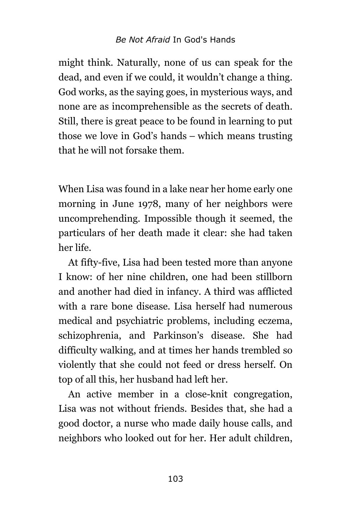might think. Naturally, none of us can speak for the dead, and even if we could, it wouldn't change a thing. God works, as the saying goes, in mysterious ways, and none are as incomprehensible as the secrets of death. Still, there is great peace to be found in learning to put those we love in God's hands – which means trusting that he will not forsake them.

When Lisa was found in a lake near her home early one morning in June 1978, many of her neighbors were uncomprehending. Impossible though it seemed, the particulars of her death made it clear: she had taken her life.

At fifty-five, Lisa had been tested more than anyone I know: of her nine children, one had been stillborn and another had died in infancy. A third was afflicted with a rare bone disease. Lisa herself had numerous medical and psychiatric problems, including eczema, schizophrenia, and Parkinson's disease. She had difficulty walking, and at times her hands trembled so violently that she could not feed or dress herself. On top of all this, her husband had left her.

An active member in a close-knit congregation, Lisa was not without friends. Besides that, she had a good doctor, a nurse who made daily house calls, and neighbors who looked out for her. Her adult children,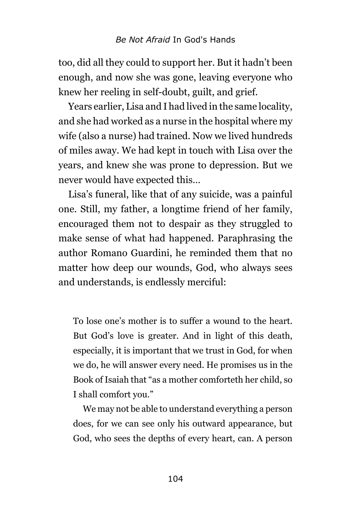too, did all they could to support her. But it hadn't been enough, and now she was gone, leaving everyone who knew her reeling in self-doubt, guilt, and grief.

Years earlier, Lisa and I had lived in the same locality, and she had worked as a nurse in the hospital where my wife (also a nurse) had trained. Now we lived hundreds of miles away. We had kept in touch with Lisa over the years, and knew she was prone to depression. But we never would have expected this…

Lisa's funeral, like that of any suicide, was a painful one. Still, my father, a longtime friend of her family, encouraged them not to despair as they struggled to make sense of what had happened. Paraphrasing the author Romano Guardini, he reminded them that no matter how deep our wounds, God, who always sees and understands, is endlessly merciful:

To lose one's mother is to suffer a wound to the heart. But God's love is greater. And in light of this death, especially, it is important that we trust in God, for when we do, he will answer every need. He promises us in the Book of Isaiah that "as a mother comforteth her child, so I shall comfort you."

We may not be able to understand everything a person does, for we can see only his outward appearance, but God, who sees the depths of every heart, can. A person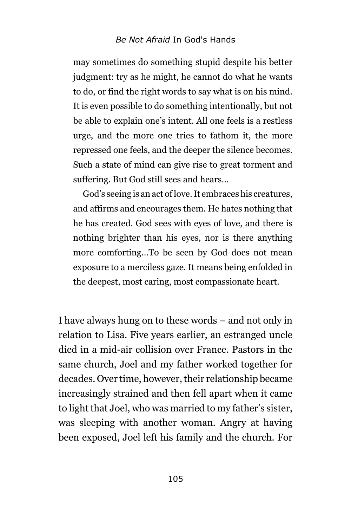may sometimes do something stupid despite his better judgment: try as he might, he cannot do what he wants to do, or find the right words to say what is on his mind. It is even possible to do something intentionally, but not be able to explain one's intent. All one feels is a restless urge, and the more one tries to fathom it, the more repressed one feels, and the deeper the silence becomes. Such a state of mind can give rise to great torment and suffering. But God still sees and hears…

God's seeing is an act of love. It embraces his creatures, and affirms and encourages them. He hates nothing that he has created. God sees with eyes of love, and there is nothing brighter than his eyes, nor is there anything more comforting…To be seen by God does not mean exposure to a merciless gaze. It means being enfolded in the deepest, most caring, most compassionate heart.

I have always hung on to these words – and not only in relation to Lisa. Five years earlier, an estranged uncle died in a mid-air collision over France. Pastors in the same church, Joel and my father worked together for decades. Over time, however, their relationship became increasingly strained and then fell apart when it came to light that Joel, who was married to my father's sister, was sleeping with another woman. Angry at having been exposed, Joel left his family and the church. For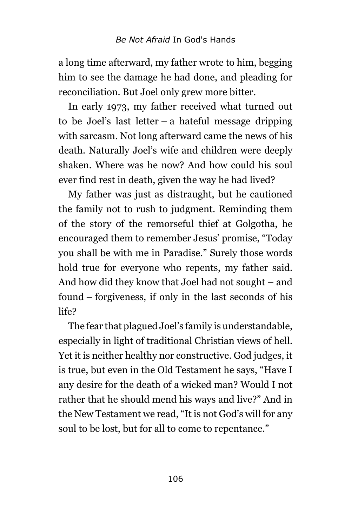a long time afterward, my father wrote to him, begging him to see the damage he had done, and pleading for reconciliation. But Joel only grew more bitter.

In early 1973, my father received what turned out to be Joel's last letter – a hateful message dripping with sarcasm. Not long afterward came the news of his death. Naturally Joel's wife and children were deeply shaken. Where was he now? And how could his soul ever find rest in death, given the way he had lived?

My father was just as distraught, but he cautioned the family not to rush to judgment. Reminding them of the story of the remorseful thief at Golgotha, he encouraged them to remember Jesus' promise, "Today you shall be with me in Paradise." Surely those words hold true for everyone who repents, my father said. And how did they know that Joel had not sought – and found – forgiveness, if only in the last seconds of his life?

The fear that plagued Joel's family is understandable, especially in light of traditional Christian views of hell. Yet it is neither healthy nor constructive. God judges, it is true, but even in the Old Testament he says, "Have I any desire for the death of a wicked man? Would I not rather that he should mend his ways and live?" And in the New Testament we read, "It is not God's will for any soul to be lost, but for all to come to repentance."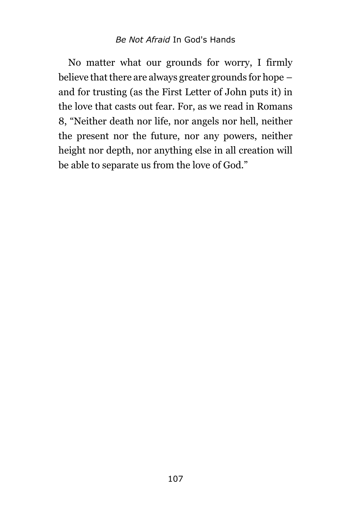No matter what our grounds for worry, I firmly believe that there are always greater grounds for hope – and for trusting (as the First Letter of John puts it) in the love that casts out fear. For, as we read in Romans 8, "Neither death nor life, nor angels nor hell, neither the present nor the future, nor any powers, neither height nor depth, nor anything else in all creation will be able to separate us from the love of God."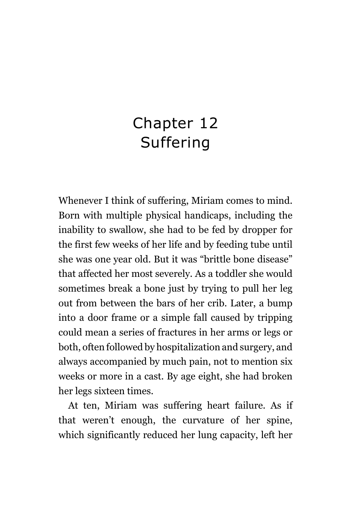# Chapter 12 Suffering

Whenever I think of suffering, Miriam comes to mind. Born with multiple physical handicaps, including the inability to swallow, she had to be fed by dropper for the first few weeks of her life and by feeding tube until she was one year old. But it was "brittle bone disease" that affected her most severely. As a toddler she would sometimes break a bone just by trying to pull her leg out from between the bars of her crib. Later, a bump into a door frame or a simple fall caused by tripping could mean a series of fractures in her arms or legs or both, often followed by hospitalization and surgery, and always accompanied by much pain, not to mention six weeks or more in a cast. By age eight, she had broken her legs sixteen times.

At ten, Miriam was suffering heart failure. As if that weren't enough, the curvature of her spine, which significantly reduced her lung capacity, left her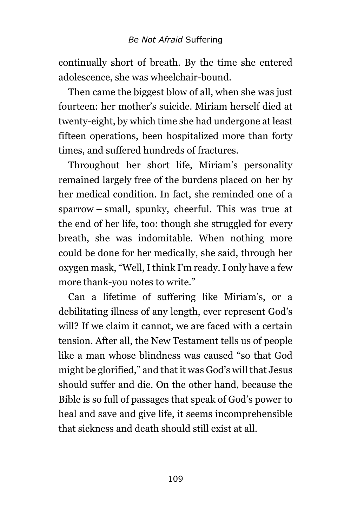continually short of breath. By the time she entered adolescence, she was wheelchair-bound.

Then came the biggest blow of all, when she was just fourteen: her mother's suicide. Miriam herself died at twenty-eight, by which time she had undergone at least fifteen operations, been hospitalized more than forty times, and suffered hundreds of fractures.

Throughout her short life, Miriam's personality remained largely free of the burdens placed on her by her medical condition. In fact, she reminded one of a sparrow – small, spunky, cheerful. This was true at the end of her life, too: though she struggled for every breath, she was indomitable. When nothing more could be done for her medically, she said, through her oxygen mask, "Well, I think I'm ready. I only have a few more thank-you notes to write."

Can a lifetime of suffering like Miriam's, or a debilitating illness of any length, ever represent God's will? If we claim it cannot, we are faced with a certain tension. After all, the New Testament tells us of people like a man whose blindness was caused "so that God might be glorified," and that it was God's will that Jesus should suffer and die. On the other hand, because the Bible is so full of passages that speak of God's power to heal and save and give life, it seems incomprehensible that sickness and death should still exist at all.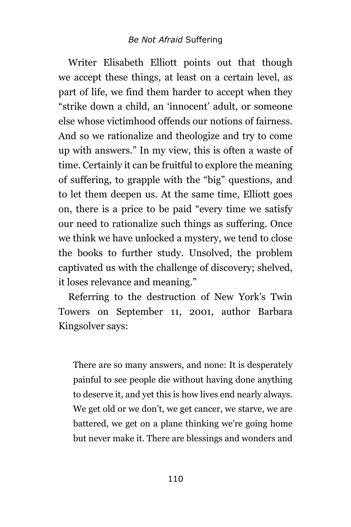### *Be Not Afraid* Suffering

Writer Elisabeth Elliott points out that though we accept these things, at least on a certain level, as part of life, we find them harder to accept when they "strike down a child, an 'innocent' adult, or someone else whose victimhood offends our notions of fairness. And so we rationalize and theologize and try to come up with answers." In my view, this is often a waste of time. Certainly it can be fruitful to explore the meaning of suffering, to grapple with the "big" questions, and to let them deepen us. At the same time, Elliott goes on, there is a price to be paid "every time we satisfy our need to rationalize such things as suffering. Once we think we have unlocked a mystery, we tend to close the books to further study. Unsolved, the problem captivated us with the challenge of discovery; shelved, it loses relevance and meaning."

Referring to the destruction of New York's Twin Towers on September 11, 2001, author Barbara Kingsolver says:

There are so many answers, and none: It is desperately painful to see people die without having done anything to deserve it, and yet this is how lives end nearly always. We get old or we don't, we get cancer, we starve, we are battered, we get on a plane thinking we're going home but never make it. There are blessings and wonders and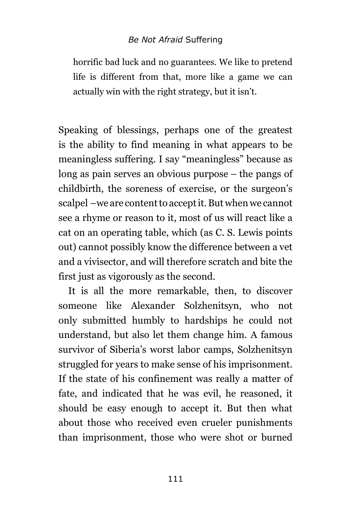## *Be Not Afraid* Suffering

horrific bad luck and no guarantees. We like to pretend life is different from that, more like a game we can actually win with the right strategy, but it isn't.

Speaking of blessings, perhaps one of the greatest is the ability to find meaning in what appears to be meaningless suffering. I say "meaningless" because as long as pain serves an obvious purpose – the pangs of childbirth, the soreness of exercise, or the surgeon's scalpel –we are content to accept it. But when we cannot see a rhyme or reason to it, most of us will react like a cat on an operating table, which (as C. S. Lewis points out) cannot possibly know the difference between a vet and a vivisector, and will therefore scratch and bite the first just as vigorously as the second.

It is all the more remarkable, then, to discover someone like Alexander Solzhenitsyn, who not only submitted humbly to hardships he could not understand, but also let them change him. A famous survivor of Siberia's worst labor camps, Solzhenitsyn struggled for years to make sense of his imprisonment. If the state of his confinement was really a matter of fate, and indicated that he was evil, he reasoned, it should be easy enough to accept it. But then what about those who received even crueler punishments than imprisonment, those who were shot or burned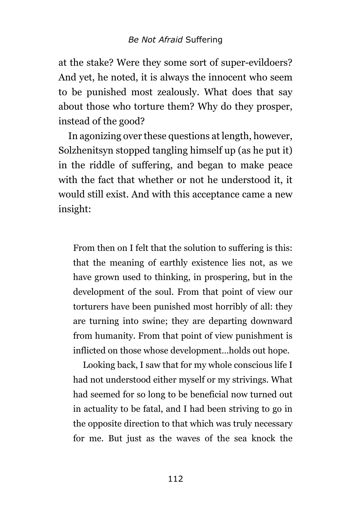at the stake? Were they some sort of super-evildoers? And yet, he noted, it is always the innocent who seem to be punished most zealously. What does that say about those who torture them? Why do they prosper, instead of the good?

In agonizing over these questions at length, however, Solzhenitsyn stopped tangling himself up (as he put it) in the riddle of suffering, and began to make peace with the fact that whether or not he understood it, it would still exist. And with this acceptance came a new insight:

From then on I felt that the solution to suffering is this: that the meaning of earthly existence lies not, as we have grown used to thinking, in prospering, but in the development of the soul. From that point of view our torturers have been punished most horribly of all: they are turning into swine; they are departing downward from humanity. From that point of view punishment is inflicted on those whose development…holds out hope.

Looking back, I saw that for my whole conscious life I had not understood either myself or my strivings. What had seemed for so long to be beneficial now turned out in actuality to be fatal, and I had been striving to go in the opposite direction to that which was truly necessary for me. But just as the waves of the sea knock the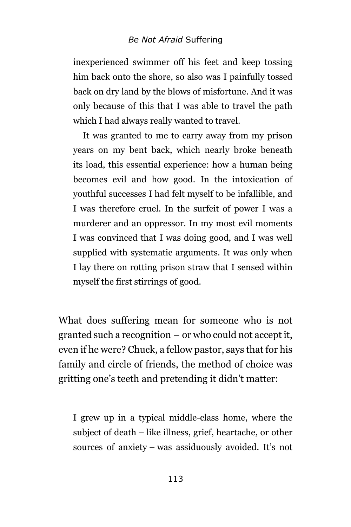## *Be Not Afraid* Suffering

inexperienced swimmer off his feet and keep tossing him back onto the shore, so also was I painfully tossed back on dry land by the blows of misfortune. And it was only because of this that I was able to travel the path which I had always really wanted to travel.

It was granted to me to carry away from my prison years on my bent back, which nearly broke beneath its load, this essential experience: how a human being becomes evil and how good. In the intoxication of youthful successes I had felt myself to be infallible, and I was therefore cruel. In the surfeit of power I was a murderer and an oppressor. In my most evil moments I was convinced that I was doing good, and I was well supplied with systematic arguments. It was only when I lay there on rotting prison straw that I sensed within myself the first stirrings of good.

What does suffering mean for someone who is not granted such a recognition – or who could not accept it, even if he were? Chuck, a fellow pastor, says that for his family and circle of friends, the method of choice was gritting one's teeth and pretending it didn't matter:

I grew up in a typical middle-class home, where the subject of death – like illness, grief, heartache, or other sources of anxiety – was assiduously avoided. It's not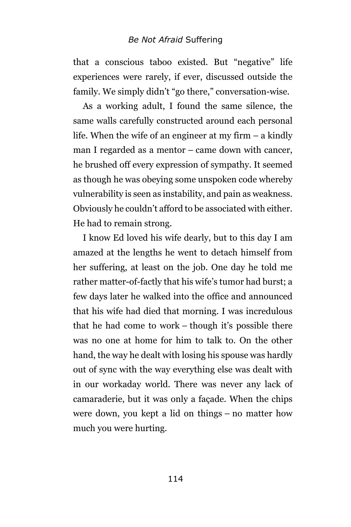that a conscious taboo existed. But "negative" life experiences were rarely, if ever, discussed outside the family. We simply didn't "go there," conversation-wise.

As a working adult, I found the same silence, the same walls carefully constructed around each personal life. When the wife of an engineer at my firm – a kindly man I regarded as a mentor – came down with cancer, he brushed off every expression of sympathy. It seemed as though he was obeying some unspoken code whereby vulnerability is seen as instability, and pain as weakness. Obviously he couldn't afford to be associated with either. He had to remain strong.

I know Ed loved his wife dearly, but to this day I am amazed at the lengths he went to detach himself from her suffering, at least on the job. One day he told me rather matter-of-factly that his wife's tumor had burst; a few days later he walked into the office and announced that his wife had died that morning. I was incredulous that he had come to work – though it's possible there was no one at home for him to talk to. On the other hand, the way he dealt with losing his spouse was hardly out of sync with the way everything else was dealt with in our workaday world. There was never any lack of camaraderie, but it was only a façade. When the chips were down, you kept a lid on things – no matter how much you were hurting.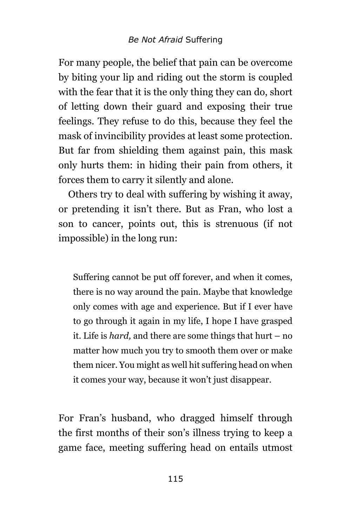For many people, the belief that pain can be overcome by biting your lip and riding out the storm is coupled with the fear that it is the only thing they can do, short of letting down their guard and exposing their true feelings. They refuse to do this, because they feel the mask of invincibility provides at least some protection. But far from shielding them against pain, this mask only hurts them: in hiding their pain from others, it forces them to carry it silently and alone.

Others try to deal with suffering by wishing it away, or pretending it isn't there. But as Fran, who lost a son to cancer, points out, this is strenuous (if not impossible) in the long run:

Suffering cannot be put off forever, and when it comes, there is no way around the pain. Maybe that knowledge only comes with age and experience. But if I ever have to go through it again in my life, I hope I have grasped it. Life is *hard,* and there are some things that hurt – no matter how much you try to smooth them over or make them nicer. You might as well hit suffering head on when it comes your way, because it won't just disappear.

For Fran's husband, who dragged himself through the first months of their son's illness trying to keep a game face, meeting suffering head on entails utmost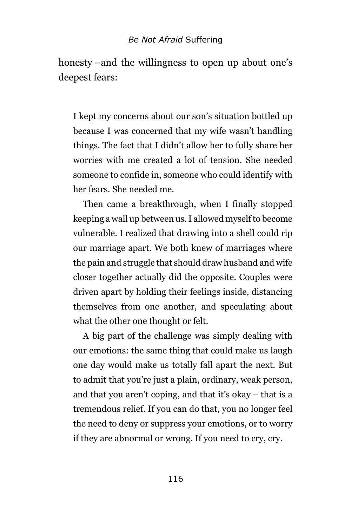#### *Be Not Afraid* Suffering

honesty –and the willingness to open up about one's deepest fears:

I kept my concerns about our son's situation bottled up because I was concerned that my wife wasn't handling things. The fact that I didn't allow her to fully share her worries with me created a lot of tension. She needed someone to confide in, someone who could identify with her fears. She needed me.

Then came a breakthrough, when I finally stopped keeping a wall up between us. I allowed myself to become vulnerable. I realized that drawing into a shell could rip our marriage apart. We both knew of marriages where the pain and struggle that should draw husband and wife closer together actually did the opposite. Couples were driven apart by holding their feelings inside, distancing themselves from one another, and speculating about what the other one thought or felt.

A big part of the challenge was simply dealing with our emotions: the same thing that could make us laugh one day would make us totally fall apart the next. But to admit that you're just a plain, ordinary, weak person, and that you aren't coping, and that it's okay – that is a tremendous relief. If you can do that, you no longer feel the need to deny or suppress your emotions, or to worry if they are abnormal or wrong. If you need to cry, cry.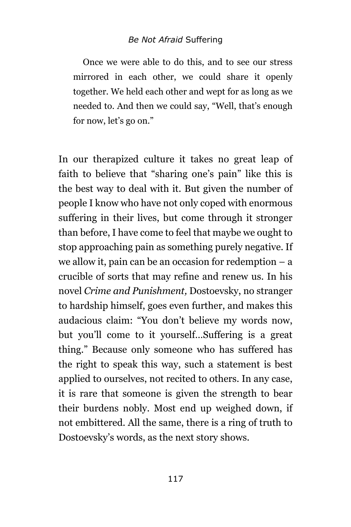#### *Be Not Afraid* Suffering

Once we were able to do this, and to see our stress mirrored in each other, we could share it openly together. We held each other and wept for as long as we needed to. And then we could say, "Well, that's enough for now, let's go on."

In our therapized culture it takes no great leap of faith to believe that "sharing one's pain" like this is the best way to deal with it. But given the number of people I know who have not only coped with enormous suffering in their lives, but come through it stronger than before, I have come to feel that maybe we ought to stop approaching pain as something purely negative. If we allow it, pain can be an occasion for redemption – a crucible of sorts that may refine and renew us. In his novel *Crime and Punishment,* Dostoevsky, no stranger to hardship himself, goes even further, and makes this audacious claim: "You don't believe my words now, but you'll come to it yourself…Suffering is a great thing." Because only someone who has suffered has the right to speak this way, such a statement is best applied to ourselves, not recited to others. In any case, it is rare that someone is given the strength to bear their burdens nobly. Most end up weighed down, if not embittered. All the same, there is a ring of truth to Dostoevsky's words, as the next story shows.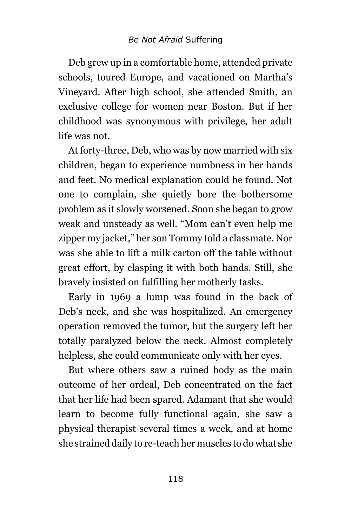Deb grew up in a comfortable home, attended private schools, toured Europe, and vacationed on Martha's Vineyard. After high school, she attended Smith, an exclusive college for women near Boston. But if her childhood was synonymous with privilege, her adult life was not.

At forty-three, Deb, who was by now married with six children, began to experience numbness in her hands and feet. No medical explanation could be found. Not one to complain, she quietly bore the bothersome problem as it slowly worsened. Soon she began to grow weak and unsteady as well. "Mom can't even help me zipper my jacket," her son Tommy told a classmate. Nor was she able to lift a milk carton off the table without great effort, by clasping it with both hands. Still, she bravely insisted on fulfilling her motherly tasks.

Early in 1969 a lump was found in the back of Deb's neck, and she was hospitalized. An emergency operation removed the tumor, but the surgery left her totally paralyzed below the neck. Almost completely helpless, she could communicate only with her eyes.

But where others saw a ruined body as the main outcome of her ordeal, Deb concentrated on the fact that her life had been spared. Adamant that she would learn to become fully functional again, she saw a physical therapist several times a week, and at home she strained daily to re-teach her muscles to do what she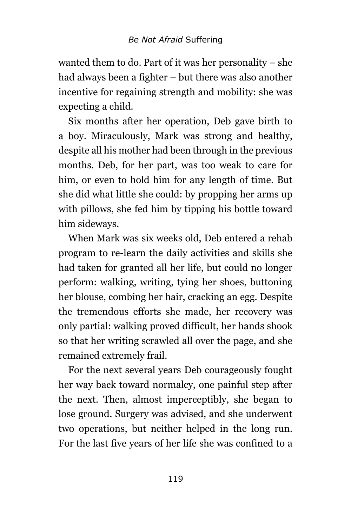wanted them to do. Part of it was her personality – she had always been a fighter – but there was also another incentive for regaining strength and mobility: she was expecting a child.

Six months after her operation, Deb gave birth to a boy. Miraculously, Mark was strong and healthy, despite all his mother had been through in the previous months. Deb, for her part, was too weak to care for him, or even to hold him for any length of time. But she did what little she could: by propping her arms up with pillows, she fed him by tipping his bottle toward him sideways.

When Mark was six weeks old, Deb entered a rehab program to re-learn the daily activities and skills she had taken for granted all her life, but could no longer perform: walking, writing, tying her shoes, buttoning her blouse, combing her hair, cracking an egg. Despite the tremendous efforts she made, her recovery was only partial: walking proved difficult, her hands shook so that her writing scrawled all over the page, and she remained extremely frail.

For the next several years Deb courageously fought her way back toward normalcy, one painful step after the next. Then, almost imperceptibly, she began to lose ground. Surgery was advised, and she underwent two operations, but neither helped in the long run. For the last five years of her life she was confined to a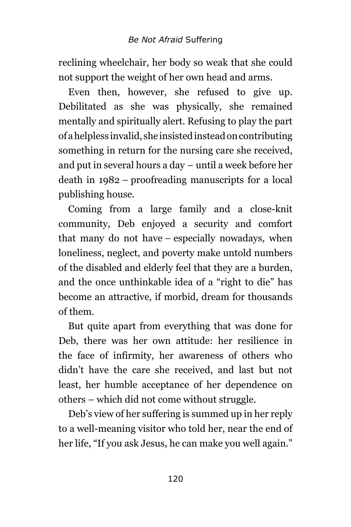reclining wheelchair, her body so weak that she could not support the weight of her own head and arms.

Even then, however, she refused to give up. Debilitated as she was physically, she remained mentally and spiritually alert. Refusing to play the part of a helpless invalid, she insisted instead on contributing something in return for the nursing care she received, and put in several hours a day – until a week before her death in 1982 – proofreading manuscripts for a local publishing house.

Coming from a large family and a close-knit community, Deb enjoyed a security and comfort that many do not have – especially nowadays, when loneliness, neglect, and poverty make untold numbers of the disabled and elderly feel that they are a burden, and the once unthinkable idea of a "right to die" has become an attractive, if morbid, dream for thousands of them.

But quite apart from everything that was done for Deb, there was her own attitude: her resilience in the face of infirmity, her awareness of others who didn't have the care she received, and last but not least, her humble acceptance of her dependence on others – which did not come without struggle.

Deb's view of her suffering is summed up in her reply to a well-meaning visitor who told her, near the end of her life, "If you ask Jesus, he can make you well again."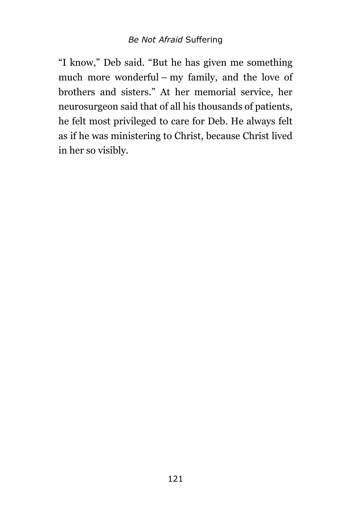"I know," Deb said. "But he has given me something much more wonderful – my family, and the love of brothers and sisters." At her memorial service, her neurosurgeon said that of all his thousands of patients, he felt most privileged to care for Deb. He always felt as if he was ministering to Christ, because Christ lived in her so visibly.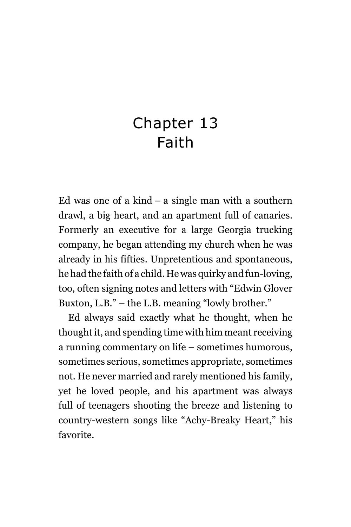# Chapter 13 Faith

Ed was one of a kind  $-$  a single man with a southern drawl, a big heart, and an apartment full of canaries. Formerly an executive for a large Georgia trucking company, he began attending my church when he was already in his fifties. Unpretentious and spontaneous, he had the faith of a child. He was quirky and fun-loving, too, often signing notes and letters with "Edwin Glover Buxton, L.B." – the L.B. meaning "lowly brother."

Ed always said exactly what he thought, when he thought it, and spending time with him meant receiving a running commentary on life – sometimes humorous, sometimes serious, sometimes appropriate, sometimes not. He never married and rarely mentioned his family, yet he loved people, and his apartment was always full of teenagers shooting the breeze and listening to country-western songs like "Achy-Breaky Heart," his favorite.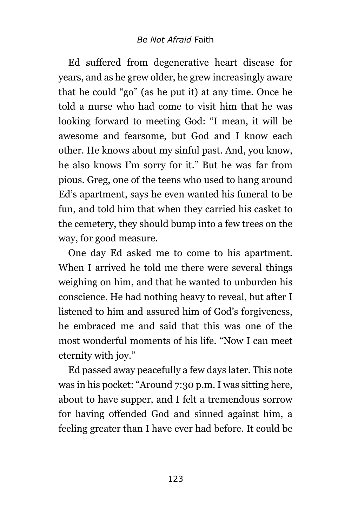## *Be Not Afraid* Faith

Ed suffered from degenerative heart disease for years, and as he grew older, he grew increasingly aware that he could "go" (as he put it) at any time. Once he told a nurse who had come to visit him that he was looking forward to meeting God: "I mean, it will be awesome and fearsome, but God and I know each other. He knows about my sinful past. And, you know, he also knows I'm sorry for it." But he was far from pious. Greg, one of the teens who used to hang around Ed's apartment, says he even wanted his funeral to be fun, and told him that when they carried his casket to the cemetery, they should bump into a few trees on the way, for good measure.

One day Ed asked me to come to his apartment. When I arrived he told me there were several things weighing on him, and that he wanted to unburden his conscience. He had nothing heavy to reveal, but after I listened to him and assured him of God's forgiveness, he embraced me and said that this was one of the most wonderful moments of his life. "Now I can meet eternity with joy."

Ed passed away peacefully a few days later. This note was in his pocket: "Around 7:30 p.m. I was sitting here, about to have supper, and I felt a tremendous sorrow for having offended God and sinned against him, a feeling greater than I have ever had before. It could be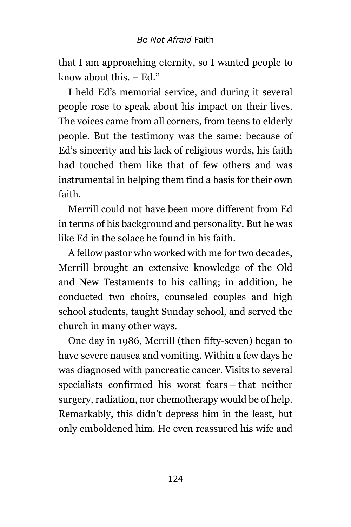that I am approaching eternity, so I wanted people to know about this. – Ed."

I held Ed's memorial service, and during it several people rose to speak about his impact on their lives. The voices came from all corners, from teens to elderly people. But the testimony was the same: because of Ed's sincerity and his lack of religious words, his faith had touched them like that of few others and was instrumental in helping them find a basis for their own faith.

Merrill could not have been more different from Ed in terms of his background and personality. But he was like Ed in the solace he found in his faith.

A fellow pastor who worked with me for two decades, Merrill brought an extensive knowledge of the Old and New Testaments to his calling; in addition, he conducted two choirs, counseled couples and high school students, taught Sunday school, and served the church in many other ways.

One day in 1986, Merrill (then fifty-seven) began to have severe nausea and vomiting. Within a few days he was diagnosed with pancreatic cancer. Visits to several specialists confirmed his worst fears – that neither surgery, radiation, nor chemotherapy would be of help. Remarkably, this didn't depress him in the least, but only emboldened him. He even reassured his wife and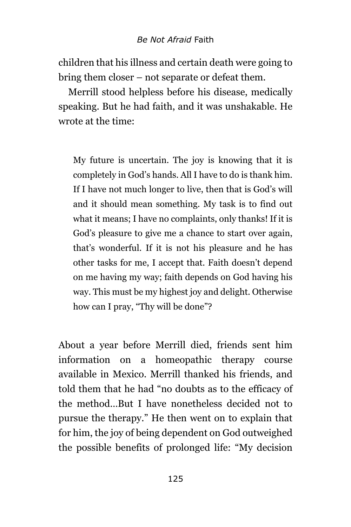children that his illness and certain death were going to bring them closer – not separate or defeat them.

Merrill stood helpless before his disease, medically speaking. But he had faith, and it was unshakable. He wrote at the time:

My future is uncertain. The joy is knowing that it is completely in God's hands. All I have to do is thank him. If I have not much longer to live, then that is God's will and it should mean something. My task is to find out what it means; I have no complaints, only thanks! If it is God's pleasure to give me a chance to start over again, that's wonderful. If it is not his pleasure and he has other tasks for me, I accept that. Faith doesn't depend on me having my way; faith depends on God having his way. This must be my highest joy and delight. Otherwise how can I pray, "Thy will be done"?

About a year before Merrill died, friends sent him information on a homeopathic therapy course available in Mexico. Merrill thanked his friends, and told them that he had "no doubts as to the efficacy of the method…But I have nonetheless decided not to pursue the therapy." He then went on to explain that for him, the joy of being dependent on God outweighed the possible benefits of prolonged life: "My decision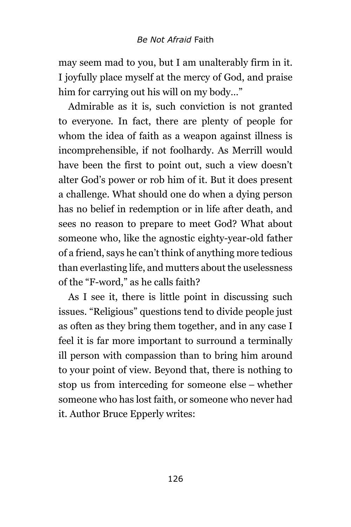may seem mad to you, but I am unalterably firm in it. I joyfully place myself at the mercy of God, and praise him for carrying out his will on my body…"

Admirable as it is, such conviction is not granted to everyone. In fact, there are plenty of people for whom the idea of faith as a weapon against illness is incomprehensible, if not foolhardy. As Merrill would have been the first to point out, such a view doesn't alter God's power or rob him of it. But it does present a challenge. What should one do when a dying person has no belief in redemption or in life after death, and sees no reason to prepare to meet God? What about someone who, like the agnostic eighty-year-old father of a friend, says he can't think of anything more tedious than everlasting life, and mutters about the uselessness of the "F-word," as he calls faith?

As I see it, there is little point in discussing such issues. "Religious" questions tend to divide people just as often as they bring them together, and in any case I feel it is far more important to surround a terminally ill person with compassion than to bring him around to your point of view. Beyond that, there is nothing to stop us from interceding for someone else – whether someone who has lost faith, or someone who never had it. Author Bruce Epperly writes: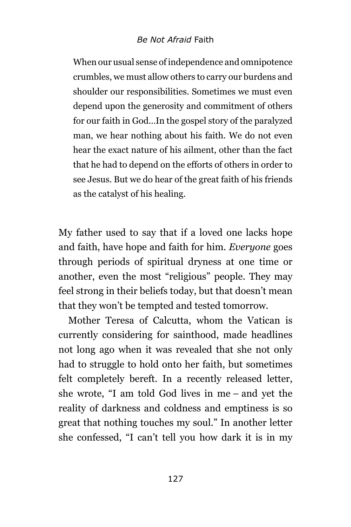## *Be Not Afraid* Faith

When our usual sense of independence and omnipotence crumbles, we must allow others to carry our burdens and shoulder our responsibilities. Sometimes we must even depend upon the generosity and commitment of others for our faith in God…In the gospel story of the paralyzed man, we hear nothing about his faith. We do not even hear the exact nature of his ailment, other than the fact that he had to depend on the efforts of others in order to see Jesus. But we do hear of the great faith of his friends as the catalyst of his healing.

My father used to say that if a loved one lacks hope and faith, have hope and faith for him. *Everyone* goes through periods of spiritual dryness at one time or another, even the most "religious" people. They may feel strong in their beliefs today, but that doesn't mean that they won't be tempted and tested tomorrow.

Mother Teresa of Calcutta, whom the Vatican is currently considering for sainthood, made headlines not long ago when it was revealed that she not only had to struggle to hold onto her faith, but sometimes felt completely bereft. In a recently released letter, she wrote, "I am told God lives in me – and yet the reality of darkness and coldness and emptiness is so great that nothing touches my soul." In another letter she confessed, "I can't tell you how dark it is in my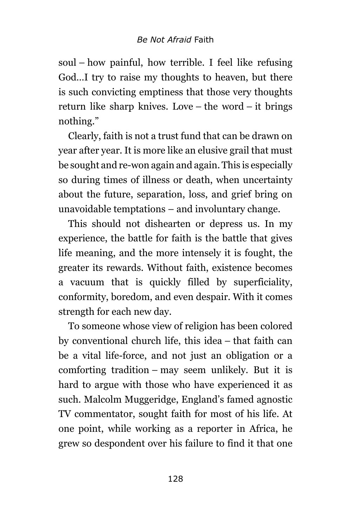soul – how painful, how terrible. I feel like refusing God…I try to raise my thoughts to heaven, but there is such convicting emptiness that those very thoughts return like sharp knives. Love – the word – it brings nothing."

Clearly, faith is not a trust fund that can be drawn on year after year. It is more like an elusive grail that must be sought and re-won again and again. This is especially so during times of illness or death, when uncertainty about the future, separation, loss, and grief bring on unavoidable temptations – and involuntary change.

This should not dishearten or depress us. In my experience, the battle for faith is the battle that gives life meaning, and the more intensely it is fought, the greater its rewards. Without faith, existence becomes a vacuum that is quickly filled by superficiality, conformity, boredom, and even despair. With it comes strength for each new day.

To someone whose view of religion has been colored by conventional church life, this idea – that faith can be a vital life-force, and not just an obligation or a comforting tradition – may seem unlikely. But it is hard to argue with those who have experienced it as such. Malcolm Muggeridge, England's famed agnostic TV commentator, sought faith for most of his life. At one point, while working as a reporter in Africa, he grew so despondent over his failure to find it that one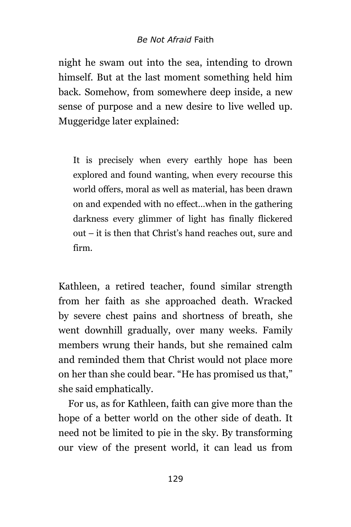## *Be Not Afraid* Faith

night he swam out into the sea, intending to drown himself. But at the last moment something held him back. Somehow, from somewhere deep inside, a new sense of purpose and a new desire to live welled up. Muggeridge later explained:

It is precisely when every earthly hope has been explored and found wanting, when every recourse this world offers, moral as well as material, has been drawn on and expended with no effect…when in the gathering darkness every glimmer of light has finally flickered out – it is then that Christ's hand reaches out, sure and firm.

Kathleen, a retired teacher, found similar strength from her faith as she approached death. Wracked by severe chest pains and shortness of breath, she went downhill gradually, over many weeks. Family members wrung their hands, but she remained calm and reminded them that Christ would not place more on her than she could bear. "He has promised us that," she said emphatically.

For us, as for Kathleen, faith can give more than the hope of a better world on the other side of death. It need not be limited to pie in the sky. By transforming our view of the present world, it can lead us from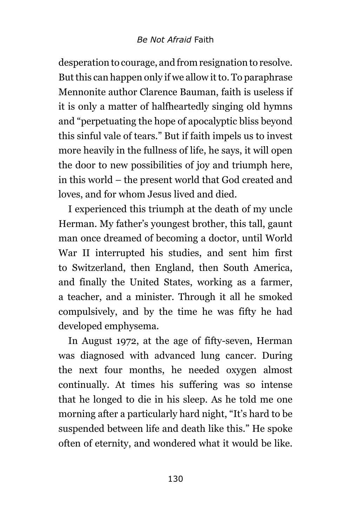desperation to courage, and from resignation to resolve. But this can happen only if we allow it to. To paraphrase Mennonite author Clarence Bauman, faith is useless if it is only a matter of halfheartedly singing old hymns and "perpetuating the hope of apocalyptic bliss beyond this sinful vale of tears." But if faith impels us to invest more heavily in the fullness of life, he says, it will open the door to new possibilities of joy and triumph here, in this world – the present world that God created and loves, and for whom Jesus lived and died.

I experienced this triumph at the death of my uncle Herman. My father's youngest brother, this tall, gaunt man once dreamed of becoming a doctor, until World War II interrupted his studies, and sent him first to Switzerland, then England, then South America, and finally the United States, working as a farmer, a teacher, and a minister. Through it all he smoked compulsively, and by the time he was fifty he had developed emphysema.

In August 1972, at the age of fifty-seven, Herman was diagnosed with advanced lung cancer. During the next four months, he needed oxygen almost continually. At times his suffering was so intense that he longed to die in his sleep. As he told me one morning after a particularly hard night, "It's hard to be suspended between life and death like this." He spoke often of eternity, and wondered what it would be like.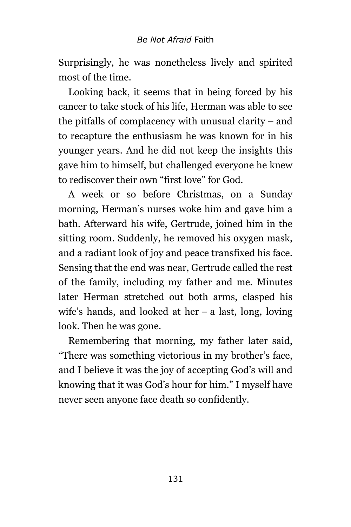Surprisingly, he was nonetheless lively and spirited most of the time.

Looking back, it seems that in being forced by his cancer to take stock of his life, Herman was able to see the pitfalls of complacency with unusual clarity – and to recapture the enthusiasm he was known for in his younger years. And he did not keep the insights this gave him to himself, but challenged everyone he knew to rediscover their own "first love" for God.

A week or so before Christmas, on a Sunday morning, Herman's nurses woke him and gave him a bath. Afterward his wife, Gertrude, joined him in the sitting room. Suddenly, he removed his oxygen mask, and a radiant look of joy and peace transfixed his face. Sensing that the end was near, Gertrude called the rest of the family, including my father and me. Minutes later Herman stretched out both arms, clasped his wife's hands, and looked at her – a last, long, loving look. Then he was gone.

Remembering that morning, my father later said, "There was something victorious in my brother's face, and I believe it was the joy of accepting God's will and knowing that it was God's hour for him." I myself have never seen anyone face death so confidently.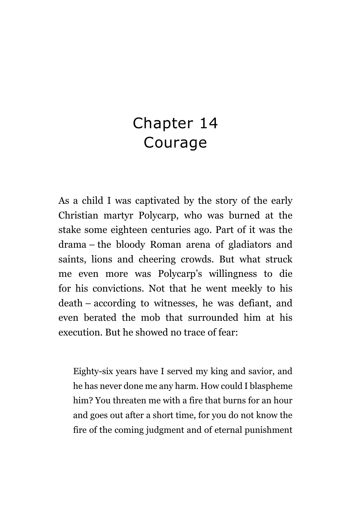## Chapter 14 Courage

As a child I was captivated by the story of the early Christian martyr Polycarp, who was burned at the stake some eighteen centuries ago. Part of it was the drama – the bloody Roman arena of gladiators and saints, lions and cheering crowds. But what struck me even more was Polycarp's willingness to die for his convictions. Not that he went meekly to his death – according to witnesses, he was defiant, and even berated the mob that surrounded him at his execution. But he showed no trace of fear:

Eighty-six years have I served my king and savior, and he has never done me any harm. How could I blaspheme him? You threaten me with a fire that burns for an hour and goes out after a short time, for you do not know the fire of the coming judgment and of eternal punishment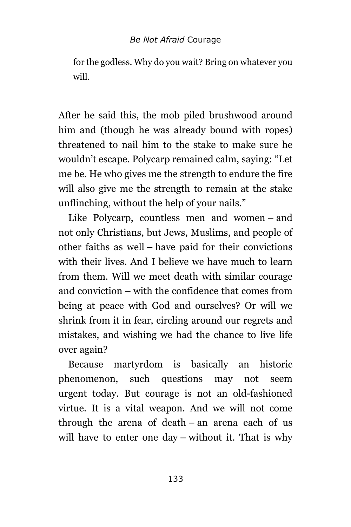for the godless. Why do you wait? Bring on whatever you will.

After he said this, the mob piled brushwood around him and (though he was already bound with ropes) threatened to nail him to the stake to make sure he wouldn't escape. Polycarp remained calm, saying: "Let me be. He who gives me the strength to endure the fire will also give me the strength to remain at the stake unflinching, without the help of your nails."

Like Polycarp, countless men and women – and not only Christians, but Jews, Muslims, and people of other faiths as well – have paid for their convictions with their lives. And I believe we have much to learn from them. Will we meet death with similar courage and conviction – with the confidence that comes from being at peace with God and ourselves? Or will we shrink from it in fear, circling around our regrets and mistakes, and wishing we had the chance to live life over again?

Because martyrdom is basically an historic phenomenon, such questions may not seem urgent today. But courage is not an old-fashioned virtue. It is a vital weapon. And we will not come through the arena of death – an arena each of us will have to enter one day – without it. That is why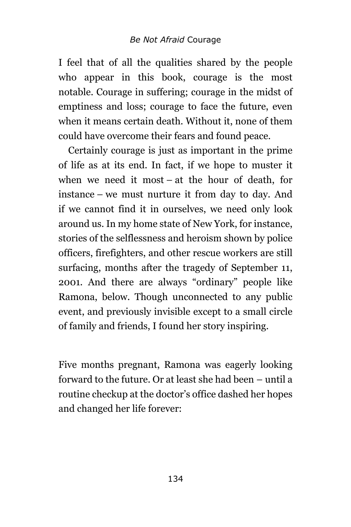I feel that of all the qualities shared by the people who appear in this book, courage is the most notable. Courage in suffering; courage in the midst of emptiness and loss; courage to face the future, even when it means certain death. Without it, none of them could have overcome their fears and found peace.

Certainly courage is just as important in the prime of life as at its end. In fact, if we hope to muster it when we need it most – at the hour of death, for instance – we must nurture it from day to day. And if we cannot find it in ourselves, we need only look around us. In my home state of New York, for instance, stories of the selflessness and heroism shown by police officers, firefighters, and other rescue workers are still surfacing, months after the tragedy of September 11, 2001. And there are always "ordinary" people like Ramona, below. Though unconnected to any public event, and previously invisible except to a small circle of family and friends, I found her story inspiring.

Five months pregnant, Ramona was eagerly looking forward to the future. Or at least she had been – until a routine checkup at the doctor's office dashed her hopes and changed her life forever: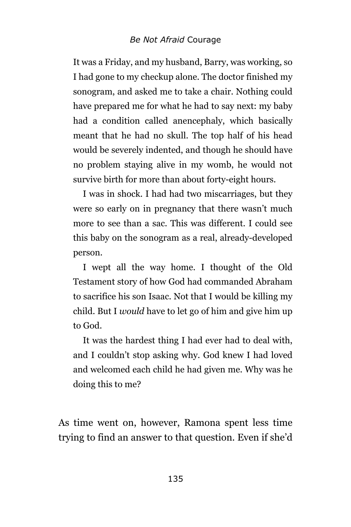It was a Friday, and my husband, Barry, was working, so I had gone to my checkup alone. The doctor finished my sonogram, and asked me to take a chair. Nothing could have prepared me for what he had to say next: my baby had a condition called anencephaly, which basically meant that he had no skull. The top half of his head would be severely indented, and though he should have no problem staying alive in my womb, he would not survive birth for more than about forty-eight hours.

I was in shock. I had had two miscarriages, but they were so early on in pregnancy that there wasn't much more to see than a sac. This was different. I could see this baby on the sonogram as a real, already-developed person.

I wept all the way home. I thought of the Old Testament story of how God had commanded Abraham to sacrifice his son Isaac. Not that I would be killing my child. But I *would* have to let go of him and give him up to God.

It was the hardest thing I had ever had to deal with, and I couldn't stop asking why. God knew I had loved and welcomed each child he had given me. Why was he doing this to me?

As time went on, however, Ramona spent less time trying to find an answer to that question. Even if she'd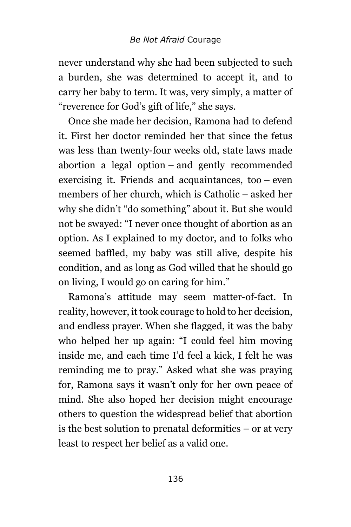never understand why she had been subjected to such a burden, she was determined to accept it, and to carry her baby to term. It was, very simply, a matter of "reverence for God's gift of life," she says.

Once she made her decision, Ramona had to defend it. First her doctor reminded her that since the fetus was less than twenty-four weeks old, state laws made abortion a legal option – and gently recommended exercising it. Friends and acquaintances, too – even members of her church, which is Catholic – asked her why she didn't "do something" about it. But she would not be swayed: "I never once thought of abortion as an option. As I explained to my doctor, and to folks who seemed baffled, my baby was still alive, despite his condition, and as long as God willed that he should go on living, I would go on caring for him."

Ramona's attitude may seem matter-of-fact. In reality, however, it took courage to hold to her decision, and endless prayer. When she flagged, it was the baby who helped her up again: "I could feel him moving inside me, and each time I'd feel a kick, I felt he was reminding me to pray." Asked what she was praying for, Ramona says it wasn't only for her own peace of mind. She also hoped her decision might encourage others to question the widespread belief that abortion is the best solution to prenatal deformities – or at very least to respect her belief as a valid one.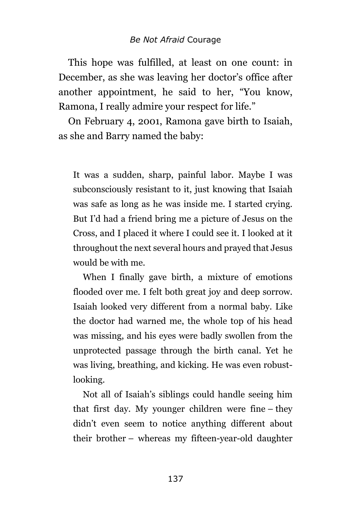This hope was fulfilled, at least on one count: in December, as she was leaving her doctor's office after another appointment, he said to her, "You know, Ramona, I really admire your respect for life."

On February 4, 2001, Ramona gave birth to Isaiah, as she and Barry named the baby:

It was a sudden, sharp, painful labor. Maybe I was subconsciously resistant to it, just knowing that Isaiah was safe as long as he was inside me. I started crying. But I'd had a friend bring me a picture of Jesus on the Cross, and I placed it where I could see it. I looked at it throughout the next several hours and prayed that Jesus would be with me.

When I finally gave birth, a mixture of emotions flooded over me. I felt both great joy and deep sorrow. Isaiah looked very different from a normal baby. Like the doctor had warned me, the whole top of his head was missing, and his eyes were badly swollen from the unprotected passage through the birth canal. Yet he was living, breathing, and kicking. He was even robustlooking.

Not all of Isaiah's siblings could handle seeing him that first day. My younger children were fine – they didn't even seem to notice anything different about their brother – whereas my fifteen-year-old daughter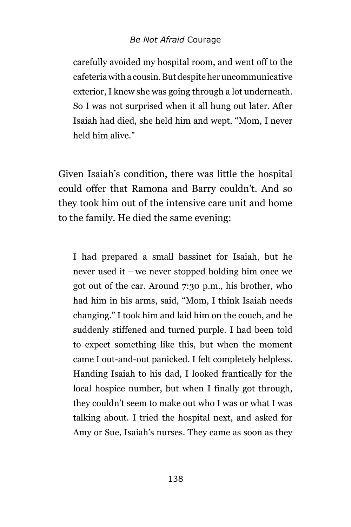carefully avoided my hospital room, and went off to the cafeteria with a cousin. But despite her uncommunicative exterior, I knew she was going through a lot underneath. So I was not surprised when it all hung out later. After Isaiah had died, she held him and wept, "Mom, I never held him alive."

Given Isaiah's condition, there was little the hospital could offer that Ramona and Barry couldn't. And so they took him out of the intensive care unit and home to the family. He died the same evening:

I had prepared a small bassinet for Isaiah, but he never used it – we never stopped holding him once we got out of the car. Around 7:30 p.m., his brother, who had him in his arms, said, "Mom, I think Isaiah needs changing." I took him and laid him on the couch, and he suddenly stiffened and turned purple. I had been told to expect something like this, but when the moment came I out-and-out panicked. I felt completely helpless. Handing Isaiah to his dad, I looked frantically for the local hospice number, but when I finally got through, they couldn't seem to make out who I was or what I was talking about. I tried the hospital next, and asked for Amy or Sue, Isaiah's nurses. They came as soon as they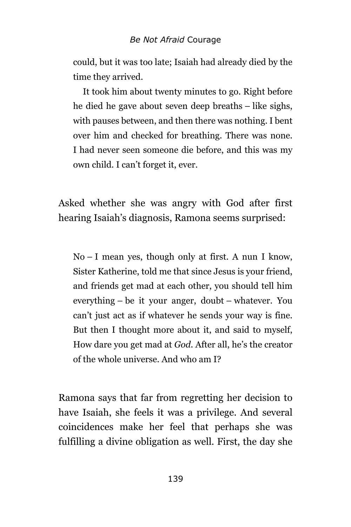could, but it was too late; Isaiah had already died by the time they arrived.

It took him about twenty minutes to go. Right before he died he gave about seven deep breaths – like sighs, with pauses between, and then there was nothing. I bent over him and checked for breathing. There was none. I had never seen someone die before, and this was my own child. I can't forget it, ever.

Asked whether she was angry with God after first hearing Isaiah's diagnosis, Ramona seems surprised:

No – I mean yes, though only at first. A nun I know, Sister Katherine, told me that since Jesus is your friend, and friends get mad at each other, you should tell him everything – be it your anger, doubt – whatever. You can't just act as if whatever he sends your way is fine. But then I thought more about it, and said to myself, How dare you get mad at *God*. After all, he's the creator of the whole universe. And who am I?

Ramona says that far from regretting her decision to have Isaiah, she feels it was a privilege. And several coincidences make her feel that perhaps she was fulfilling a divine obligation as well. First, the day she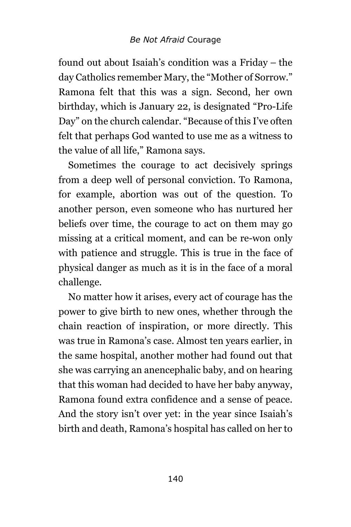found out about Isaiah's condition was a Friday – the day Catholics remember Mary, the "Mother of Sorrow." Ramona felt that this was a sign. Second, her own birthday, which is January 22, is designated "Pro-Life Day" on the church calendar. "Because of this I've often felt that perhaps God wanted to use me as a witness to the value of all life," Ramona says.

Sometimes the courage to act decisively springs from a deep well of personal conviction. To Ramona, for example, abortion was out of the question. To another person, even someone who has nurtured her beliefs over time, the courage to act on them may go missing at a critical moment, and can be re-won only with patience and struggle. This is true in the face of physical danger as much as it is in the face of a moral challenge.

No matter how it arises, every act of courage has the power to give birth to new ones, whether through the chain reaction of inspiration, or more directly. This was true in Ramona's case. Almost ten years earlier, in the same hospital, another mother had found out that she was carrying an anencephalic baby, and on hearing that this woman had decided to have her baby anyway, Ramona found extra confidence and a sense of peace. And the story isn't over yet: in the year since Isaiah's birth and death, Ramona's hospital has called on her to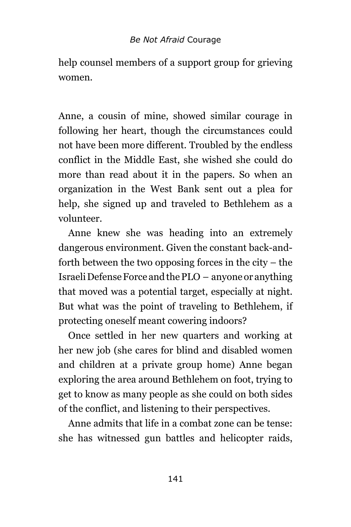help counsel members of a support group for grieving women.

Anne, a cousin of mine, showed similar courage in following her heart, though the circumstances could not have been more different. Troubled by the endless conflict in the Middle East, she wished she could do more than read about it in the papers. So when an organization in the West Bank sent out a plea for help, she signed up and traveled to Bethlehem as a volunteer.

Anne knew she was heading into an extremely dangerous environment. Given the constant back-andforth between the two opposing forces in the city – the Israeli Defense Force and the PLO – anyone or anything that moved was a potential target, especially at night. But what was the point of traveling to Bethlehem, if protecting oneself meant cowering indoors?

Once settled in her new quarters and working at her new job (she cares for blind and disabled women and children at a private group home) Anne began exploring the area around Bethlehem on foot, trying to get to know as many people as she could on both sides of the conflict, and listening to their perspectives.

Anne admits that life in a combat zone can be tense: she has witnessed gun battles and helicopter raids,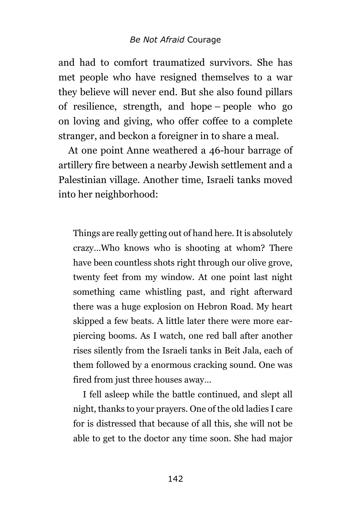and had to comfort traumatized survivors. She has met people who have resigned themselves to a war they believe will never end. But she also found pillars of resilience, strength, and hope – people who go on loving and giving, who offer coffee to a complete stranger, and beckon a foreigner in to share a meal.

At one point Anne weathered a 46-hour barrage of artillery fire between a nearby Jewish settlement and a Palestinian village. Another time, Israeli tanks moved into her neighborhood:

Things are really getting out of hand here. It is absolutely crazy…Who knows who is shooting at whom? There have been countless shots right through our olive grove, twenty feet from my window. At one point last night something came whistling past, and right afterward there was a huge explosion on Hebron Road. My heart skipped a few beats. A little later there were more earpiercing booms. As I watch, one red ball after another rises silently from the Israeli tanks in Beit Jala, each of them followed by a enormous cracking sound. One was fired from just three houses away…

I fell asleep while the battle continued, and slept all night, thanks to your prayers. One of the old ladies I care for is distressed that because of all this, she will not be able to get to the doctor any time soon. She had major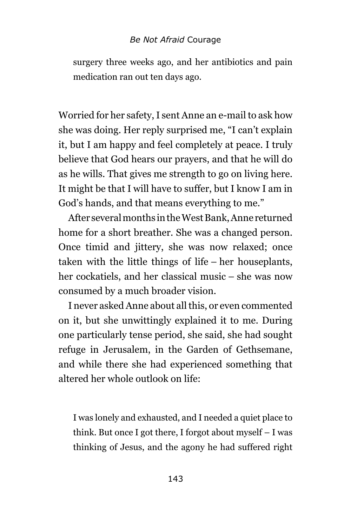surgery three weeks ago, and her antibiotics and pain medication ran out ten days ago.

Worried for her safety, I sent Anne an e-mail to ask how she was doing. Her reply surprised me, "I can't explain it, but I am happy and feel completely at peace. I truly believe that God hears our prayers, and that he will do as he wills. That gives me strength to go on living here. It might be that I will have to suffer, but I know I am in God's hands, and that means everything to me."

After several months in the West Bank, Anne returned home for a short breather. She was a changed person. Once timid and jittery, she was now relaxed; once taken with the little things of life – her houseplants, her cockatiels, and her classical music – she was now consumed by a much broader vision.

I never asked Anne about all this, or even commented on it, but she unwittingly explained it to me. During one particularly tense period, she said, she had sought refuge in Jerusalem, in the Garden of Gethsemane, and while there she had experienced something that altered her whole outlook on life:

I was lonely and exhausted, and I needed a quiet place to think. But once I got there, I forgot about myself – I was thinking of Jesus, and the agony he had suffered right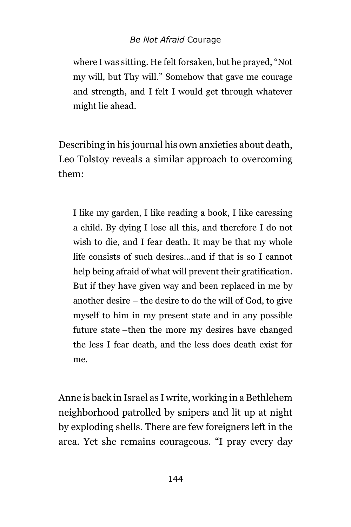where I was sitting. He felt forsaken, but he prayed, "Not my will, but Thy will." Somehow that gave me courage and strength, and I felt I would get through whatever might lie ahead.

Describing in his journal his own anxieties about death, Leo Tolstoy reveals a similar approach to overcoming them:

I like my garden, I like reading a book, I like caressing a child. By dying I lose all this, and therefore I do not wish to die, and I fear death. It may be that my whole life consists of such desires…and if that is so I cannot help being afraid of what will prevent their gratification. But if they have given way and been replaced in me by another desire – the desire to do the will of God, to give myself to him in my present state and in any possible future state –then the more my desires have changed the less I fear death, and the less does death exist for me.

Anne is back in Israel as I write, working in a Bethlehem neighborhood patrolled by snipers and lit up at night by exploding shells. There are few foreigners left in the area. Yet she remains courageous. "I pray every day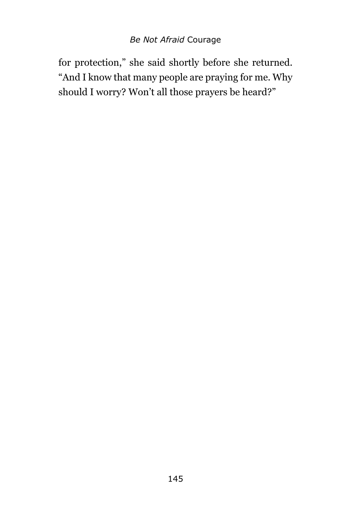for protection," she said shortly before she returned. "And I know that many people are praying for me. Why should I worry? Won't all those prayers be heard?"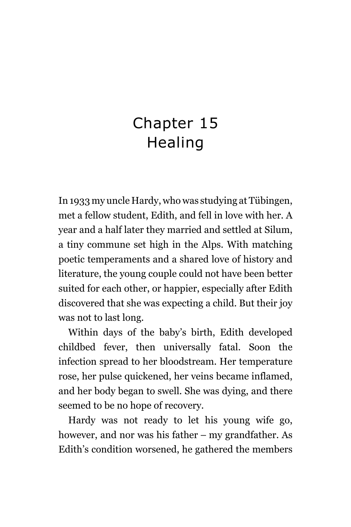# Chapter 15 **Healing**

In 1933 my uncle Hardy, who was studying at Tübingen, met a fellow student, Edith, and fell in love with her. A year and a half later they married and settled at Silum, a tiny commune set high in the Alps. With matching poetic temperaments and a shared love of history and literature, the young couple could not have been better suited for each other, or happier, especially after Edith discovered that she was expecting a child. But their joy was not to last long.

Within days of the baby's birth, Edith developed childbed fever, then universally fatal. Soon the infection spread to her bloodstream. Her temperature rose, her pulse quickened, her veins became inflamed, and her body began to swell. She was dying, and there seemed to be no hope of recovery.

Hardy was not ready to let his young wife go, however, and nor was his father – my grandfather. As Edith's condition worsened, he gathered the members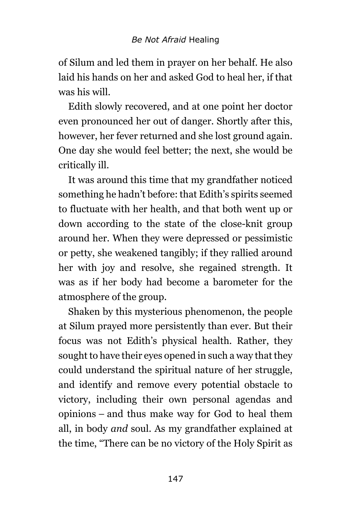of Silum and led them in prayer on her behalf. He also laid his hands on her and asked God to heal her, if that was his will.

Edith slowly recovered, and at one point her doctor even pronounced her out of danger. Shortly after this, however, her fever returned and she lost ground again. One day she would feel better; the next, she would be critically ill.

It was around this time that my grandfather noticed something he hadn't before: that Edith's spirits seemed to fluctuate with her health, and that both went up or down according to the state of the close-knit group around her. When they were depressed or pessimistic or petty, she weakened tangibly; if they rallied around her with joy and resolve, she regained strength. It was as if her body had become a barometer for the atmosphere of the group.

Shaken by this mysterious phenomenon, the people at Silum prayed more persistently than ever. But their focus was not Edith's physical health. Rather, they sought to have their eyes opened in such a way that they could understand the spiritual nature of her struggle, and identify and remove every potential obstacle to victory, including their own personal agendas and opinions – and thus make way for God to heal them all, in body *and* soul. As my grandfather explained at the time, "There can be no victory of the Holy Spirit as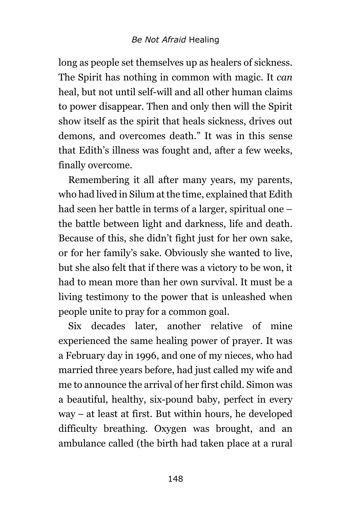long as people set themselves up as healers of sickness. The Spirit has nothing in common with magic. It *can*  heal, but not until self-will and all other human claims to power disappear. Then and only then will the Spirit show itself as the spirit that heals sickness, drives out demons, and overcomes death." It was in this sense that Edith's illness was fought and, after a few weeks, finally overcome.

Remembering it all after many years, my parents, who had lived in Silum at the time, explained that Edith had seen her battle in terms of a larger, spiritual one – the battle between light and darkness, life and death. Because of this, she didn't fight just for her own sake, or for her family's sake. Obviously she wanted to live, but she also felt that if there was a victory to be won, it had to mean more than her own survival. It must be a living testimony to the power that is unleashed when people unite to pray for a common goal.

Six decades later, another relative of mine experienced the same healing power of prayer. It was a February day in 1996, and one of my nieces, who had married three years before, had just called my wife and me to announce the arrival of her first child. Simon was a beautiful, healthy, six-pound baby, perfect in every way – at least at first. But within hours, he developed difficulty breathing. Oxygen was brought, and an ambulance called (the birth had taken place at a rural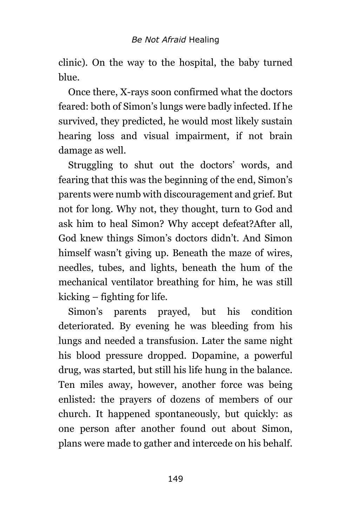clinic). On the way to the hospital, the baby turned blue.

Once there, X-rays soon confirmed what the doctors feared: both of Simon's lungs were badly infected. If he survived, they predicted, he would most likely sustain hearing loss and visual impairment, if not brain damage as well.

Struggling to shut out the doctors' words, and fearing that this was the beginning of the end, Simon's parents were numb with discouragement and grief. But not for long. Why not, they thought, turn to God and ask him to heal Simon? Why accept defeat?After all, God knew things Simon's doctors didn't. And Simon himself wasn't giving up. Beneath the maze of wires, needles, tubes, and lights, beneath the hum of the mechanical ventilator breathing for him, he was still kicking – fighting for life.

Simon's parents prayed, but his condition deteriorated. By evening he was bleeding from his lungs and needed a transfusion. Later the same night his blood pressure dropped. Dopamine, a powerful drug, was started, but still his life hung in the balance. Ten miles away, however, another force was being enlisted: the prayers of dozens of members of our church. It happened spontaneously, but quickly: as one person after another found out about Simon, plans were made to gather and intercede on his behalf.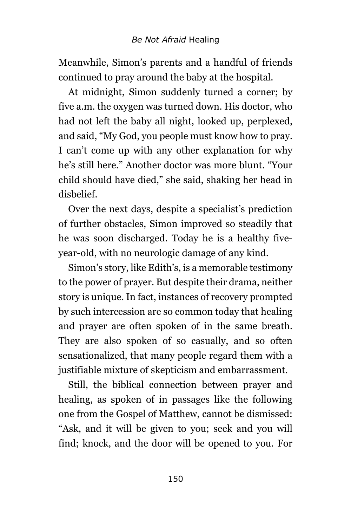Meanwhile, Simon's parents and a handful of friends continued to pray around the baby at the hospital.

At midnight, Simon suddenly turned a corner; by five a.m. the oxygen was turned down. His doctor, who had not left the baby all night, looked up, perplexed, and said, "My God, you people must know how to pray. I can't come up with any other explanation for why he's still here." Another doctor was more blunt. "Your child should have died," she said, shaking her head in disbelief.

Over the next days, despite a specialist's prediction of further obstacles, Simon improved so steadily that he was soon discharged. Today he is a healthy fiveyear-old, with no neurologic damage of any kind.

Simon's story, like Edith's, is a memorable testimony to the power of prayer. But despite their drama, neither story is unique. In fact, instances of recovery prompted by such intercession are so common today that healing and prayer are often spoken of in the same breath. They are also spoken of so casually, and so often sensationalized, that many people regard them with a justifiable mixture of skepticism and embarrassment.

Still, the biblical connection between prayer and healing, as spoken of in passages like the following one from the Gospel of Matthew, cannot be dismissed: "Ask, and it will be given to you; seek and you will find; knock, and the door will be opened to you. For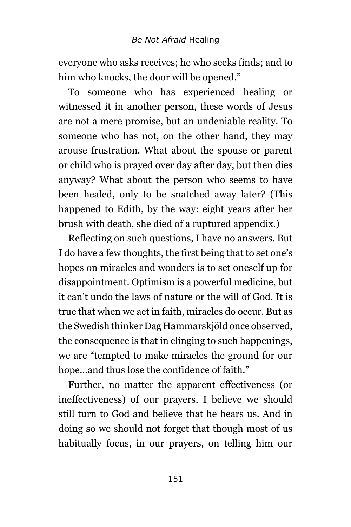everyone who asks receives; he who seeks finds; and to him who knocks, the door will be opened."

To someone who has experienced healing or witnessed it in another person, these words of Jesus are not a mere promise, but an undeniable reality. To someone who has not, on the other hand, they may arouse frustration. What about the spouse or parent or child who is prayed over day after day, but then dies anyway? What about the person who seems to have been healed, only to be snatched away later? (This happened to Edith, by the way: eight years after her brush with death, she died of a ruptured appendix.)

Reflecting on such questions, I have no answers. But I do have a few thoughts, the first being that to set one's hopes on miracles and wonders is to set oneself up for disappointment. Optimism is a powerful medicine, but it can't undo the laws of nature or the will of God. It is true that when we act in faith, miracles do occur. But as the Swedish thinker Dag Hammarskjöld once observed, the consequence is that in clinging to such happenings, we are "tempted to make miracles the ground for our hope…and thus lose the confidence of faith."

Further, no matter the apparent effectiveness (or ineffectiveness) of our prayers, I believe we should still turn to God and believe that he hears us. And in doing so we should not forget that though most of us habitually focus, in our prayers, on telling him our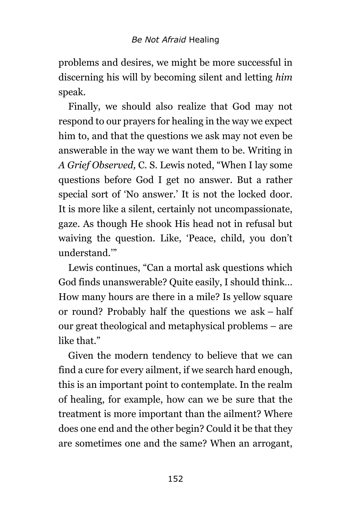problems and desires, we might be more successful in discerning his will by becoming silent and letting *him*  speak.

Finally, we should also realize that God may not respond to our prayers for healing in the way we expect him to, and that the questions we ask may not even be answerable in the way we want them to be. Writing in *A Grief Observed,* C. S. Lewis noted, "When I lay some questions before God I get no answer. But a rather special sort of 'No answer.' It is not the locked door. It is more like a silent, certainly not uncompassionate, gaze. As though He shook His head not in refusal but waiving the question. Like, 'Peace, child, you don't understand.'"

Lewis continues, "Can a mortal ask questions which God finds unanswerable? Quite easily, I should think… How many hours are there in a mile? Is yellow square or round? Probably half the questions we ask – half our great theological and metaphysical problems – are like that."

Given the modern tendency to believe that we can find a cure for every ailment, if we search hard enough, this is an important point to contemplate. In the realm of healing, for example, how can we be sure that the treatment is more important than the ailment? Where does one end and the other begin? Could it be that they are sometimes one and the same? When an arrogant,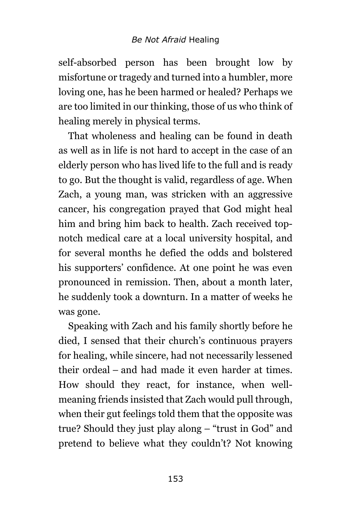self-absorbed person has been brought low by misfortune or tragedy and turned into a humbler, more loving one, has he been harmed or healed? Perhaps we are too limited in our thinking, those of us who think of healing merely in physical terms.

That wholeness and healing can be found in death as well as in life is not hard to accept in the case of an elderly person who has lived life to the full and is ready to go. But the thought is valid, regardless of age. When Zach, a young man, was stricken with an aggressive cancer, his congregation prayed that God might heal him and bring him back to health. Zach received topnotch medical care at a local university hospital, and for several months he defied the odds and bolstered his supporters' confidence. At one point he was even pronounced in remission. Then, about a month later, he suddenly took a downturn. In a matter of weeks he was gone.

Speaking with Zach and his family shortly before he died, I sensed that their church's continuous prayers for healing, while sincere, had not necessarily lessened their ordeal – and had made it even harder at times. How should they react, for instance, when wellmeaning friends insisted that Zach would pull through, when their gut feelings told them that the opposite was true? Should they just play along – "trust in God" and pretend to believe what they couldn't? Not knowing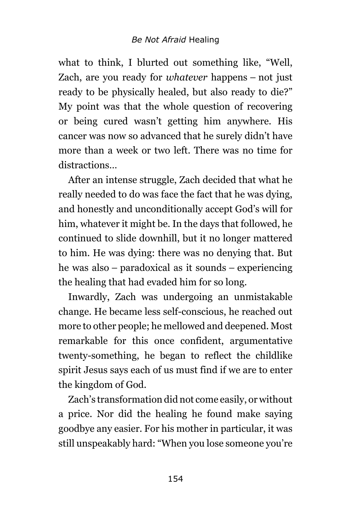what to think, I blurted out something like, "Well, Zach, are you ready for *whatever* happens – not just ready to be physically healed, but also ready to die?" My point was that the whole question of recovering or being cured wasn't getting him anywhere. His cancer was now so advanced that he surely didn't have more than a week or two left. There was no time for distractions…

After an intense struggle, Zach decided that what he really needed to do was face the fact that he was dying, and honestly and unconditionally accept God's will for him, whatever it might be. In the days that followed, he continued to slide downhill, but it no longer mattered to him. He was dying: there was no denying that. But he was also – paradoxical as it sounds – experiencing the healing that had evaded him for so long.

Inwardly, Zach was undergoing an unmistakable change. He became less self-conscious, he reached out more to other people; he mellowed and deepened. Most remarkable for this once confident, argumentative twenty-something, he began to reflect the childlike spirit Jesus says each of us must find if we are to enter the kingdom of God.

Zach's transformation did not come easily, or without a price. Nor did the healing he found make saying goodbye any easier. For his mother in particular, it was still unspeakably hard: "When you lose someone you're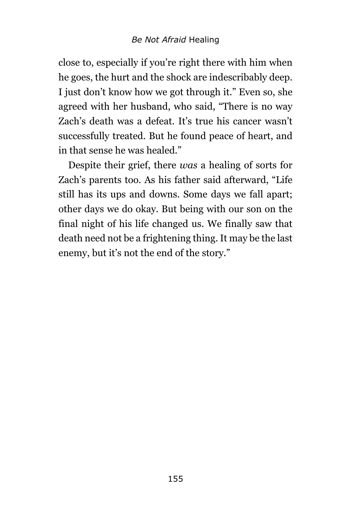close to, especially if you're right there with him when he goes, the hurt and the shock are indescribably deep. I just don't know how we got through it." Even so, she agreed with her husband, who said, "There is no way Zach's death was a defeat. It's true his cancer wasn't successfully treated. But he found peace of heart, and in that sense he was healed."

Despite their grief, there *was* a healing of sorts for Zach's parents too. As his father said afterward, "Life still has its ups and downs. Some days we fall apart; other days we do okay. But being with our son on the final night of his life changed us. We finally saw that death need not be a frightening thing. It may be the last enemy, but it's not the end of the story."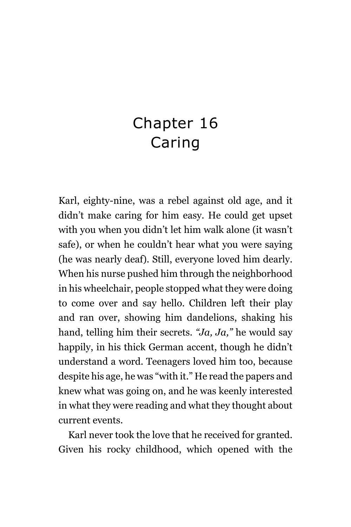## Chapter 16 Caring

Karl, eighty-nine, was a rebel against old age, and it didn't make caring for him easy. He could get upset with you when you didn't let him walk alone (it wasn't safe), or when he couldn't hear what you were saying (he was nearly deaf). Still, everyone loved him dearly. When his nurse pushed him through the neighborhood in his wheelchair, people stopped what they were doing to come over and say hello. Children left their play and ran over, showing him dandelions, shaking his hand, telling him their secrets. *"Ja, Ja,"* he would say happily, in his thick German accent, though he didn't understand a word. Teenagers loved him too, because despite his age, he was "with it." He read the papers and knew what was going on, and he was keenly interested in what they were reading and what they thought about current events.

Karl never took the love that he received for granted. Given his rocky childhood, which opened with the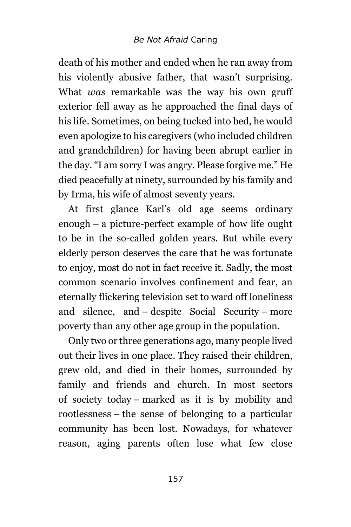death of his mother and ended when he ran away from his violently abusive father, that wasn't surprising. What *was* remarkable was the way his own gruff exterior fell away as he approached the final days of his life. Sometimes, on being tucked into bed, he would even apologize to his caregivers (who included children and grandchildren) for having been abrupt earlier in the day. "I am sorry I was angry. Please forgive me." He died peacefully at ninety, surrounded by his family and by Irma, his wife of almost seventy years.

At first glance Karl's old age seems ordinary enough – a picture-perfect example of how life ought to be in the so-called golden years. But while every elderly person deserves the care that he was fortunate to enjoy, most do not in fact receive it. Sadly, the most common scenario involves confinement and fear, an eternally flickering television set to ward off loneliness and silence, and – despite Social Security – more poverty than any other age group in the population.

Only two or three generations ago, many people lived out their lives in one place. They raised their children, grew old, and died in their homes, surrounded by family and friends and church. In most sectors of society today – marked as it is by mobility and rootlessness – the sense of belonging to a particular community has been lost. Nowadays, for whatever reason, aging parents often lose what few close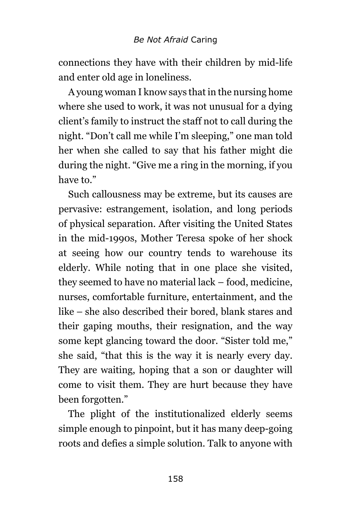connections they have with their children by mid-life and enter old age in loneliness.

A young woman I know says that in the nursing home where she used to work, it was not unusual for a dying client's family to instruct the staff not to call during the night. "Don't call me while I'm sleeping," one man told her when she called to say that his father might die during the night. "Give me a ring in the morning, if you have to."

Such callousness may be extreme, but its causes are pervasive: estrangement, isolation, and long periods of physical separation. After visiting the United States in the mid-1990s, Mother Teresa spoke of her shock at seeing how our country tends to warehouse its elderly. While noting that in one place she visited, they seemed to have no material lack – food, medicine, nurses, comfortable furniture, entertainment, and the like – she also described their bored, blank stares and their gaping mouths, their resignation, and the way some kept glancing toward the door. "Sister told me," she said, "that this is the way it is nearly every day. They are waiting, hoping that a son or daughter will come to visit them. They are hurt because they have been forgotten."

The plight of the institutionalized elderly seems simple enough to pinpoint, but it has many deep-going roots and defies a simple solution. Talk to anyone with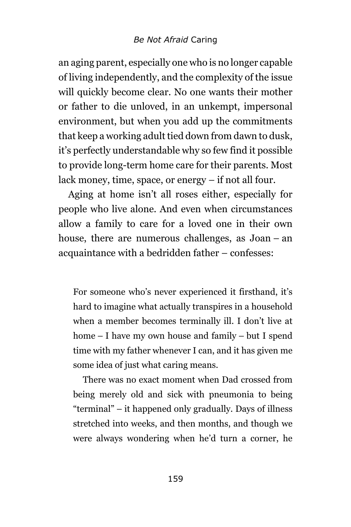### *Be Not Afraid* Caring

an aging parent, especially one who is no longer capable of living independently, and the complexity of the issue will quickly become clear. No one wants their mother or father to die unloved, in an unkempt, impersonal environment, but when you add up the commitments that keep a working adult tied down from dawn to dusk, it's perfectly understandable why so few find it possible to provide long-term home care for their parents. Most lack money, time, space, or energy – if not all four.

Aging at home isn't all roses either, especially for people who live alone. And even when circumstances allow a family to care for a loved one in their own house, there are numerous challenges, as Joan – an acquaintance with a bedridden father – confesses:

For someone who's never experienced it firsthand, it's hard to imagine what actually transpires in a household when a member becomes terminally ill. I don't live at home – I have my own house and family – but I spend time with my father whenever I can, and it has given me some idea of just what caring means.

There was no exact moment when Dad crossed from being merely old and sick with pneumonia to being "terminal" – it happened only gradually. Days of illness stretched into weeks, and then months, and though we were always wondering when he'd turn a corner, he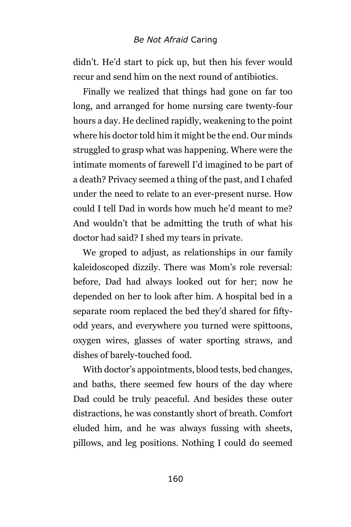didn't. He'd start to pick up, but then his fever would recur and send him on the next round of antibiotics.

Finally we realized that things had gone on far too long, and arranged for home nursing care twenty-four hours a day. He declined rapidly, weakening to the point where his doctor told him it might be the end. Our minds struggled to grasp what was happening. Where were the intimate moments of farewell I'd imagined to be part of a death? Privacy seemed a thing of the past, and I chafed under the need to relate to an ever-present nurse. How could I tell Dad in words how much he'd meant to me? And wouldn't that be admitting the truth of what his doctor had said? I shed my tears in private.

We groped to adjust, as relationships in our family kaleidoscoped dizzily. There was Mom's role reversal: before, Dad had always looked out for her; now he depended on her to look after him. A hospital bed in a separate room replaced the bed they'd shared for fiftyodd years, and everywhere you turned were spittoons, oxygen wires, glasses of water sporting straws, and dishes of barely-touched food.

With doctor's appointments, blood tests, bed changes, and baths, there seemed few hours of the day where Dad could be truly peaceful. And besides these outer distractions, he was constantly short of breath. Comfort eluded him, and he was always fussing with sheets, pillows, and leg positions. Nothing I could do seemed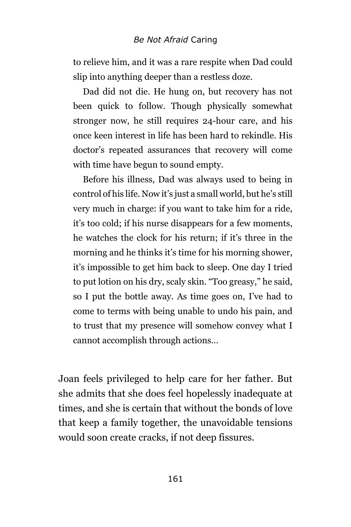### *Be Not Afraid* Caring

to relieve him, and it was a rare respite when Dad could slip into anything deeper than a restless doze.

Dad did not die. He hung on, but recovery has not been quick to follow. Though physically somewhat stronger now, he still requires 24-hour care, and his once keen interest in life has been hard to rekindle. His doctor's repeated assurances that recovery will come with time have begun to sound empty.

Before his illness, Dad was always used to being in control of his life. Now it's just a small world, but he's still very much in charge: if you want to take him for a ride, it's too cold; if his nurse disappears for a few moments, he watches the clock for his return; if it's three in the morning and he thinks it's time for his morning shower, it's impossible to get him back to sleep. One day I tried to put lotion on his dry, scaly skin. "Too greasy," he said, so I put the bottle away. As time goes on, I've had to come to terms with being unable to undo his pain, and to trust that my presence will somehow convey what I cannot accomplish through actions…

Joan feels privileged to help care for her father. But she admits that she does feel hopelessly inadequate at times, and she is certain that without the bonds of love that keep a family together, the unavoidable tensions would soon create cracks, if not deep fissures.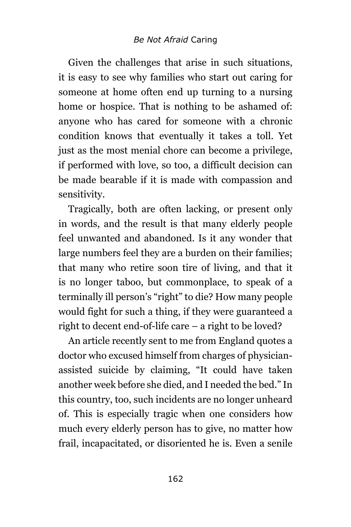Given the challenges that arise in such situations, it is easy to see why families who start out caring for someone at home often end up turning to a nursing home or hospice. That is nothing to be ashamed of: anyone who has cared for someone with a chronic condition knows that eventually it takes a toll. Yet just as the most menial chore can become a privilege, if performed with love, so too, a difficult decision can be made bearable if it is made with compassion and sensitivity.

Tragically, both are often lacking, or present only in words, and the result is that many elderly people feel unwanted and abandoned. Is it any wonder that large numbers feel they are a burden on their families; that many who retire soon tire of living, and that it is no longer taboo, but commonplace, to speak of a terminally ill person's "right" to die? How many people would fight for such a thing, if they were guaranteed a right to decent end-of-life care – a right to be loved?

An article recently sent to me from England quotes a doctor who excused himself from charges of physicianassisted suicide by claiming, "It could have taken another week before she died, and I needed the bed." In this country, too, such incidents are no longer unheard of. This is especially tragic when one considers how much every elderly person has to give, no matter how frail, incapacitated, or disoriented he is. Even a senile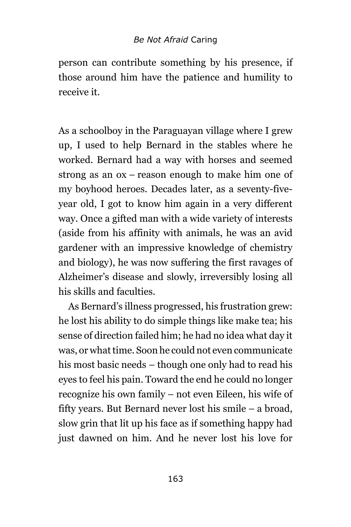## *Be Not Afraid* Caring

person can contribute something by his presence, if those around him have the patience and humility to receive it.

As a schoolboy in the Paraguayan village where I grew up, I used to help Bernard in the stables where he worked. Bernard had a way with horses and seemed strong as an ox – reason enough to make him one of my boyhood heroes. Decades later, as a seventy-fiveyear old, I got to know him again in a very different way. Once a gifted man with a wide variety of interests (aside from his affinity with animals, he was an avid gardener with an impressive knowledge of chemistry and biology), he was now suffering the first ravages of Alzheimer's disease and slowly, irreversibly losing all his skills and faculties.

As Bernard's illness progressed, his frustration grew: he lost his ability to do simple things like make tea; his sense of direction failed him; he had no idea what day it was, or what time. Soon he could not even communicate his most basic needs – though one only had to read his eyes to feel his pain. Toward the end he could no longer recognize his own family – not even Eileen, his wife of fifty years. But Bernard never lost his smile – a broad, slow grin that lit up his face as if something happy had just dawned on him. And he never lost his love for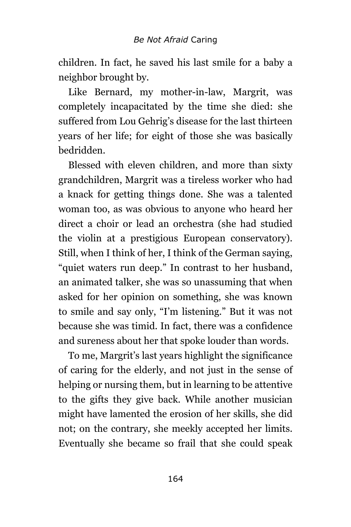children. In fact, he saved his last smile for a baby a neighbor brought by.

Like Bernard, my mother-in-law, Margrit, was completely incapacitated by the time she died: she suffered from Lou Gehrig's disease for the last thirteen years of her life; for eight of those she was basically bedridden.

Blessed with eleven children, and more than sixty grandchildren, Margrit was a tireless worker who had a knack for getting things done. She was a talented woman too, as was obvious to anyone who heard her direct a choir or lead an orchestra (she had studied the violin at a prestigious European conservatory). Still, when I think of her, I think of the German saying, "quiet waters run deep." In contrast to her husband, an animated talker, she was so unassuming that when asked for her opinion on something, she was known to smile and say only, "I'm listening." But it was not because she was timid. In fact, there was a confidence and sureness about her that spoke louder than words.

To me, Margrit's last years highlight the significance of caring for the elderly, and not just in the sense of helping or nursing them, but in learning to be attentive to the gifts they give back. While another musician might have lamented the erosion of her skills, she did not; on the contrary, she meekly accepted her limits. Eventually she became so frail that she could speak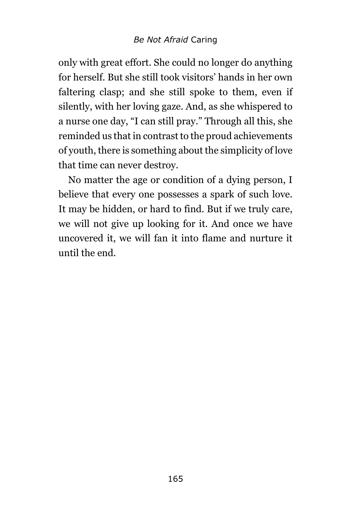only with great effort. She could no longer do anything for herself. But she still took visitors' hands in her own faltering clasp; and she still spoke to them, even if silently, with her loving gaze. And, as she whispered to a nurse one day, "I can still pray." Through all this, she reminded us that in contrast to the proud achievements of youth, there is something about the simplicity of love that time can never destroy.

No matter the age or condition of a dying person, I believe that every one possesses a spark of such love. It may be hidden, or hard to find. But if we truly care, we will not give up looking for it. And once we have uncovered it, we will fan it into flame and nurture it until the end.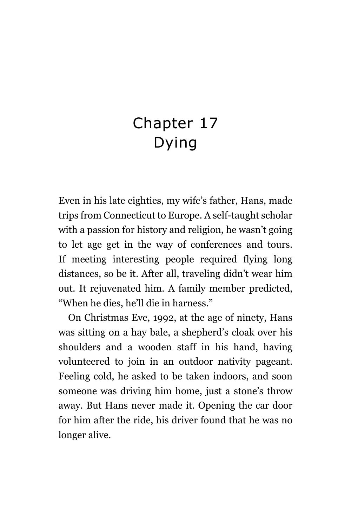# Chapter 17 Dying

Even in his late eighties, my wife's father, Hans, made trips from Connecticut to Europe. A self-taught scholar with a passion for history and religion, he wasn't going to let age get in the way of conferences and tours. If meeting interesting people required flying long distances, so be it. After all, traveling didn't wear him out. It rejuvenated him. A family member predicted, "When he dies, he'll die in harness."

On Christmas Eve, 1992, at the age of ninety, Hans was sitting on a hay bale, a shepherd's cloak over his shoulders and a wooden staff in his hand, having volunteered to join in an outdoor nativity pageant. Feeling cold, he asked to be taken indoors, and soon someone was driving him home, just a stone's throw away. But Hans never made it. Opening the car door for him after the ride, his driver found that he was no longer alive.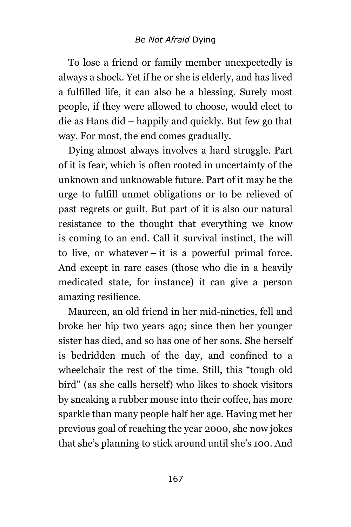To lose a friend or family member unexpectedly is always a shock. Yet if he or she is elderly, and has lived a fulfilled life, it can also be a blessing. Surely most people, if they were allowed to choose, would elect to die as Hans did – happily and quickly. But few go that way. For most, the end comes gradually.

Dying almost always involves a hard struggle. Part of it is fear, which is often rooted in uncertainty of the unknown and unknowable future. Part of it may be the urge to fulfill unmet obligations or to be relieved of past regrets or guilt. But part of it is also our natural resistance to the thought that everything we know is coming to an end. Call it survival instinct, the will to live, or whatever  $-$  it is a powerful primal force. And except in rare cases (those who die in a heavily medicated state, for instance) it can give a person amazing resilience.

Maureen, an old friend in her mid-nineties, fell and broke her hip two years ago; since then her younger sister has died, and so has one of her sons. She herself is bedridden much of the day, and confined to a wheelchair the rest of the time. Still, this "tough old bird" (as she calls herself) who likes to shock visitors by sneaking a rubber mouse into their coffee, has more sparkle than many people half her age. Having met her previous goal of reaching the year 2000, she now jokes that she's planning to stick around until she's 100. And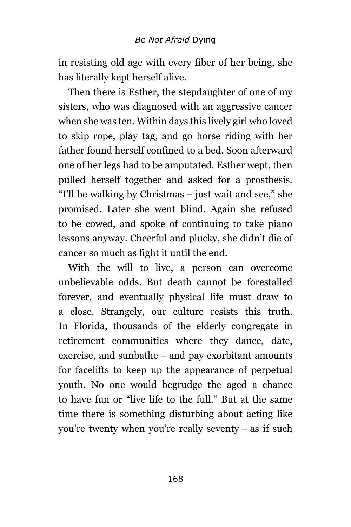in resisting old age with every fiber of her being, she has literally kept herself alive.

Then there is Esther, the stepdaughter of one of my sisters, who was diagnosed with an aggressive cancer when she was ten. Within days this lively girl who loved to skip rope, play tag, and go horse riding with her father found herself confined to a bed. Soon afterward one of her legs had to be amputated. Esther wept, then pulled herself together and asked for a prosthesis. "I'll be walking by Christmas – just wait and see," she promised. Later she went blind. Again she refused to be cowed, and spoke of continuing to take piano lessons anyway. Cheerful and plucky, she didn't die of cancer so much as fight it until the end.

With the will to live, a person can overcome unbelievable odds. But death cannot be forestalled forever, and eventually physical life must draw to a close. Strangely, our culture resists this truth. In Florida, thousands of the elderly congregate in retirement communities where they dance, date, exercise, and sunbathe – and pay exorbitant amounts for facelifts to keep up the appearance of perpetual youth. No one would begrudge the aged a chance to have fun or "live life to the full." But at the same time there is something disturbing about acting like you're twenty when you're really seventy – as if such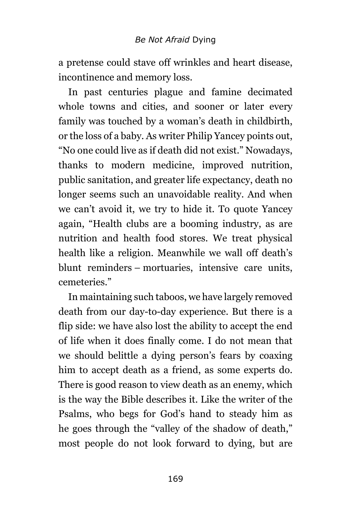a pretense could stave off wrinkles and heart disease, incontinence and memory loss.

In past centuries plague and famine decimated whole towns and cities, and sooner or later every family was touched by a woman's death in childbirth, or the loss of a baby. As writer Philip Yancey points out, "No one could live as if death did not exist." Nowadays, thanks to modern medicine, improved nutrition, public sanitation, and greater life expectancy, death no longer seems such an unavoidable reality. And when we can't avoid it, we try to hide it. To quote Yancey again, "Health clubs are a booming industry, as are nutrition and health food stores. We treat physical health like a religion. Meanwhile we wall off death's blunt reminders – mortuaries, intensive care units, cemeteries."

In maintaining such taboos, we have largely removed death from our day-to-day experience. But there is a flip side: we have also lost the ability to accept the end of life when it does finally come. I do not mean that we should belittle a dying person's fears by coaxing him to accept death as a friend, as some experts do. There is good reason to view death as an enemy, which is the way the Bible describes it. Like the writer of the Psalms, who begs for God's hand to steady him as he goes through the "valley of the shadow of death," most people do not look forward to dying, but are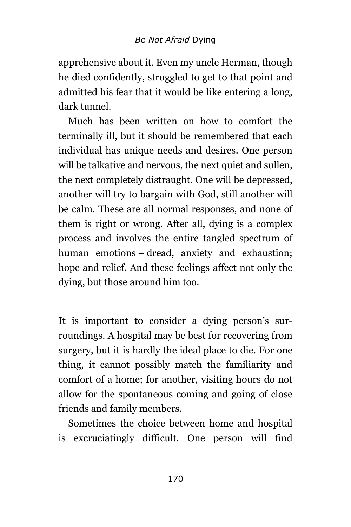apprehensive about it. Even my uncle Herman, though he died confidently, struggled to get to that point and admitted his fear that it would be like entering a long, dark tunnel.

Much has been written on how to comfort the terminally ill, but it should be remembered that each individual has unique needs and desires. One person will be talkative and nervous, the next quiet and sullen, the next completely distraught. One will be depressed, another will try to bargain with God, still another will be calm. These are all normal responses, and none of them is right or wrong. After all, dying is a complex process and involves the entire tangled spectrum of human emotions – dread, anxiety and exhaustion; hope and relief. And these feelings affect not only the dying, but those around him too.

It is important to consider a dying person's surroundings. A hospital may be best for recovering from surgery, but it is hardly the ideal place to die. For one thing, it cannot possibly match the familiarity and comfort of a home; for another, visiting hours do not allow for the spontaneous coming and going of close friends and family members.

Sometimes the choice between home and hospital is excruciatingly difficult. One person will find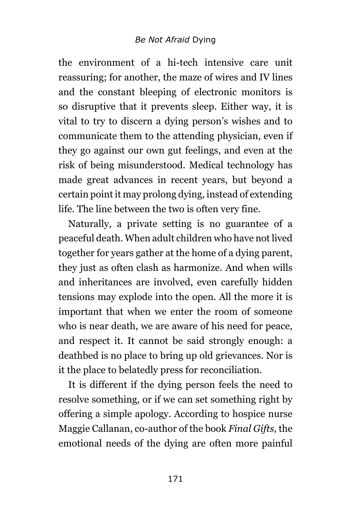the environment of a hi-tech intensive care unit reassuring; for another, the maze of wires and IV lines and the constant bleeping of electronic monitors is so disruptive that it prevents sleep. Either way, it is vital to try to discern a dying person's wishes and to communicate them to the attending physician, even if they go against our own gut feelings, and even at the risk of being misunderstood. Medical technology has made great advances in recent years, but beyond a certain point it may prolong dying, instead of extending life. The line between the two is often very fine.

Naturally, a private setting is no guarantee of a peaceful death. When adult children who have not lived together for years gather at the home of a dying parent, they just as often clash as harmonize. And when wills and inheritances are involved, even carefully hidden tensions may explode into the open. All the more it is important that when we enter the room of someone who is near death, we are aware of his need for peace, and respect it. It cannot be said strongly enough: a deathbed is no place to bring up old grievances. Nor is it the place to belatedly press for reconciliation.

It is different if the dying person feels the need to resolve something, or if we can set something right by offering a simple apology. According to hospice nurse Maggie Callanan, co-author of the book *Final Gifts,* the emotional needs of the dying are often more painful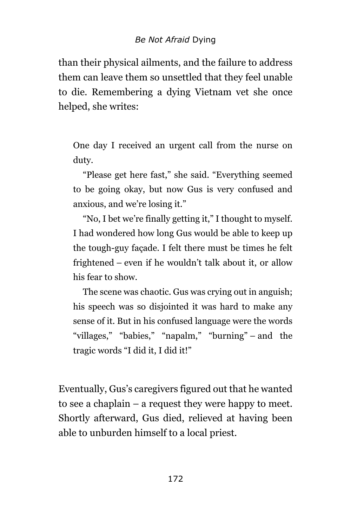than their physical ailments, and the failure to address them can leave them so unsettled that they feel unable to die. Remembering a dying Vietnam vet she once helped, she writes:

One day I received an urgent call from the nurse on duty.

"Please get here fast," she said. "Everything seemed to be going okay, but now Gus is very confused and anxious, and we're losing it."

"No, I bet we're finally getting it," I thought to myself. I had wondered how long Gus would be able to keep up the tough-guy façade. I felt there must be times he felt frightened – even if he wouldn't talk about it, or allow his fear to show.

The scene was chaotic. Gus was crying out in anguish; his speech was so disjointed it was hard to make any sense of it. But in his confused language were the words "villages," "babies," "napalm," "burning" – and the tragic words "I did it, I did it!"

Eventually, Gus's caregivers figured out that he wanted to see a chaplain – a request they were happy to meet. Shortly afterward, Gus died, relieved at having been able to unburden himself to a local priest.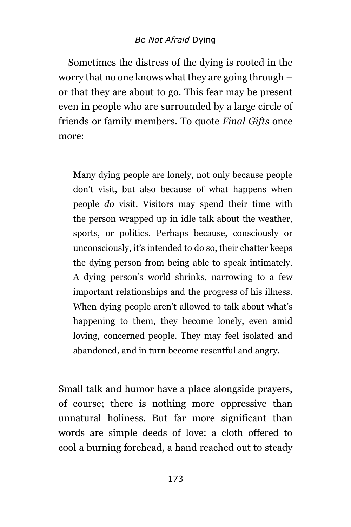## *Be Not Afraid* Dying

Sometimes the distress of the dying is rooted in the worry that no one knows what they are going through – or that they are about to go. This fear may be present even in people who are surrounded by a large circle of friends or family members. To quote *Final Gifts* once more:

Many dying people are lonely, not only because people don't visit, but also because of what happens when people *do* visit. Visitors may spend their time with the person wrapped up in idle talk about the weather, sports, or politics. Perhaps because, consciously or unconsciously, it's intended to do so, their chatter keeps the dying person from being able to speak intimately. A dying person's world shrinks, narrowing to a few important relationships and the progress of his illness. When dying people aren't allowed to talk about what's happening to them, they become lonely, even amid loving, concerned people. They may feel isolated and abandoned, and in turn become resentful and angry.

Small talk and humor have a place alongside prayers, of course; there is nothing more oppressive than unnatural holiness. But far more significant than words are simple deeds of love: a cloth offered to cool a burning forehead, a hand reached out to steady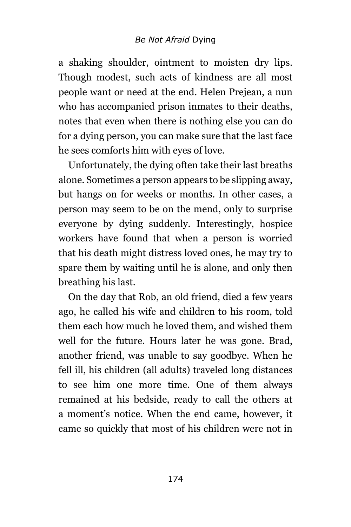a shaking shoulder, ointment to moisten dry lips. Though modest, such acts of kindness are all most people want or need at the end. Helen Prejean, a nun who has accompanied prison inmates to their deaths, notes that even when there is nothing else you can do for a dying person, you can make sure that the last face he sees comforts him with eyes of love.

Unfortunately, the dying often take their last breaths alone. Sometimes a person appears to be slipping away, but hangs on for weeks or months. In other cases, a person may seem to be on the mend, only to surprise everyone by dying suddenly. Interestingly, hospice workers have found that when a person is worried that his death might distress loved ones, he may try to spare them by waiting until he is alone, and only then breathing his last.

On the day that Rob, an old friend, died a few years ago, he called his wife and children to his room, told them each how much he loved them, and wished them well for the future. Hours later he was gone. Brad, another friend, was unable to say goodbye. When he fell ill, his children (all adults) traveled long distances to see him one more time. One of them always remained at his bedside, ready to call the others at a moment's notice. When the end came, however, it came so quickly that most of his children were not in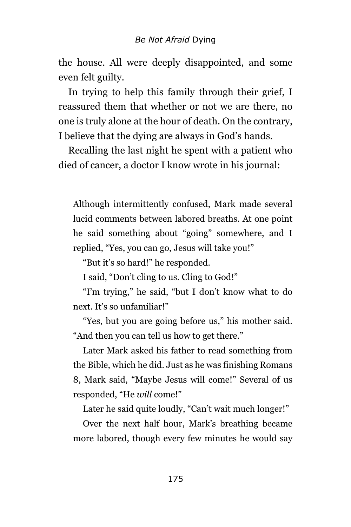the house. All were deeply disappointed, and some even felt guilty.

In trying to help this family through their grief, I reassured them that whether or not we are there, no one is truly alone at the hour of death. On the contrary, I believe that the dying are always in God's hands.

Recalling the last night he spent with a patient who died of cancer, a doctor I know wrote in his journal:

Although intermittently confused, Mark made several lucid comments between labored breaths. At one point he said something about "going" somewhere, and I replied, "Yes, you can go, Jesus will take you!"

"But it's so hard!" he responded.

I said, "Don't cling to us. Cling to God!"

"I'm trying," he said, "but I don't know what to do next. It's so unfamiliar!"

"Yes, but you are going before us," his mother said. "And then you can tell us how to get there."

Later Mark asked his father to read something from the Bible, which he did. Just as he was finishing Romans 8, Mark said, "Maybe Jesus will come!" Several of us responded, "He *will* come!"

Later he said quite loudly, "Can't wait much longer!"

Over the next half hour, Mark's breathing became more labored, though every few minutes he would say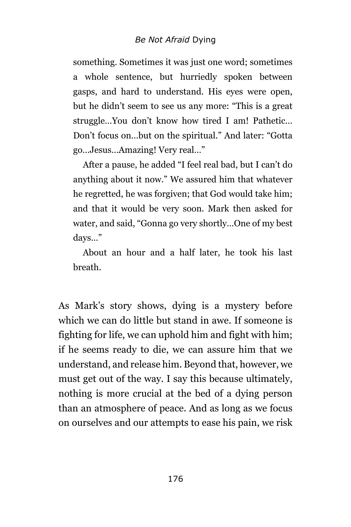## *Be Not Afraid* Dying

something. Sometimes it was just one word; sometimes a whole sentence, but hurriedly spoken between gasps, and hard to understand. His eyes were open, but he didn't seem to see us any more: "This is a great struggle…You don't know how tired I am! Pathetic… Don't focus on…but on the spiritual." And later: "Gotta go…Jesus…Amazing! Very real…"

After a pause, he added "I feel real bad, but I can't do anything about it now." We assured him that whatever he regretted, he was forgiven; that God would take him; and that it would be very soon. Mark then asked for water, and said, "Gonna go very shortly…One of my best days…"

About an hour and a half later, he took his last breath.

As Mark's story shows, dying is a mystery before which we can do little but stand in awe. If someone is fighting for life, we can uphold him and fight with him; if he seems ready to die, we can assure him that we understand, and release him. Beyond that, however, we must get out of the way. I say this because ultimately, nothing is more crucial at the bed of a dying person than an atmosphere of peace. And as long as we focus on ourselves and our attempts to ease his pain, we risk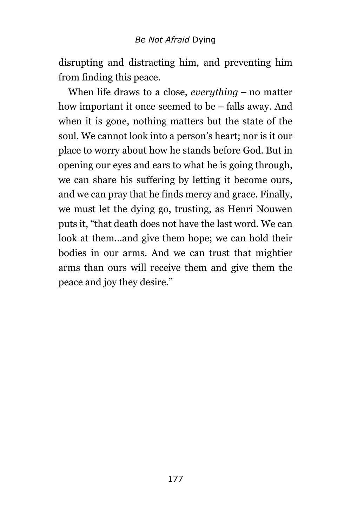disrupting and distracting him, and preventing him from finding this peace.

When life draws to a close, *everything* – no matter how important it once seemed to be – falls away. And when it is gone, nothing matters but the state of the soul. We cannot look into a person's heart; nor is it our place to worry about how he stands before God. But in opening our eyes and ears to what he is going through, we can share his suffering by letting it become ours, and we can pray that he finds mercy and grace. Finally, we must let the dying go, trusting, as Henri Nouwen puts it, "that death does not have the last word. We can look at them…and give them hope; we can hold their bodies in our arms. And we can trust that mightier arms than ours will receive them and give them the peace and joy they desire."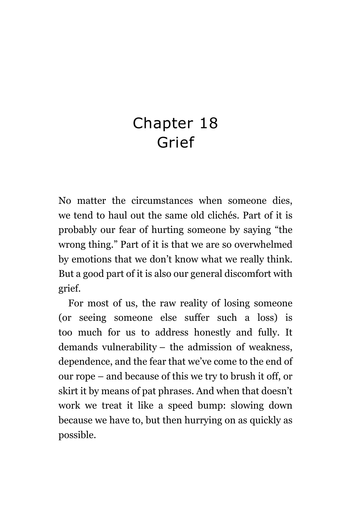# Chapter 18 Grief

No matter the circumstances when someone dies, we tend to haul out the same old clichés. Part of it is probably our fear of hurting someone by saying "the wrong thing." Part of it is that we are so overwhelmed by emotions that we don't know what we really think. But a good part of it is also our general discomfort with grief.

For most of us, the raw reality of losing someone (or seeing someone else suffer such a loss) is too much for us to address honestly and fully. It demands vulnerability – the admission of weakness, dependence, and the fear that we've come to the end of our rope – and because of this we try to brush it off, or skirt it by means of pat phrases. And when that doesn't work we treat it like a speed bump: slowing down because we have to, but then hurrying on as quickly as possible.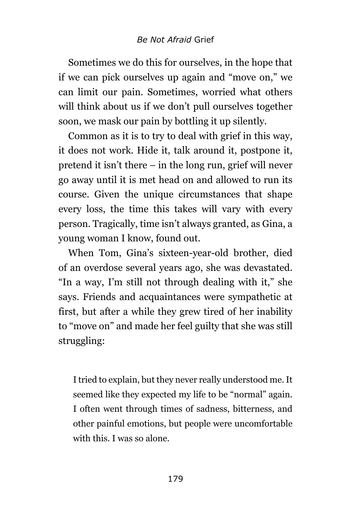Sometimes we do this for ourselves, in the hope that if we can pick ourselves up again and "move on," we can limit our pain. Sometimes, worried what others will think about us if we don't pull ourselves together soon, we mask our pain by bottling it up silently.

Common as it is to try to deal with grief in this way, it does not work. Hide it, talk around it, postpone it, pretend it isn't there – in the long run, grief will never go away until it is met head on and allowed to run its course. Given the unique circumstances that shape every loss, the time this takes will vary with every person. Tragically, time isn't always granted, as Gina, a young woman I know, found out.

When Tom, Gina's sixteen-year-old brother, died of an overdose several years ago, she was devastated. "In a way, I'm still not through dealing with it," she says. Friends and acquaintances were sympathetic at first, but after a while they grew tired of her inability to "move on" and made her feel guilty that she was still struggling:

I tried to explain, but they never really understood me. It seemed like they expected my life to be "normal" again. I often went through times of sadness, bitterness, and other painful emotions, but people were uncomfortable with this. I was so alone.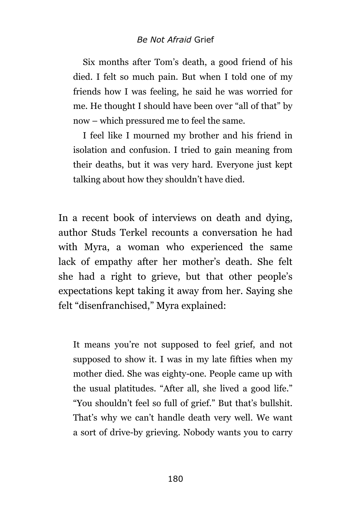Six months after Tom's death, a good friend of his died. I felt so much pain. But when I told one of my friends how I was feeling, he said he was worried for me. He thought I should have been over "all of that" by now – which pressured me to feel the same.

I feel like I mourned my brother and his friend in isolation and confusion. I tried to gain meaning from their deaths, but it was very hard. Everyone just kept talking about how they shouldn't have died.

In a recent book of interviews on death and dying, author Studs Terkel recounts a conversation he had with Myra, a woman who experienced the same lack of empathy after her mother's death. She felt she had a right to grieve, but that other people's expectations kept taking it away from her. Saying she felt "disenfranchised," Myra explained:

It means you're not supposed to feel grief, and not supposed to show it. I was in my late fifties when my mother died. She was eighty-one. People came up with the usual platitudes. "After all, she lived a good life." "You shouldn't feel so full of grief." But that's bullshit. That's why we can't handle death very well. We want a sort of drive-by grieving. Nobody wants you to carry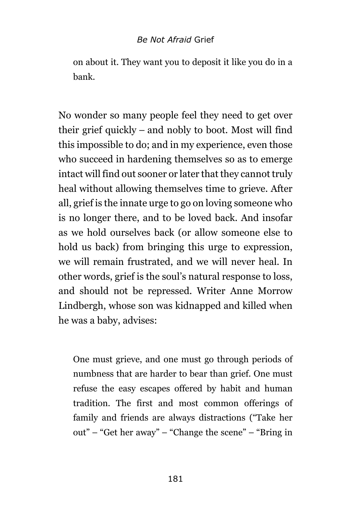on about it. They want you to deposit it like you do in a bank.

No wonder so many people feel they need to get over their grief quickly – and nobly to boot. Most will find this impossible to do; and in my experience, even those who succeed in hardening themselves so as to emerge intact will find out sooner or later that they cannot truly heal without allowing themselves time to grieve. After all, grief is the innate urge to go on loving someone who is no longer there, and to be loved back. And insofar as we hold ourselves back (or allow someone else to hold us back) from bringing this urge to expression, we will remain frustrated, and we will never heal. In other words, grief is the soul's natural response to loss, and should not be repressed. Writer Anne Morrow Lindbergh, whose son was kidnapped and killed when he was a baby, advises:

One must grieve, and one must go through periods of numbness that are harder to bear than grief. One must refuse the easy escapes offered by habit and human tradition. The first and most common offerings of family and friends are always distractions ("Take her out" – "Get her away" – "Change the scene" – "Bring in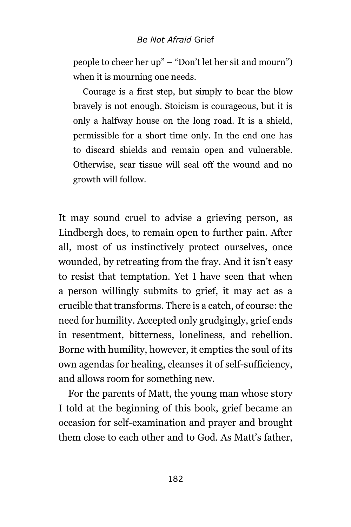people to cheer her up" – "Don't let her sit and mourn") when it is mourning one needs.

Courage is a first step, but simply to bear the blow bravely is not enough. Stoicism is courageous, but it is only a halfway house on the long road. It is a shield, permissible for a short time only. In the end one has to discard shields and remain open and vulnerable. Otherwise, scar tissue will seal off the wound and no growth will follow.

It may sound cruel to advise a grieving person, as Lindbergh does, to remain open to further pain. After all, most of us instinctively protect ourselves, once wounded, by retreating from the fray. And it isn't easy to resist that temptation. Yet I have seen that when a person willingly submits to grief, it may act as a crucible that transforms. There is a catch, of course: the need for humility. Accepted only grudgingly, grief ends in resentment, bitterness, loneliness, and rebellion. Borne with humility, however, it empties the soul of its own agendas for healing, cleanses it of self-sufficiency, and allows room for something new.

For the parents of Matt, the young man whose story I told at the beginning of this book, grief became an occasion for self-examination and prayer and brought them close to each other and to God. As Matt's father,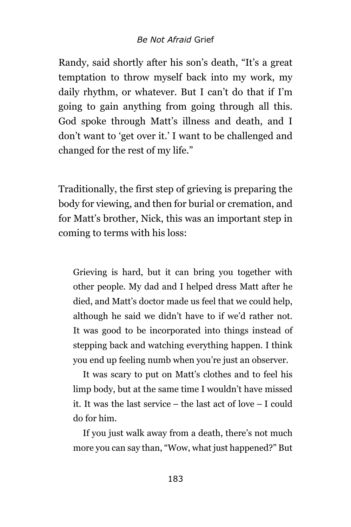Randy, said shortly after his son's death, "It's a great temptation to throw myself back into my work, my daily rhythm, or whatever. But I can't do that if I'm going to gain anything from going through all this. God spoke through Matt's illness and death, and I don't want to 'get over it.' I want to be challenged and changed for the rest of my life."

Traditionally, the first step of grieving is preparing the body for viewing, and then for burial or cremation, and for Matt's brother, Nick, this was an important step in coming to terms with his loss:

Grieving is hard, but it can bring you together with other people. My dad and I helped dress Matt after he died, and Matt's doctor made us feel that we could help, although he said we didn't have to if we'd rather not. It was good to be incorporated into things instead of stepping back and watching everything happen. I think you end up feeling numb when you're just an observer.

It was scary to put on Matt's clothes and to feel his limp body, but at the same time I wouldn't have missed it. It was the last service – the last act of love – I could do for him.

If you just walk away from a death, there's not much more you can say than, "Wow, what just happened?" But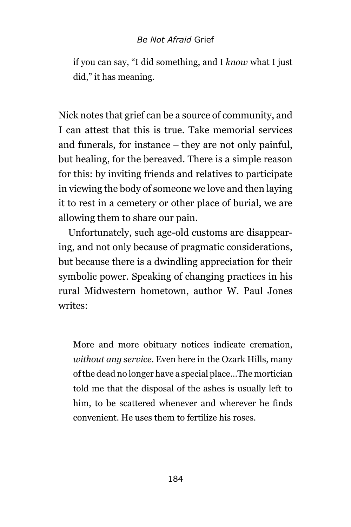if you can say, "I did something, and I *know* what I just did," it has meaning.

Nick notes that grief can be a source of community, and I can attest that this is true. Take memorial services and funerals, for instance – they are not only painful, but healing, for the bereaved. There is a simple reason for this: by inviting friends and relatives to participate in viewing the body of someone we love and then laying it to rest in a cemetery or other place of burial, we are allowing them to share our pain.

Unfortunately, such age-old customs are disappearing, and not only because of pragmatic considerations, but because there is a dwindling appreciation for their symbolic power. Speaking of changing practices in his rural Midwestern hometown, author W. Paul Jones writes:

More and more obituary notices indicate cremation, *without any service.* Even here in the Ozark Hills, many of the dead no longer have a special place…The mortician told me that the disposal of the ashes is usually left to him, to be scattered whenever and wherever he finds convenient. He uses them to fertilize his roses.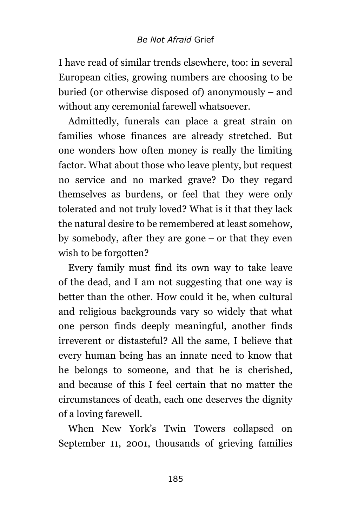I have read of similar trends elsewhere, too: in several European cities, growing numbers are choosing to be buried (or otherwise disposed of) anonymously – and without any ceremonial farewell whatsoever.

Admittedly, funerals can place a great strain on families whose finances are already stretched. But one wonders how often money is really the limiting factor. What about those who leave plenty, but request no service and no marked grave? Do they regard themselves as burdens, or feel that they were only tolerated and not truly loved? What is it that they lack the natural desire to be remembered at least somehow, by somebody, after they are gone – or that they even wish to be forgotten?

Every family must find its own way to take leave of the dead, and I am not suggesting that one way is better than the other. How could it be, when cultural and religious backgrounds vary so widely that what one person finds deeply meaningful, another finds irreverent or distasteful? All the same, I believe that every human being has an innate need to know that he belongs to someone, and that he is cherished, and because of this I feel certain that no matter the circumstances of death, each one deserves the dignity of a loving farewell.

When New York's Twin Towers collapsed on September 11, 2001, thousands of grieving families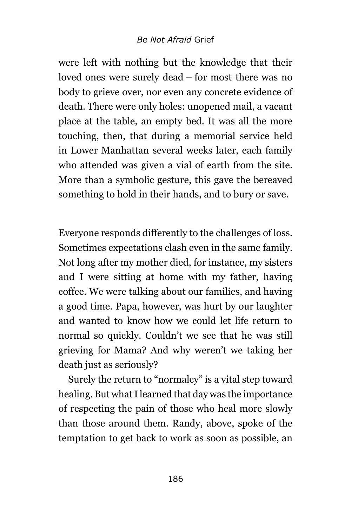were left with nothing but the knowledge that their loved ones were surely dead – for most there was no body to grieve over, nor even any concrete evidence of death. There were only holes: unopened mail, a vacant place at the table, an empty bed. It was all the more touching, then, that during a memorial service held in Lower Manhattan several weeks later, each family who attended was given a vial of earth from the site. More than a symbolic gesture, this gave the bereaved something to hold in their hands, and to bury or save.

Everyone responds differently to the challenges of loss. Sometimes expectations clash even in the same family. Not long after my mother died, for instance, my sisters and I were sitting at home with my father, having coffee. We were talking about our families, and having a good time. Papa, however, was hurt by our laughter and wanted to know how we could let life return to normal so quickly. Couldn't we see that he was still grieving for Mama? And why weren't we taking her death just as seriously?

Surely the return to "normalcy" is a vital step toward healing. But what I learned that day was the importance of respecting the pain of those who heal more slowly than those around them. Randy, above, spoke of the temptation to get back to work as soon as possible, an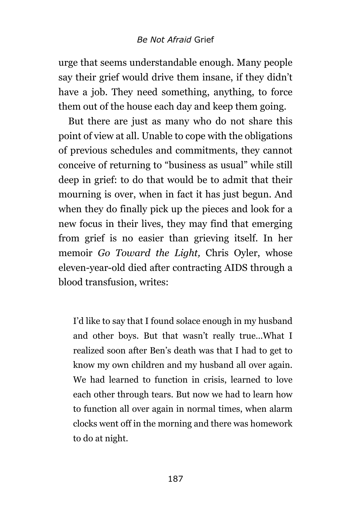urge that seems understandable enough. Many people say their grief would drive them insane, if they didn't have a job. They need something, anything, to force them out of the house each day and keep them going.

But there are just as many who do not share this point of view at all. Unable to cope with the obligations of previous schedules and commitments, they cannot conceive of returning to "business as usual" while still deep in grief: to do that would be to admit that their mourning is over, when in fact it has just begun. And when they do finally pick up the pieces and look for a new focus in their lives, they may find that emerging from grief is no easier than grieving itself. In her memoir *Go Toward the Light,* Chris Oyler, whose eleven-year-old died after contracting AIDS through a blood transfusion, writes:

I'd like to say that I found solace enough in my husband and other boys. But that wasn't really true…What I realized soon after Ben's death was that I had to get to know my own children and my husband all over again. We had learned to function in crisis, learned to love each other through tears. But now we had to learn how to function all over again in normal times, when alarm clocks went off in the morning and there was homework to do at night.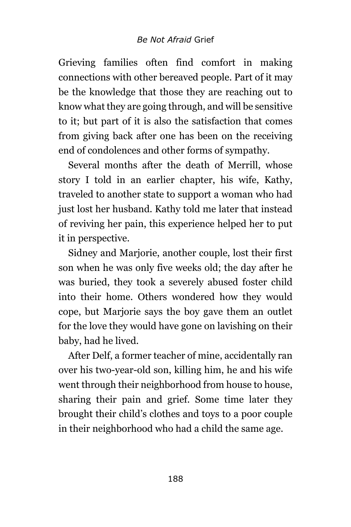Grieving families often find comfort in making connections with other bereaved people. Part of it may be the knowledge that those they are reaching out to know what they are going through, and will be sensitive to it; but part of it is also the satisfaction that comes from giving back after one has been on the receiving end of condolences and other forms of sympathy.

Several months after the death of Merrill, whose story I told in an earlier chapter, his wife, Kathy, traveled to another state to support a woman who had just lost her husband. Kathy told me later that instead of reviving her pain, this experience helped her to put it in perspective.

Sidney and Marjorie, another couple, lost their first son when he was only five weeks old; the day after he was buried, they took a severely abused foster child into their home. Others wondered how they would cope, but Marjorie says the boy gave them an outlet for the love they would have gone on lavishing on their baby, had he lived.

After Delf, a former teacher of mine, accidentally ran over his two-year-old son, killing him, he and his wife went through their neighborhood from house to house, sharing their pain and grief. Some time later they brought their child's clothes and toys to a poor couple in their neighborhood who had a child the same age.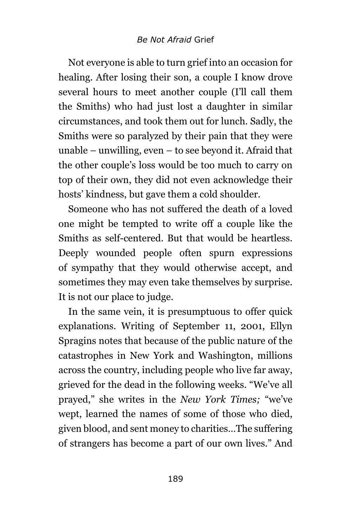Not everyone is able to turn grief into an occasion for healing. After losing their son, a couple I know drove several hours to meet another couple (I'll call them the Smiths) who had just lost a daughter in similar circumstances, and took them out for lunch. Sadly, the Smiths were so paralyzed by their pain that they were unable – unwilling, even – to see beyond it. Afraid that the other couple's loss would be too much to carry on top of their own, they did not even acknowledge their hosts' kindness, but gave them a cold shoulder.

Someone who has not suffered the death of a loved one might be tempted to write off a couple like the Smiths as self-centered. But that would be heartless. Deeply wounded people often spurn expressions of sympathy that they would otherwise accept, and sometimes they may even take themselves by surprise. It is not our place to judge.

In the same vein, it is presumptuous to offer quick explanations. Writing of September 11, 2001, Ellyn Spragins notes that because of the public nature of the catastrophes in New York and Washington, millions across the country, including people who live far away, grieved for the dead in the following weeks. "We've all prayed," she writes in the *New York Times;* "we've wept, learned the names of some of those who died, given blood, and sent money to charities…The suffering of strangers has become a part of our own lives." And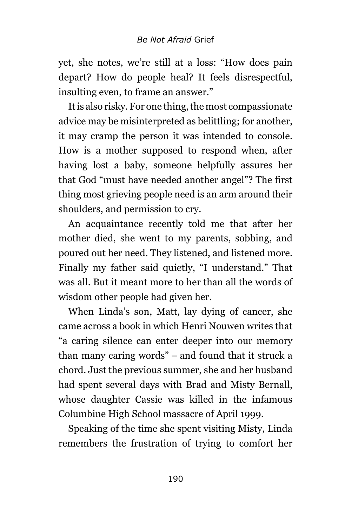yet, she notes, we're still at a loss: "How does pain depart? How do people heal? It feels disrespectful, insulting even, to frame an answer."

It is also risky. For one thing, the most compassionate advice may be misinterpreted as belittling; for another, it may cramp the person it was intended to console. How is a mother supposed to respond when, after having lost a baby, someone helpfully assures her that God "must have needed another angel"? The first thing most grieving people need is an arm around their shoulders, and permission to cry.

An acquaintance recently told me that after her mother died, she went to my parents, sobbing, and poured out her need. They listened, and listened more. Finally my father said quietly, "I understand." That was all. But it meant more to her than all the words of wisdom other people had given her.

When Linda's son, Matt, lay dying of cancer, she came across a book in which Henri Nouwen writes that "a caring silence can enter deeper into our memory than many caring words" – and found that it struck a chord. Just the previous summer, she and her husband had spent several days with Brad and Misty Bernall, whose daughter Cassie was killed in the infamous Columbine High School massacre of April 1999.

Speaking of the time she spent visiting Misty, Linda remembers the frustration of trying to comfort her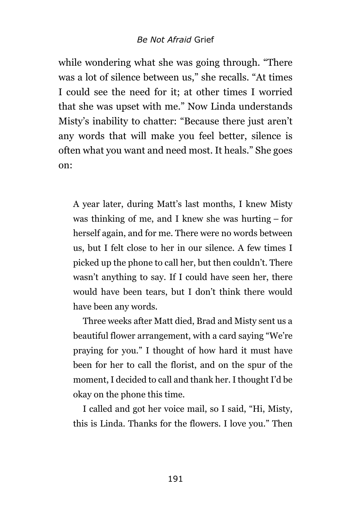while wondering what she was going through. "There was a lot of silence between us," she recalls. "At times I could see the need for it; at other times I worried that she was upset with me." Now Linda understands Misty's inability to chatter: "Because there just aren't any words that will make you feel better, silence is often what you want and need most. It heals." She goes on:

A year later, during Matt's last months, I knew Misty was thinking of me, and I knew she was hurting – for herself again, and for me. There were no words between us, but I felt close to her in our silence. A few times I picked up the phone to call her, but then couldn't. There wasn't anything to say. If I could have seen her, there would have been tears, but I don't think there would have been any words.

Three weeks after Matt died, Brad and Misty sent us a beautiful flower arrangement, with a card saying "We're praying for you." I thought of how hard it must have been for her to call the florist, and on the spur of the moment, I decided to call and thank her. I thought I'd be okay on the phone this time.

I called and got her voice mail, so I said, "Hi, Misty, this is Linda. Thanks for the flowers. I love you." Then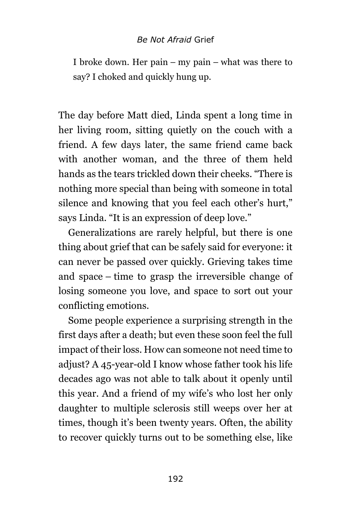I broke down. Her pain – my pain – what was there to say? I choked and quickly hung up.

The day before Matt died, Linda spent a long time in her living room, sitting quietly on the couch with a friend. A few days later, the same friend came back with another woman, and the three of them held hands as the tears trickled down their cheeks. "There is nothing more special than being with someone in total silence and knowing that you feel each other's hurt," says Linda. "It is an expression of deep love."

Generalizations are rarely helpful, but there is one thing about grief that can be safely said for everyone: it can never be passed over quickly. Grieving takes time and space – time to grasp the irreversible change of losing someone you love, and space to sort out your conflicting emotions.

Some people experience a surprising strength in the first days after a death; but even these soon feel the full impact of their loss. How can someone not need time to adjust? A 45-year-old I know whose father took his life decades ago was not able to talk about it openly until this year. And a friend of my wife's who lost her only daughter to multiple sclerosis still weeps over her at times, though it's been twenty years. Often, the ability to recover quickly turns out to be something else, like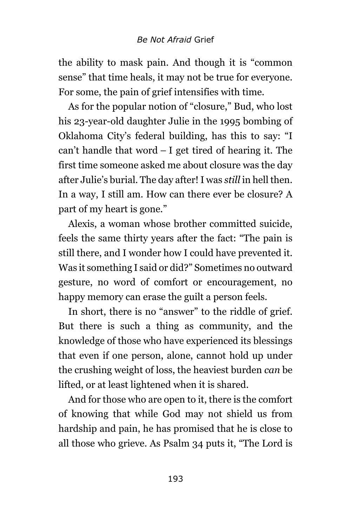the ability to mask pain. And though it is "common sense" that time heals, it may not be true for everyone. For some, the pain of grief intensifies with time.

As for the popular notion of "closure," Bud, who lost his 23-year-old daughter Julie in the 1995 bombing of Oklahoma City's federal building, has this to say: "I can't handle that word – I get tired of hearing it. The first time someone asked me about closure was the day after Julie's burial. The day after! I was *still* in hell then. In a way, I still am. How can there ever be closure? A part of my heart is gone."

Alexis, a woman whose brother committed suicide, feels the same thirty years after the fact: "The pain is still there, and I wonder how I could have prevented it. Was it something I said or did?" Sometimes no outward gesture, no word of comfort or encouragement, no happy memory can erase the guilt a person feels.

In short, there is no "answer" to the riddle of grief. But there is such a thing as community, and the knowledge of those who have experienced its blessings that even if one person, alone, cannot hold up under the crushing weight of loss, the heaviest burden *can* be lifted, or at least lightened when it is shared.

And for those who are open to it, there is the comfort of knowing that while God may not shield us from hardship and pain, he has promised that he is close to all those who grieve. As Psalm 34 puts it, "The Lord is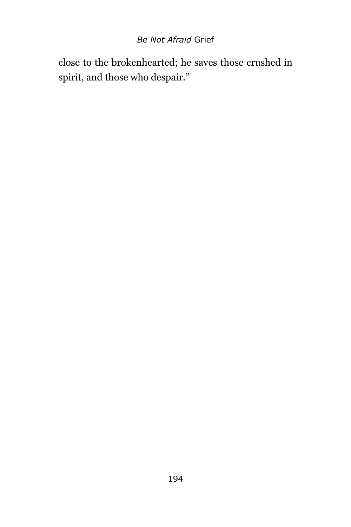close to the brokenhearted; he saves those crushed in spirit, and those who despair."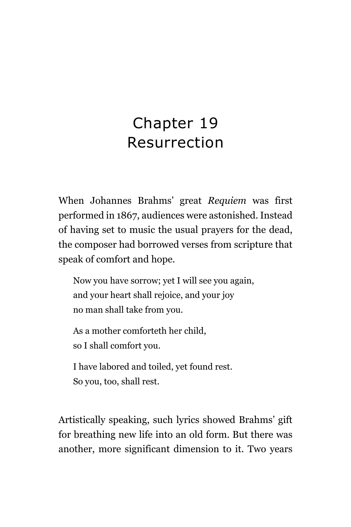## Chapter 19 Resurrection

When Johannes Brahms' great *Requiem* was first performed in 1867, audiences were astonished. Instead of having set to music the usual prayers for the dead, the composer had borrowed verses from scripture that speak of comfort and hope.

Now you have sorrow; yet I will see you again, and your heart shall rejoice, and your joy no man shall take from you.

As a mother comforteth her child, so I shall comfort you.

I have labored and toiled, yet found rest. So you, too, shall rest.

Artistically speaking, such lyrics showed Brahms' gift for breathing new life into an old form. But there was another, more significant dimension to it. Two years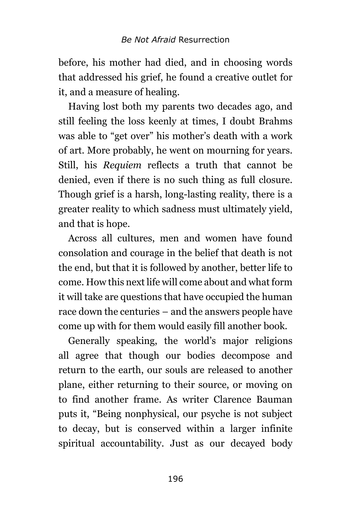before, his mother had died, and in choosing words that addressed his grief, he found a creative outlet for it, and a measure of healing.

Having lost both my parents two decades ago, and still feeling the loss keenly at times, I doubt Brahms was able to "get over" his mother's death with a work of art. More probably, he went on mourning for years. Still, his *Requiem* reflects a truth that cannot be denied, even if there is no such thing as full closure. Though grief is a harsh, long-lasting reality, there is a greater reality to which sadness must ultimately yield, and that is hope.

Across all cultures, men and women have found consolation and courage in the belief that death is not the end, but that it is followed by another, better life to come. How this next life will come about and what form it will take are questions that have occupied the human race down the centuries – and the answers people have come up with for them would easily fill another book.

Generally speaking, the world's major religions all agree that though our bodies decompose and return to the earth, our souls are released to another plane, either returning to their source, or moving on to find another frame. As writer Clarence Bauman puts it, "Being nonphysical, our psyche is not subject to decay, but is conserved within a larger infinite spiritual accountability. Just as our decayed body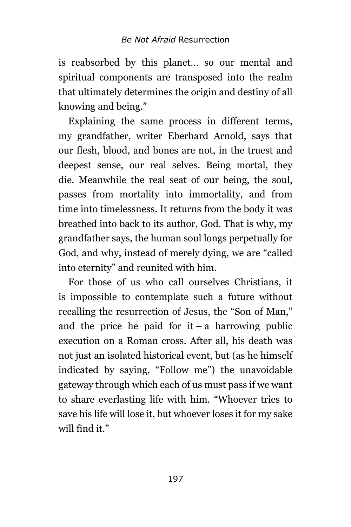is reabsorbed by this planet… so our mental and spiritual components are transposed into the realm that ultimately determines the origin and destiny of all knowing and being."

Explaining the same process in different terms, my grandfather, writer Eberhard Arnold, says that our flesh, blood, and bones are not, in the truest and deepest sense, our real selves. Being mortal, they die. Meanwhile the real seat of our being, the soul, passes from mortality into immortality, and from time into timelessness. It returns from the body it was breathed into back to its author, God. That is why, my grandfather says, the human soul longs perpetually for God, and why, instead of merely dying, we are "called into eternity" and reunited with him.

For those of us who call ourselves Christians, it is impossible to contemplate such a future without recalling the resurrection of Jesus, the "Son of Man," and the price he paid for  $it - a$  harrowing public execution on a Roman cross. After all, his death was not just an isolated historical event, but (as he himself indicated by saying, "Follow me") the unavoidable gateway through which each of us must pass if we want to share everlasting life with him. "Whoever tries to save his life will lose it, but whoever loses it for my sake will find it."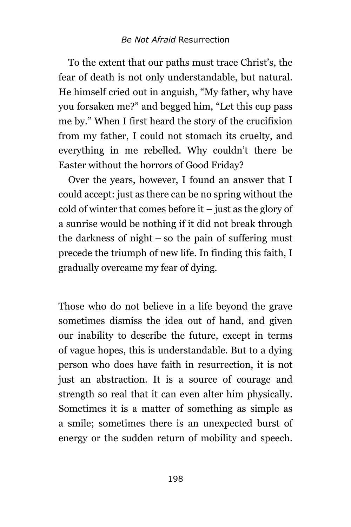To the extent that our paths must trace Christ's, the fear of death is not only understandable, but natural. He himself cried out in anguish, "My father, why have you forsaken me?" and begged him, "Let this cup pass me by." When I first heard the story of the crucifixion from my father, I could not stomach its cruelty, and everything in me rebelled. Why couldn't there be Easter without the horrors of Good Friday?

Over the years, however, I found an answer that I could accept: just as there can be no spring without the cold of winter that comes before it – just as the glory of a sunrise would be nothing if it did not break through the darkness of night – so the pain of suffering must precede the triumph of new life. In finding this faith, I gradually overcame my fear of dying.

Those who do not believe in a life beyond the grave sometimes dismiss the idea out of hand, and given our inability to describe the future, except in terms of vague hopes, this is understandable. But to a dying person who does have faith in resurrection, it is not just an abstraction. It is a source of courage and strength so real that it can even alter him physically. Sometimes it is a matter of something as simple as a smile; sometimes there is an unexpected burst of energy or the sudden return of mobility and speech.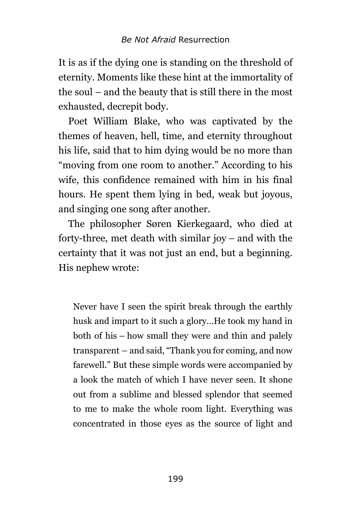It is as if the dying one is standing on the threshold of eternity. Moments like these hint at the immortality of the soul – and the beauty that is still there in the most exhausted, decrepit body.

Poet William Blake, who was captivated by the themes of heaven, hell, time, and eternity throughout his life, said that to him dying would be no more than "moving from one room to another." According to his wife, this confidence remained with him in his final hours. He spent them lying in bed, weak but joyous, and singing one song after another.

The philosopher Søren Kierkegaard, who died at forty-three, met death with similar joy – and with the certainty that it was not just an end, but a beginning. His nephew wrote:

Never have I seen the spirit break through the earthly husk and impart to it such a glory…He took my hand in both of his – how small they were and thin and palely transparent – and said, "Thank you for coming, and now farewell." But these simple words were accompanied by a look the match of which I have never seen. It shone out from a sublime and blessed splendor that seemed to me to make the whole room light. Everything was concentrated in those eyes as the source of light and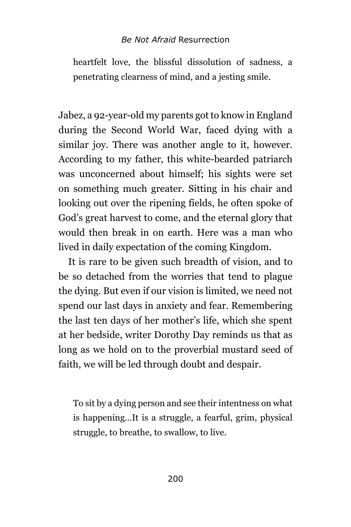#### *Be Not Afraid* Resurrection

heartfelt love, the blissful dissolution of sadness, a penetrating clearness of mind, and a jesting smile.

Jabez, a 92-year-old my parents got to know in England during the Second World War, faced dying with a similar joy. There was another angle to it, however. According to my father, this white-bearded patriarch was unconcerned about himself; his sights were set on something much greater. Sitting in his chair and looking out over the ripening fields, he often spoke of God's great harvest to come, and the eternal glory that would then break in on earth. Here was a man who lived in daily expectation of the coming Kingdom.

It is rare to be given such breadth of vision, and to be so detached from the worries that tend to plague the dying. But even if our vision is limited, we need not spend our last days in anxiety and fear. Remembering the last ten days of her mother's life, which she spent at her bedside, writer Dorothy Day reminds us that as long as we hold on to the proverbial mustard seed of faith, we will be led through doubt and despair.

To sit by a dying person and see their intentness on what is happening…It is a struggle, a fearful, grim, physical struggle, to breathe, to swallow, to live.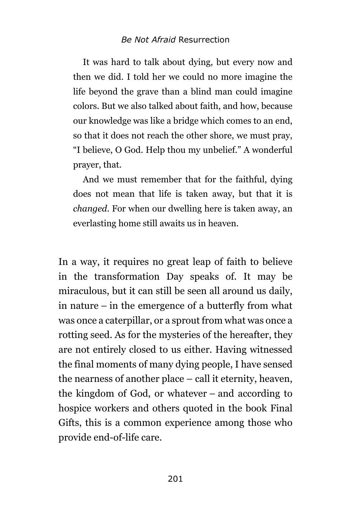#### *Be Not Afraid* Resurrection

It was hard to talk about dying, but every now and then we did. I told her we could no more imagine the life beyond the grave than a blind man could imagine colors. But we also talked about faith, and how, because our knowledge was like a bridge which comes to an end, so that it does not reach the other shore, we must pray, "I believe, O God. Help thou my unbelief." A wonderful prayer, that.

And we must remember that for the faithful, dying does not mean that life is taken away, but that it is *changed.* For when our dwelling here is taken away, an everlasting home still awaits us in heaven.

In a way, it requires no great leap of faith to believe in the transformation Day speaks of. It may be miraculous, but it can still be seen all around us daily, in nature – in the emergence of a butterfly from what was once a caterpillar, or a sprout from what was once a rotting seed. As for the mysteries of the hereafter, they are not entirely closed to us either. Having witnessed the final moments of many dying people, I have sensed the nearness of another place – call it eternity, heaven, the kingdom of God, or whatever – and according to hospice workers and others quoted in the book Final Gifts, this is a common experience among those who provide end-of-life care.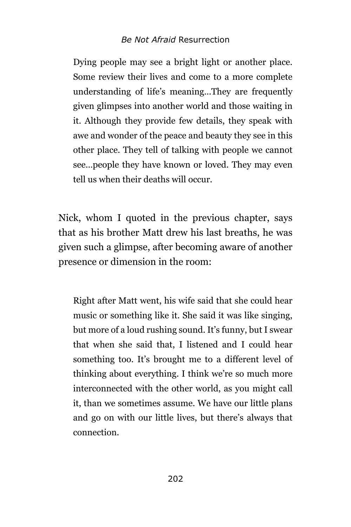## *Be Not Afraid* Resurrection

Dying people may see a bright light or another place. Some review their lives and come to a more complete understanding of life's meaning…They are frequently given glimpses into another world and those waiting in it. Although they provide few details, they speak with awe and wonder of the peace and beauty they see in this other place. They tell of talking with people we cannot see…people they have known or loved. They may even tell us when their deaths will occur.

Nick, whom I quoted in the previous chapter, says that as his brother Matt drew his last breaths, he was given such a glimpse, after becoming aware of another presence or dimension in the room:

Right after Matt went, his wife said that she could hear music or something like it. She said it was like singing, but more of a loud rushing sound. It's funny, but I swear that when she said that, I listened and I could hear something too. It's brought me to a different level of thinking about everything. I think we're so much more interconnected with the other world, as you might call it, than we sometimes assume. We have our little plans and go on with our little lives, but there's always that connection.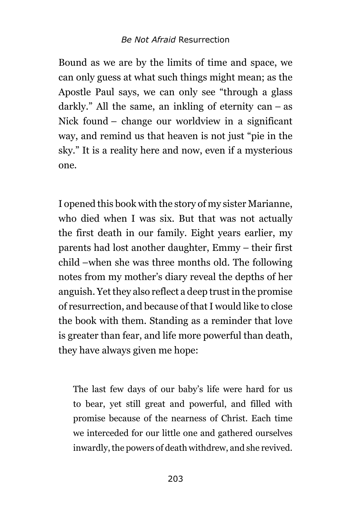Bound as we are by the limits of time and space, we can only guess at what such things might mean; as the Apostle Paul says, we can only see "through a glass darkly." All the same, an inkling of eternity can  $-\text{ as }$ Nick found – change our worldview in a significant way, and remind us that heaven is not just "pie in the sky." It is a reality here and now, even if a mysterious one.

I opened this book with the story of my sister Marianne, who died when I was six. But that was not actually the first death in our family. Eight years earlier, my parents had lost another daughter, Emmy – their first child –when she was three months old. The following notes from my mother's diary reveal the depths of her anguish. Yet they also reflect a deep trust in the promise of resurrection, and because of that I would like to close the book with them. Standing as a reminder that love is greater than fear, and life more powerful than death, they have always given me hope:

The last few days of our baby's life were hard for us to bear, yet still great and powerful, and filled with promise because of the nearness of Christ. Each time we interceded for our little one and gathered ourselves inwardly, the powers of death withdrew, and she revived.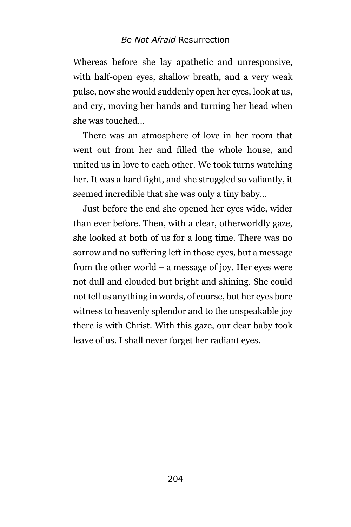#### *Be Not Afraid* Resurrection

Whereas before she lay apathetic and unresponsive, with half-open eyes, shallow breath, and a very weak pulse, now she would suddenly open her eyes, look at us, and cry, moving her hands and turning her head when she was touched…

There was an atmosphere of love in her room that went out from her and filled the whole house, and united us in love to each other. We took turns watching her. It was a hard fight, and she struggled so valiantly, it seemed incredible that she was only a tiny baby…

Just before the end she opened her eyes wide, wider than ever before. Then, with a clear, otherworldly gaze, she looked at both of us for a long time. There was no sorrow and no suffering left in those eyes, but a message from the other world – a message of joy. Her eyes were not dull and clouded but bright and shining. She could not tell us anything in words, of course, but her eyes bore witness to heavenly splendor and to the unspeakable joy there is with Christ. With this gaze, our dear baby took leave of us. I shall never forget her radiant eyes.

204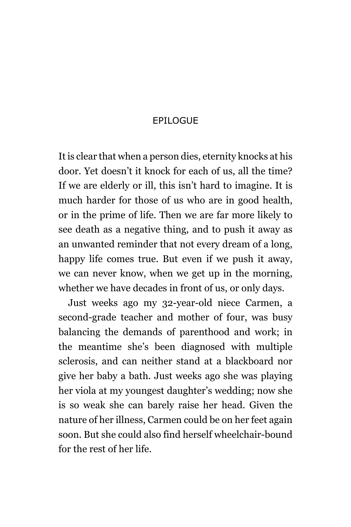### Epilogue

It is clear that when a person dies, eternity knocks at his door. Yet doesn't it knock for each of us, all the time? If we are elderly or ill, this isn't hard to imagine. It is much harder for those of us who are in good health, or in the prime of life. Then we are far more likely to see death as a negative thing, and to push it away as an unwanted reminder that not every dream of a long, happy life comes true. But even if we push it away, we can never know, when we get up in the morning, whether we have decades in front of us, or only days.

Just weeks ago my 32-year-old niece Carmen, a second-grade teacher and mother of four, was busy balancing the demands of parenthood and work; in the meantime she's been diagnosed with multiple sclerosis, and can neither stand at a blackboard nor give her baby a bath. Just weeks ago she was playing her viola at my youngest daughter's wedding; now she is so weak she can barely raise her head. Given the nature of her illness, Carmen could be on her feet again soon. But she could also find herself wheelchair-bound for the rest of her life.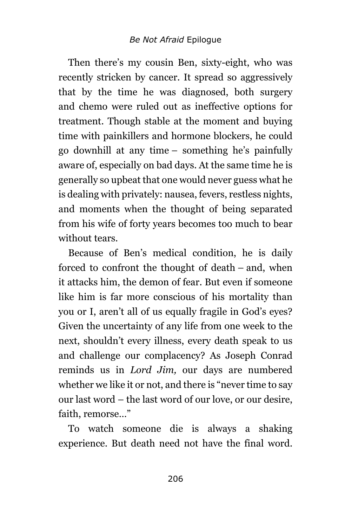Then there's my cousin Ben, sixty-eight, who was recently stricken by cancer. It spread so aggressively that by the time he was diagnosed, both surgery and chemo were ruled out as ineffective options for treatment. Though stable at the moment and buying time with painkillers and hormone blockers, he could go downhill at any time – something he's painfully aware of, especially on bad days. At the same time he is generally so upbeat that one would never guess what he is dealing with privately: nausea, fevers, restless nights, and moments when the thought of being separated from his wife of forty years becomes too much to bear without tears.

Because of Ben's medical condition, he is daily forced to confront the thought of death – and, when it attacks him, the demon of fear. But even if someone like him is far more conscious of his mortality than you or I, aren't all of us equally fragile in God's eyes? Given the uncertainty of any life from one week to the next, shouldn't every illness, every death speak to us and challenge our complacency? As Joseph Conrad reminds us in *Lord Jim,* our days are numbered whether we like it or not, and there is "never time to say our last word – the last word of our love, or our desire, faith, remorse…"

To watch someone die is always a shaking experience. But death need not have the final word.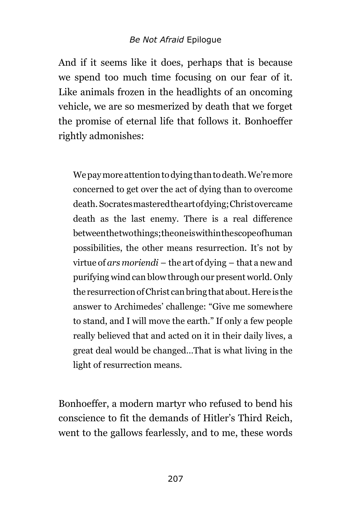## *Be Not Afraid* Epilogue

And if it seems like it does, perhaps that is because we spend too much time focusing on our fear of it. Like animals frozen in the headlights of an oncoming vehicle, we are so mesmerized by death that we forget the promise of eternal life that follows it. Bonhoeffer rightly admonishes:

We pay more attention to dying than to death. We're more concerned to get over the act of dying than to overcome death. Socrates mastered the art of dying; Christ overcame death as the last enemy. There is a real difference between the two things; the one is within the scope of human possibilities, the other means resurrection. It's not by virtue of *ars moriendi* – the art of dying – that a new and purifying wind can blow through our present world. Only the resurrection of Christ can bring that about. Here is the answer to Archimedes' challenge: "Give me somewhere to stand, and I will move the earth." If only a few people really believed that and acted on it in their daily lives, a great deal would be changed…That is what living in the light of resurrection means.

Bonhoeffer, a modern martyr who refused to bend his conscience to fit the demands of Hitler's Third Reich, went to the gallows fearlessly, and to me, these words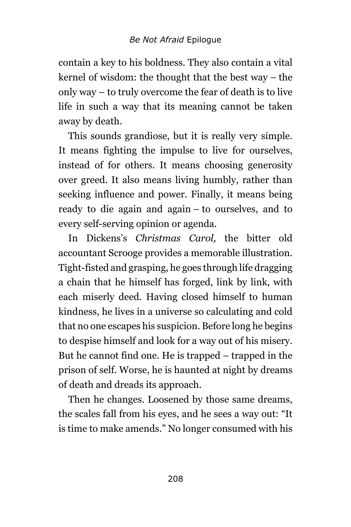contain a key to his boldness. They also contain a vital kernel of wisdom: the thought that the best way – the only way – to truly overcome the fear of death is to live life in such a way that its meaning cannot be taken away by death.

This sounds grandiose, but it is really very simple. It means fighting the impulse to live for ourselves, instead of for others. It means choosing generosity over greed. It also means living humbly, rather than seeking influence and power. Finally, it means being ready to die again and again – to ourselves, and to every self-serving opinion or agenda.

In Dickens's *Christmas Carol,* the bitter old accountant Scrooge provides a memorable illustration. Tight-fisted and grasping, he goes through life dragging a chain that he himself has forged, link by link, with each miserly deed. Having closed himself to human kindness, he lives in a universe so calculating and cold that no one escapes his suspicion. Before long he begins to despise himself and look for a way out of his misery. But he cannot find one. He is trapped – trapped in the prison of self. Worse, he is haunted at night by dreams of death and dreads its approach.

Then he changes. Loosened by those same dreams, the scales fall from his eyes, and he sees a way out: "It is time to make amends." No longer consumed with his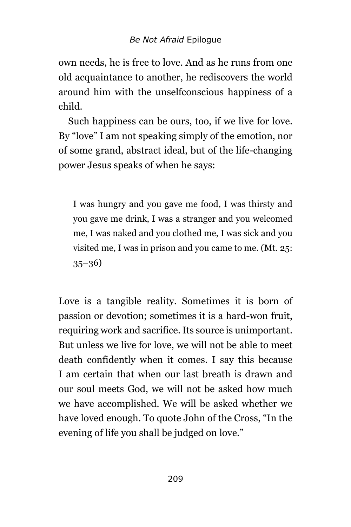own needs, he is free to love. And as he runs from one old acquaintance to another, he rediscovers the world around him with the unselfconscious happiness of a child.

Such happiness can be ours, too, if we live for love. By "love" I am not speaking simply of the emotion, nor of some grand, abstract ideal, but of the life-changing power Jesus speaks of when he says:

I was hungry and you gave me food, I was thirsty and you gave me drink, I was a stranger and you welcomed me, I was naked and you clothed me, I was sick and you visited me, I was in prison and you came to me. (Mt. 25: 35–36)

Love is a tangible reality. Sometimes it is born of passion or devotion; sometimes it is a hard-won fruit, requiring work and sacrifice. Its source is unimportant. But unless we live for love, we will not be able to meet death confidently when it comes. I say this because I am certain that when our last breath is drawn and our soul meets God, we will not be asked how much we have accomplished. We will be asked whether we have loved enough. To quote John of the Cross, "In the evening of life you shall be judged on love."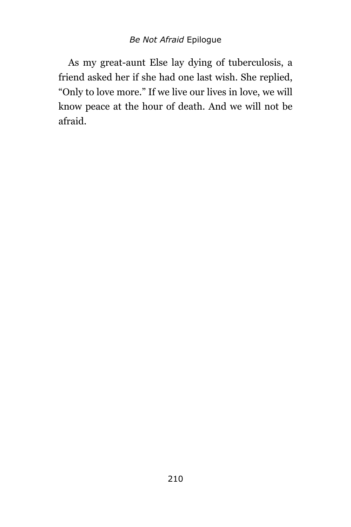As my great-aunt Else lay dying of tuberculosis, a friend asked her if she had one last wish. She replied, "Only to love more." If we live our lives in love, we will know peace at the hour of death. And we will not be afraid.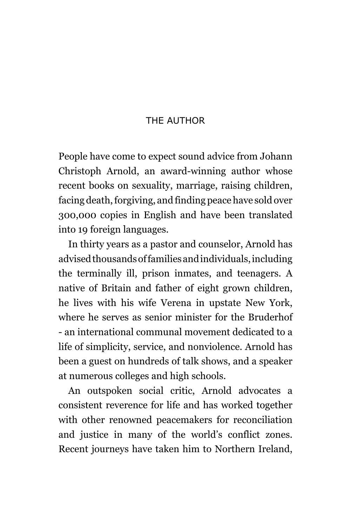### The Author

People have come to expect sound advice from Johann Christoph Arnold, an award-winning author whose recent books on sexuality, marriage, raising children, facing death, forgiving, and finding peace have sold over 300,000 copies in English and have been translated into 19 foreign languages.

In thirty years as a pastor and counselor, Arnold has advised thousands of families and individuals, including the terminally ill, prison inmates, and teenagers. A native of Britain and father of eight grown children, he lives with his wife Verena in upstate New York, where he serves as senior minister for the Bruderhof - an international communal movement dedicated to a life of simplicity, service, and nonviolence. Arnold has been a guest on hundreds of talk shows, and a speaker at numerous colleges and high schools.

An outspoken social critic, Arnold advocates a consistent reverence for life and has worked together with other renowned peacemakers for reconciliation and justice in many of the world's conflict zones. Recent journeys have taken him to Northern Ireland,